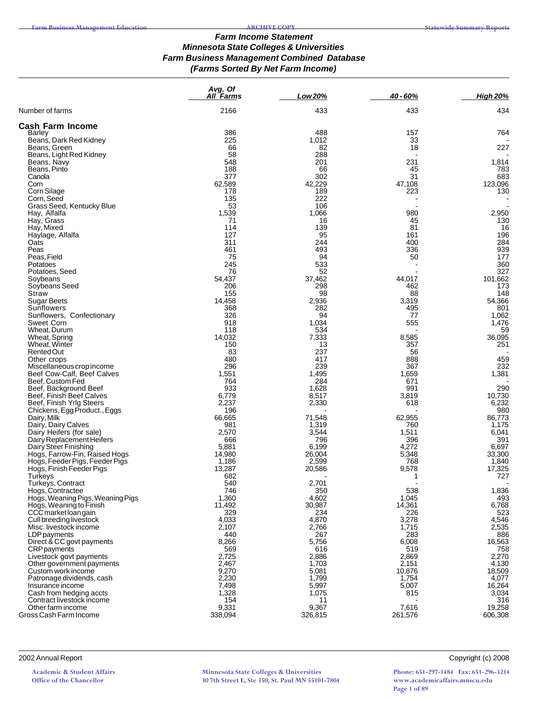#### *Farm Income Statement Minnesota State Colleges & Universities Farm Business Management Combined Database (Farms Sorted By Net Farm Income)*

|                                                      | Avg. Of<br><b>All Farms</b> | Low 20%         | 40 - 60%       | <b>High 20%</b> |
|------------------------------------------------------|-----------------------------|-----------------|----------------|-----------------|
| Number of farms                                      | 2166                        | 433             | 433            | 434             |
| <b>Cash Farm Income</b>                              |                             |                 |                |                 |
| Barley                                               | 386                         | 488             | 157            | 764             |
| Beans, Dark Red Kidney                               | 225<br>66                   | 1,012<br>82     | 33<br>18       | 227             |
| Beans, Green<br>Beans, Light Red Kidney              | 58                          | 288             |                |                 |
| Beans, Navy                                          | 548                         | 201             | 231            | 1,814           |
| Beans, Pinto                                         | 188                         | 66              | 45             | 783             |
| Canola                                               | 377                         | 302             | 31             | 683             |
| Corn                                                 | 62,589                      | 42,229          | 47,108         | 123,096         |
| Corn Silage<br>Corn, Seed                            | 178<br>135                  | 189<br>222      | 223            | 130             |
| Grass Seed, Kentucky Blue                            | 53                          | 106             |                |                 |
| Hay, Alfalfa                                         | 1,539                       | 1,066           | 980            | 2,950           |
| Hay, Grass                                           | 71                          | 16              | 45             | 130             |
| Hay, Mixed                                           | 114                         | 139             | 81             | 16              |
| Haylage, Alfalfa<br>Oats                             | 127<br>311                  | 95<br>244       | 161<br>400     | 196<br>284      |
| Peas                                                 | 461                         | 493             | 336            | 939             |
| Peas, Field                                          | 75                          | 94              | 50             | 177             |
| Potatoes                                             | 245                         | 533             |                | 360             |
| Potatoes, Seed                                       | 76                          | 52              |                | 327             |
| Soybeans<br>Soybeans Seed                            | 54.437<br>206               | 37.462<br>298   | 44,017<br>462  | 101,662<br>173  |
| Straw                                                | 155                         | 98              | 88             | 148             |
| <b>Sugar Beets</b>                                   | 14,458                      | 2,936           | 3,319          | 54,366          |
| Sunflowers                                           | 368                         | 282             | 495            | 801             |
| Sunflowers, Confectionary                            | 326                         | 94              | 77             | 1,062           |
| Sweet Corn                                           | 918                         | 1,034           | 555            | 1,476           |
| Wheat, Durum<br>Wheat, Spring                        | 118<br>14,032               | 534<br>7,333    | 8,585          | 59<br>36,095    |
| Wheat, Winter                                        | 150                         | 13              | 357            | 251             |
| Rented Out                                           | 83                          | 237             | 56             |                 |
| Other crops                                          | 480                         | 417             | 888            | 459             |
| Miscellaneous crop income                            | 296                         | 239             | 367            | 232             |
| Beef Cow-Calf, Beef Calves<br>Beef, Custom Fed       | 1,551<br>764                | 1,495<br>284    | 1,659<br>671   | 1,381           |
| Beef, Background Beef                                | 933                         | 1,628           | 991            | 290             |
| Beef, Finish Beef Calves                             | 6,779                       | 8,517           | 3,819          | 10,730          |
| Beef, Finish Yrlg Steers                             | 2,237                       | 2,330           | 618            | 6,232           |
| Chickens, Egg Product., Eggs                         | 196                         |                 |                | 980             |
| Dairy, Milk<br>Dairy, Dairy Calves                   | 66,665<br>981               | 71,548<br>1,319 | 62,955<br>760  | 86,773<br>1,175 |
| Dairy Heifers (for sale)                             | 2,570                       | 3,544           | 1,511          | 6,041           |
| Dairy Replacement Heifers                            | 666                         | 796             | 396            | 391             |
| Dairy Steer Finishing                                | 5,881                       | 6,199           | 4,272          | 6,697           |
| Hogs, Farrow-Fin, Raised Hogs                        | 14,980                      | 26,004          | 5,348          | 33,300          |
| Hogs, Feeder Pigs, Feeder Pigs                       | 1,186<br>13,287             | 2,599<br>20,586 | 768<br>9,578   | 1,840<br>17,325 |
| Hogs, Finish Feeder Pigs<br>Turkeys                  | 682                         |                 | 1              | 727             |
| Turkeys, Contract                                    | 540                         | 2,701           |                |                 |
| Hogs, Contractee                                     | 746                         | 350             | 538            | 1,836           |
| Hogs, Weaning Pigs, Weaning Pigs                     | 1,360                       | 4,602           | 1,045          | 493             |
| Hogs, Weaning to Finish                              | 11,492<br>329               | 30,987          | 14,361         | 6,768           |
| CCC market loan gain<br>Cull breeding livestock      | 4,033                       | 234<br>4,870    | 226<br>3,278   | 523<br>4,546    |
| Misc. livestock income                               | 2,107                       | 2,766           | 1,715          | 2,535           |
| <b>LDP</b> payments                                  | 440                         | 267             | 283            | 886             |
| Direct & CC govt payments                            | 8,266                       | 5,756           | 6,008          | 16,563          |
| <b>CRP</b> payments                                  | 569                         | 616             | 519            | 758             |
| Livestock govt payments<br>Other government payments | 2,725<br>2,467              | 2,886<br>1,703  | 2,869<br>2,151 | 2,270<br>4,130  |
| Custom work income                                   | 9,270                       | 5,081           | 10,876         | 18,509          |
| Patronage dividends, cash                            | 2,230                       | 1,799           | 1,754          | 4,077           |
| Insurance income                                     | 7,498                       | 5,997           | 5,007          | 16,264          |
| Cash from hedging accts                              | 1,328                       | 1,075           | 815            | 3,034           |
| Contract livestock income<br>Other farm income       | 154<br>9,331                | 11<br>9,367     | 7,616          | 316<br>19,258   |
| Gross Cash Farm Income                               | 338,094                     | 326,815         | 261,576        | 606,308         |

2002 Annual Report Copyright (c) 2008

**Academic & Student Affairs Office of the Chancellor**

**Minnesota State Colleges & Universities 30 7th Street E, Ste 350, St. Paul MN 55101-7804**

**Phone: 651-297-1484 Fax: 651-296-3214 www.academicaffairs.mnscu.edu Page 1 of 89**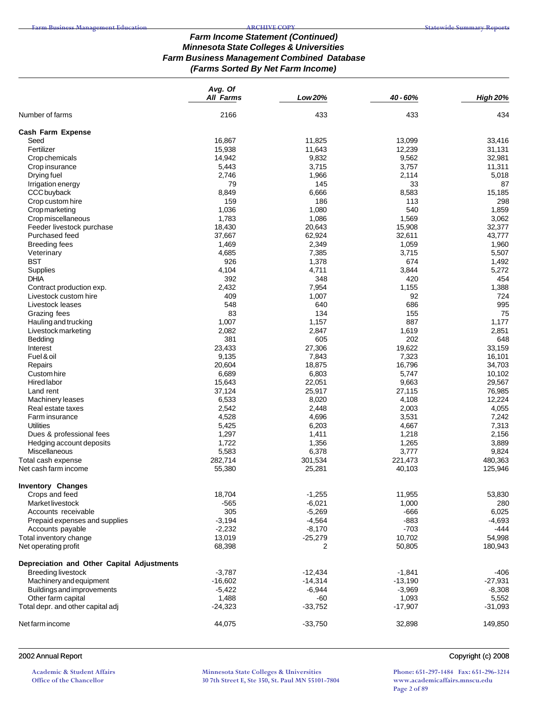### *Farm Income Statement (Continued) Minnesota State Colleges & Universities Farm Business Management Combined Database (Farms Sorted By Net Farm Income)*

|                                            | Avg. Of          |                 |           |                 |
|--------------------------------------------|------------------|-----------------|-----------|-----------------|
|                                            | <b>All Farms</b> | Low 20%         | 40 - 60%  | <b>High 20%</b> |
| Number of farms                            | 2166             | 433             | 433       | 434             |
| Cash Farm Expense                          |                  |                 |           |                 |
| Seed                                       | 16,867           | 11,825          | 13,099    | 33,416          |
| Fertilizer                                 | 15,938           | 11,643          | 12,239    | 31,131          |
| Crop chemicals                             | 14,942           | 9,832           | 9,562     | 32,981          |
| Crop insurance                             | 5,443            | 3,715           | 3,757     | 11,311          |
| Drying fuel                                | 2,746            | 1,966           | 2,114     | 5,018           |
| Irrigation energy                          | 79               | 145             | 33        | 87              |
| CCC buyback                                | 8,849            | 6,666           | 8,583     | 15,185          |
| Crop custom hire                           | 159              | 186             | 113       | 298             |
| Cropmarketing                              | 1,036            | 1,080           | 540       | 1,859           |
| Crop miscellaneous                         | 1,783            | 1,086           | 1,569     | 3,062           |
| Feeder livestock purchase                  | 18,430           | 20,643          | 15,908    | 32,377          |
| Purchased feed                             | 37,667           | 62,924          | 32,611    | 43,777          |
| <b>Breeding fees</b>                       | 1,469            | 2,349           | 1,059     | 1,960           |
| Veterinary                                 | 4,685            | 7,385           | 3,715     | 5,507           |
| <b>BST</b>                                 | 926              | 1,378           | 674       | 1,492           |
| Supplies                                   | 4,104            | 4,711           | 3,844     | 5,272           |
| <b>DHIA</b>                                | 392              | 348             | 420       | 454             |
| Contract production exp.                   | 2,432            | 7,954           | 1,155     | 1,388           |
| Livestock custom hire                      | 409              | 1,007           | 92        | 724             |
| Livestock leases                           | 548              | 640             | 686       | 995             |
| Grazing fees                               | 83               | 134             | 155       | 75              |
| Hauling and trucking                       | 1,007            | 1,157           | 887       | 1,177           |
| Livestock marketing                        | 2,082            | 2,847           | 1,619     | 2,851           |
| Bedding                                    | 381              | 605             | 202       | 648             |
|                                            | 23,433           |                 | 19,622    | 33,159          |
| Interest<br>Fuel & oil                     | 9,135            | 27,306<br>7,843 | 7,323     | 16,101          |
|                                            |                  |                 |           |                 |
| Repairs                                    | 20,604           | 18,875          | 16,796    | 34,703          |
| Custom hire                                | 6,689            | 6,803           | 5,747     | 10,102          |
| Hired labor                                | 15,643           | 22,051          | 9,663     | 29,567          |
| Land rent                                  | 37,124           | 25,917          | 27,115    | 76,985          |
| Machinery leases                           | 6,533            | 8,020           | 4,108     | 12,224          |
| Real estate taxes                          | 2,542            | 2,448           | 2,003     | 4,055           |
| Farm insurance                             | 4,528            | 4,696           | 3,531     | 7,242           |
| Utilities                                  | 5,425            | 6,203           | 4,667     | 7,313           |
| Dues & professional fees                   | 1,297            | 1,411           | 1,218     | 2,156           |
| Hedging account deposits                   | 1,722            | 1,356           | 1,265     | 3,889           |
| Miscellaneous                              | 5,583            | 6,378           | 3,777     | 9,824           |
| Total cash expense                         | 282,714          | 301,534         | 221,473   | 480,363         |
| Net cash farm income                       | 55,380           | 25,281          | 40,103    | 125,946         |
| <b>Inventory Changes</b>                   |                  |                 |           |                 |
| Crops and feed                             | 18,704           | $-1,255$        | 11,955    | 53,830          |
| <b>Market livestock</b>                    | -565             | $-6,021$        | 1,000     | 280             |
| Accounts receivable                        | 305              | $-5,269$        | -666      | 6,025           |
| Prepaid expenses and supplies              | $-3,194$         | $-4,564$        | $-883$    | $-4,693$        |
| Accounts payable                           | $-2,232$         | $-8,170$        | $-703$    | -444            |
| Total inventory change                     | 13,019           | $-25,279$       | 10,702    | 54,998          |
| Net operating profit                       | 68,398           | 2               | 50,805    | 180,943         |
| Depreciation and Other Capital Adjustments |                  |                 |           |                 |
| <b>Breeding livestock</b>                  | $-3,787$         | $-12,434$       | $-1,841$  | -406            |
| Machinery and equipment                    | $-16,602$        | $-14,314$       | $-13,190$ | $-27,931$       |
| Buildings and improvements                 | $-5,422$         | $-6,944$        | $-3,969$  | $-8,308$        |
| Other farm capital                         | 1,488            | -60             | 1,093     | 5,552           |
| Total depr. and other capital adj          | $-24,323$        | $-33,752$       | $-17,907$ | $-31,093$       |
|                                            |                  |                 |           |                 |
| Net farm income                            | 44,075           | $-33,750$       | 32,898    | 149,850         |

## 2002 Annual Report Copyright (c) 2008

**Academic & Student Affairs Office of the Chancellor**

**Minnesota State Colleges & Universities 30 7th Street E, Ste 350, St. Paul MN 55101-7804**

**Phone: 651-297-1484 Fax: 651-296-3214 www.academicaffairs.mnscu.edu Page 2 of 89**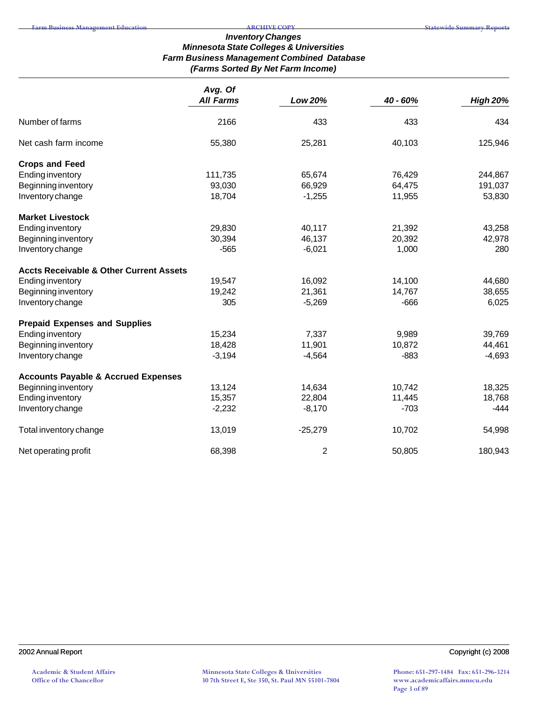# *Inventory Changes Minnesota State Colleges & Universities Farm Business Management Combined Database (Farms Sorted By Net Farm Income)*

|                                                    | Avg. Of  | <b>All Farms</b> |          |                 |
|----------------------------------------------------|----------|------------------|----------|-----------------|
|                                                    |          | Low 20%          | 40 - 60% | <b>High 20%</b> |
| Number of farms                                    | 2166     | 433              | 433      | 434             |
| Net cash farm income                               | 55,380   | 25,281           | 40,103   | 125,946         |
| <b>Crops and Feed</b>                              |          |                  |          |                 |
| <b>Ending inventory</b>                            | 111,735  | 65,674           | 76,429   | 244,867         |
| Beginning inventory                                | 93,030   | 66,929           | 64,475   | 191,037         |
| Inventory change                                   | 18,704   | $-1,255$         | 11,955   | 53,830          |
| <b>Market Livestock</b>                            |          |                  |          |                 |
| <b>Ending inventory</b>                            | 29,830   | 40,117           | 21,392   | 43,258          |
| Beginning inventory                                | 30,394   | 46,137           | 20,392   | 42,978          |
| Inventory change                                   | $-565$   | $-6,021$         | 1,000    | 280             |
| <b>Accts Receivable &amp; Other Current Assets</b> |          |                  |          |                 |
| <b>Ending inventory</b>                            | 19,547   | 16,092           | 14,100   | 44,680          |
| Beginning inventory                                | 19,242   | 21,361           | 14,767   | 38,655          |
| Inventory change                                   | 305      | $-5,269$         | $-666$   | 6,025           |
| <b>Prepaid Expenses and Supplies</b>               |          |                  |          |                 |
| <b>Ending inventory</b>                            | 15,234   | 7,337            | 9,989    | 39,769          |
| Beginning inventory                                | 18,428   | 11,901           | 10,872   | 44,461          |
| Inventory change                                   | $-3,194$ | $-4,564$         | $-883$   | $-4,693$        |
| <b>Accounts Payable &amp; Accrued Expenses</b>     |          |                  |          |                 |
| Beginning inventory                                | 13,124   | 14,634           | 10,742   | 18,325          |
| <b>Ending inventory</b>                            | 15,357   | 22,804           | 11,445   | 18,768          |
| Inventory change                                   | $-2,232$ | $-8,170$         | $-703$   | $-444$          |
| Total inventory change                             | 13,019   | $-25,279$        | 10,702   | 54,998          |
| Net operating profit                               | 68,398   | 2                | 50,805   | 180,943         |

2002 Annual Report Copyright (c) 2008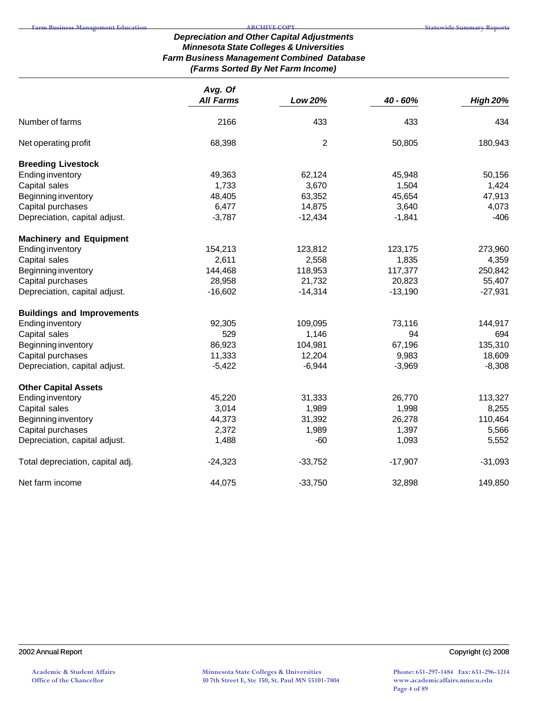# *Depreciation and Other Capital Adjustments Minnesota State Colleges & Universities Farm Business Management Combined Database (Farms Sorted By Net Farm Income)*

|                                   | Avg. Of          |                |           |                 |
|-----------------------------------|------------------|----------------|-----------|-----------------|
|                                   | <b>All Farms</b> | Low 20%        | 40 - 60%  | <b>High 20%</b> |
| Number of farms                   | 2166             | 433            | 433       | 434             |
| Net operating profit              | 68,398           | $\overline{2}$ | 50,805    | 180,943         |
| <b>Breeding Livestock</b>         |                  |                |           |                 |
| <b>Ending inventory</b>           | 49,363           | 62,124         | 45,948    | 50,156          |
| Capital sales                     | 1,733            | 3,670          | 1,504     | 1,424           |
| Beginning inventory               | 48,405           | 63,352         | 45,654    | 47,913          |
| Capital purchases                 | 6,477            | 14,875         | 3,640     | 4,073           |
| Depreciation, capital adjust.     | $-3,787$         | $-12,434$      | $-1,841$  | $-406$          |
| <b>Machinery and Equipment</b>    |                  |                |           |                 |
| <b>Ending inventory</b>           | 154,213          | 123,812        | 123,175   | 273,960         |
| Capital sales                     | 2,611            | 2,558          | 1,835     | 4,359           |
| Beginning inventory               | 144,468          | 118,953        | 117,377   | 250,842         |
| Capital purchases                 | 28,958           | 21,732         | 20,823    | 55,407          |
| Depreciation, capital adjust.     | $-16,602$        | $-14,314$      | $-13,190$ | $-27,931$       |
| <b>Buildings and Improvements</b> |                  |                |           |                 |
| <b>Ending inventory</b>           | 92,305           | 109,095        | 73,116    | 144,917         |
| Capital sales                     | 529              | 1,146          | 94        | 694             |
| Beginning inventory               | 86,923           | 104,981        | 67,196    | 135,310         |
| Capital purchases                 | 11,333           | 12,204         | 9,983     | 18,609          |
| Depreciation, capital adjust.     | $-5,422$         | $-6,944$       | $-3,969$  | $-8,308$        |
| <b>Other Capital Assets</b>       |                  |                |           |                 |
| <b>Ending inventory</b>           | 45,220           | 31,333         | 26,770    | 113,327         |
| Capital sales                     | 3,014            | 1,989          | 1,998     | 8,255           |
| Beginning inventory               | 44,373           | 31,392         | 26,278    | 110,464         |
| Capital purchases                 | 2,372            | 1,989          | 1,397     | 5,566           |
| Depreciation, capital adjust.     | 1,488            | $-60$          | 1,093     | 5,552           |
| Total depreciation, capital adj.  | $-24,323$        | $-33,752$      | $-17,907$ | $-31,093$       |
| Net farm income                   | 44,075           | $-33,750$      | 32,898    | 149,850         |

## 2002 Annual Report Copyright (c) 2008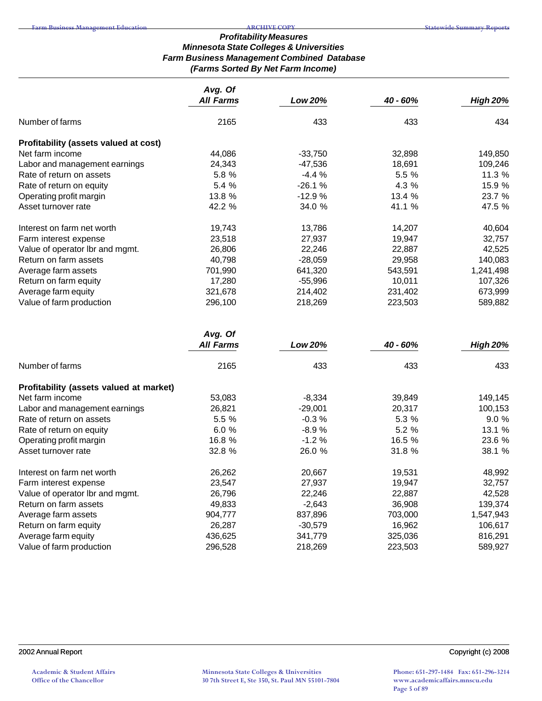## *Profitability Measures Minnesota State Colleges & Universities Farm Business Management Combined Database (Farms Sorted By Net Farm Income)*

|                                       | Avg. Of<br><b>All Farms</b> | Low 20%   | 40 - 60% | <b>High 20%</b> |
|---------------------------------------|-----------------------------|-----------|----------|-----------------|
| Number of farms                       | 2165                        | 433       | 433      | 434             |
| Profitability (assets valued at cost) |                             |           |          |                 |
| Net farm income                       | 44,086                      | $-33,750$ | 32,898   | 149,850         |
| Labor and management earnings         | 24,343                      | -47,536   | 18,691   | 109,246         |
| Rate of return on assets              | 5.8 %                       | $-4.4%$   | 5.5 %    | 11.3 %          |
| Rate of return on equity              | 5.4 %                       | $-26.1%$  | 4.3 %    | 15.9 %          |
| Operating profit margin               | 13.8 %                      | $-12.9%$  | 13.4 %   | 23.7 %          |
| Asset turnover rate                   | 42.2 %                      | 34.0 %    | 41.1 %   | 47.5 %          |
| Interest on farm net worth            | 19,743                      | 13,786    | 14,207   | 40,604          |
| Farm interest expense                 | 23,518                      | 27,937    | 19,947   | 32,757          |
| Value of operator Ibr and mgmt.       | 26,806                      | 22,246    | 22,887   | 42,525          |
| Return on farm assets                 | 40,798                      | $-28,059$ | 29,958   | 140,083         |
| Average farm assets                   | 701,990                     | 641,320   | 543,591  | 1,241,498       |
| Return on farm equity                 | 17,280                      | $-55,996$ | 10,011   | 107,326         |
| Average farm equity                   | 321,678                     | 214,402   | 231,402  | 673,999         |
| Value of farm production              | 296,100                     | 218,269   | 223,503  | 589,882         |
|                                       | Avg. Of                     |           |          |                 |

|                                         | <b>All Farms</b> | Low 20%   | 40 - 60% | <b>High 20%</b> |
|-----------------------------------------|------------------|-----------|----------|-----------------|
| Number of farms                         | 2165             | 433       | 433      | 433             |
| Profitability (assets valued at market) |                  |           |          |                 |
| Net farm income                         | 53,083           | $-8,334$  | 39,849   | 149,145         |
| Labor and management earnings           | 26,821           | $-29,001$ | 20,317   | 100,153         |
| Rate of return on assets                | 5.5 %            | $-0.3%$   | 5.3 %    | 9.0%            |
| Rate of return on equity                | 6.0%             | $-8.9%$   | 5.2 %    | 13.1 %          |
| Operating profit margin                 | 16.8 %           | $-1.2%$   | 16.5 %   | 23.6 %          |
| Asset turnover rate                     | 32.8 %           | 26.0 %    | 31.8 %   | 38.1 %          |
| Interest on farm net worth              | 26,262           | 20,667    | 19,531   | 48,992          |
| Farm interest expense                   | 23,547           | 27,937    | 19,947   | 32,757          |
| Value of operator Ibr and mgmt.         | 26,796           | 22,246    | 22,887   | 42,528          |
| Return on farm assets                   | 49,833           | $-2,643$  | 36,908   | 139,374         |
| Average farm assets                     | 904,777          | 837,896   | 703,000  | 1,547,943       |
| Return on farm equity                   | 26,287           | $-30,579$ | 16,962   | 106,617         |
| Average farm equity                     | 436,625          | 341,779   | 325,036  | 816,291         |
| Value of farm production                | 296,528          | 218,269   | 223,503  | 589,927         |

## 2002 Annual Report Copyright (c) 2008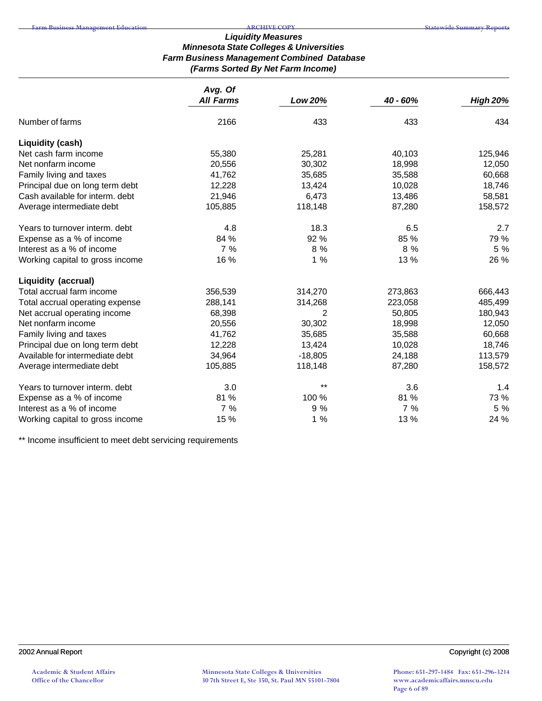## *Liquidity Measures Minnesota State Colleges & Universities Farm Business Management Combined Database (Farms Sorted By Net Farm Income)*

|                                 | Avg. Of          |           |          |                 |
|---------------------------------|------------------|-----------|----------|-----------------|
|                                 | <b>All Farms</b> | Low 20%   | 40 - 60% | <b>High 20%</b> |
| Number of farms                 | 2166             | 433       | 433      | 434             |
| Liquidity (cash)                |                  |           |          |                 |
| Net cash farm income            | 55,380           | 25,281    | 40,103   | 125,946         |
| Net nonfarm income              | 20,556           | 30,302    | 18,998   | 12,050          |
| Family living and taxes         | 41,762           | 35,685    | 35,588   | 60,668          |
| Principal due on long term debt | 12,228           | 13,424    | 10,028   | 18,746          |
| Cash available for interm. debt | 21,946           | 6,473     | 13,486   | 58,581          |
| Average intermediate debt       | 105,885          | 118,148   | 87,280   | 158,572         |
| Years to turnover interm. debt  | 4.8              | 18.3      | 6.5      | 2.7             |
| Expense as a % of income        | 84 %             | 92 %      | 85 %     | 79 %            |
| Interest as a % of income       | 7%               | 8 %       | 8 %      | 5 %             |
| Working capital to gross income | 16 %             | 1%        | 13 %     | 26 %            |
| Liquidity (accrual)             |                  |           |          |                 |
| Total accrual farm income       | 356,539          | 314,270   | 273,863  | 666,443         |
| Total accrual operating expense | 288,141          | 314,268   | 223,058  | 485,499         |
| Net accrual operating income    | 68,398           | 2         | 50,805   | 180,943         |
| Net nonfarm income              | 20,556           | 30,302    | 18,998   | 12,050          |
| Family living and taxes         | 41,762           | 35,685    | 35,588   | 60,668          |
| Principal due on long term debt | 12,228           | 13,424    | 10,028   | 18,746          |
| Available for intermediate debt | 34,964           | $-18,805$ | 24,188   | 113,579         |
| Average intermediate debt       | 105,885          | 118,148   | 87,280   | 158,572         |
| Years to turnover interm. debt  | 3.0              | $***$     | 3.6      | 1.4             |
| Expense as a % of income        | 81 %             | 100 %     | 81 %     | 73 %            |
| Interest as a % of income       | 7%               | 9 %       | 7%       | 5 %             |
| Working capital to gross income | 15 %             | 1%        | 13 %     | 24 %            |

\*\* Income insufficient to meet debt servicing requirements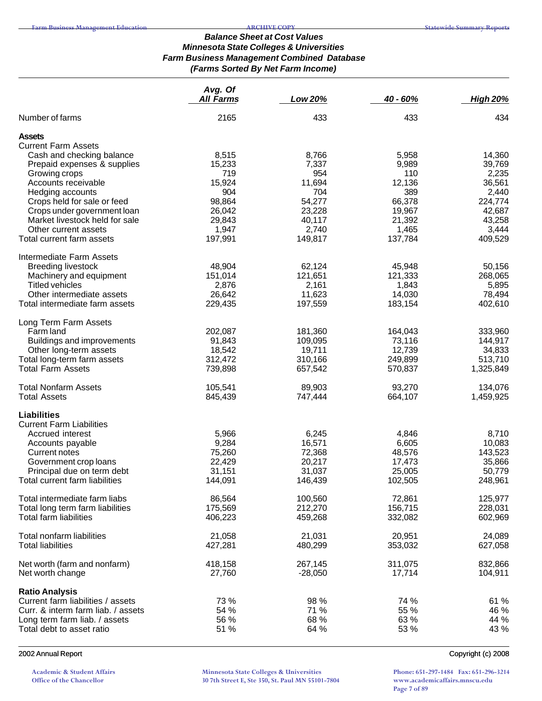## *Balance Sheet at Cost Values Minnesota State Colleges & Universities Farm Business Management Combined Database (Farms Sorted By Net Farm Income)*

|                                              | Avg. Of<br>All Farms | Low 20%      | 40 - 60%     | <b>High 20%</b> |
|----------------------------------------------|----------------------|--------------|--------------|-----------------|
| Number of farms                              | 2165                 | 433          | 433          | 434             |
| <b>Assets</b><br><b>Current Farm Assets</b>  |                      |              |              |                 |
|                                              |                      |              |              |                 |
| Cash and checking balance                    | 8,515<br>15,233      | 8,766        | 5,958        | 14,360          |
| Prepaid expenses & supplies<br>Growing crops | 719                  | 7,337<br>954 | 9,989<br>110 | 39,769<br>2,235 |
| Accounts receivable                          | 15,924               | 11,694       | 12,136       | 36,561          |
| Hedging accounts                             | 904                  | 704          | 389          | 2,440           |
| Crops held for sale or feed                  | 98,864               | 54,277       | 66,378       | 224,774         |
| Crops under government loan                  | 26,042               | 23,228       | 19,967       | 42,687          |
| Market livestock held for sale               | 29,843               | 40,117       | 21,392       | 43,258          |
| Other current assets                         | 1,947                | 2,740        | 1,465        | 3,444           |
| Total current farm assets                    | 197,991              | 149,817      | 137,784      | 409,529         |
| Intermediate Farm Assets                     |                      |              |              |                 |
| <b>Breeding livestock</b>                    | 48,904               | 62,124       | 45,948       | 50,156          |
| Machinery and equipment                      | 151,014              | 121,651      | 121,333      | 268,065         |
| <b>Titled vehicles</b>                       | 2,876                | 2,161        | 1,843        | 5,895           |
| Other intermediate assets                    | 26,642               | 11,623       | 14,030       | 78,494          |
| Total intermediate farm assets               | 229,435              | 197,559      | 183,154      | 402,610         |
| Long Term Farm Assets                        |                      |              |              |                 |
| Farm land                                    | 202,087              | 181,360      | 164,043      | 333,960         |
| Buildings and improvements                   | 91,843               | 109,095      | 73,116       | 144,917         |
| Other long-term assets                       | 18,542               | 19,711       | 12,739       | 34,833          |
| Total long-term farm assets                  | 312,472              | 310,166      | 249,899      | 513,710         |
| <b>Total Farm Assets</b>                     | 739,898              | 657,542      | 570,837      | 1,325,849       |
| <b>Total Nonfarm Assets</b>                  | 105,541              | 89,903       | 93,270       | 134,076         |
| <b>Total Assets</b>                          | 845,439              | 747,444      | 664,107      | 1,459,925       |
| <b>Liabilities</b>                           |                      |              |              |                 |
| <b>Current Farm Liabilities</b>              |                      |              |              |                 |
| Accrued interest                             | 5,966                | 6,245        | 4,846        | 8,710           |
| Accounts payable                             | 9,284                | 16,571       | 6,605        | 10,083          |
| Current notes                                | 75,260               | 72,368       | 48,576       | 143,523         |
| Government crop loans                        | 22,429               | 20,217       | 17,473       | 35,866          |
| Principal due on term debt                   | 31,151               | 31,037       | 25,005       | 50,779          |
| Total current farm liabilities               | 144,091              | 146,439      | 102,505      | 248,961         |
| Total intermediate farm liabs                | 86,564               | 100,560      | 72,861       | 125,977         |
| Total long term farm liabilities             | 175,569              | 212,270      | 156,715      | 228,031         |
| <b>Total farm liabilities</b>                | 406,223              | 459,268      | 332,082      | 602,969         |
| Total nonfarm liabilities                    | 21,058               | 21,031       | 20,951       | 24,089          |
| <b>Total liabilities</b>                     | 427,281              | 480,299      | 353,032      | 627,058         |
|                                              |                      |              |              |                 |
| Net worth (farm and nonfarm)                 | 418,158              | 267,145      | 311,075      | 832,866         |
| Net worth change                             | 27,760               | $-28,050$    | 17,714       | 104,911         |
| <b>Ratio Analysis</b>                        |                      |              |              |                 |
| Current farm liabilities / assets            | 73 %                 | 98 %         | 74 %         | 61 %            |
| Curr. & interm farm liab. / assets           | 54 %                 | 71 %         | 55 %         | 46 %            |
| Long term farm liab. / assets                | 56 %                 | 68 %         | 63 %         | 44 %            |
| Total debt to asset ratio                    | 51 %                 | 64 %         | 53 %         | 43 %            |
|                                              |                      |              |              |                 |

#### 2002 Annual Report Copyright (c) 2008

**Academic & Student Affairs Office of the Chancellor**

**Minnesota State Colleges & Universities 30 7th Street E, Ste 350, St. Paul MN 55101-7804**

**Phone: 651-297-1484 Fax: 651-296-3214 www.academicaffairs.mnscu.edu Page 7 of 89**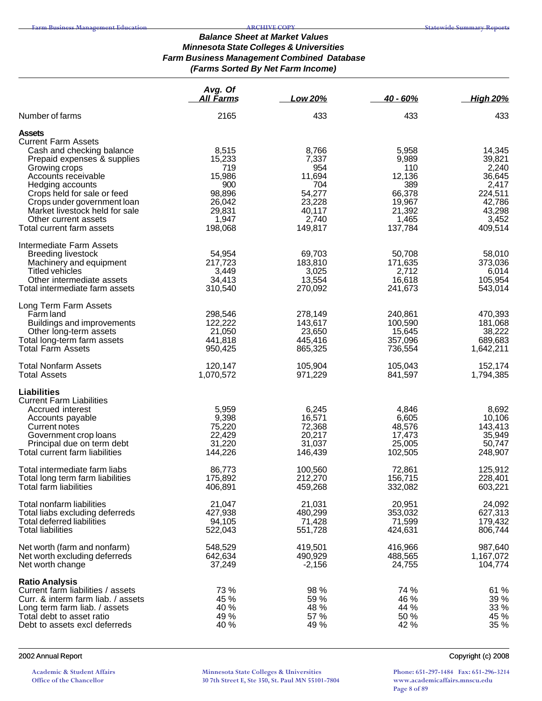#### *Balance Sheet at Market Values Minnesota State Colleges & Universities Farm Business Management Combined Database (Farms Sorted By Net Farm Income)*

|                                                                                                                                                                                                 | Avg. Of<br><b>All Farms</b>          | Low 20%                              | $40 - 60%$                           | <b>High 20%</b>                      |
|-------------------------------------------------------------------------------------------------------------------------------------------------------------------------------------------------|--------------------------------------|--------------------------------------|--------------------------------------|--------------------------------------|
| Number of farms                                                                                                                                                                                 | 2165                                 | 433                                  | 433                                  | 433                                  |
| <b>Assets</b><br><b>Current Farm Assets</b>                                                                                                                                                     |                                      |                                      |                                      |                                      |
| Cash and checking balance                                                                                                                                                                       | 8,515                                | 8,766                                | 5,958                                | 14,345                               |
| Prepaid expenses & supplies                                                                                                                                                                     | 15,233                               | 7,337                                | 9,989                                | 39,821                               |
| Growing crops                                                                                                                                                                                   | 719                                  | 954                                  | 110                                  | 2,240                                |
| Accounts receivable                                                                                                                                                                             | 15,986                               | 11,694                               | 12,136                               | 36,645                               |
| Hedging accounts                                                                                                                                                                                | 900                                  | 704                                  | 389                                  | 2,417                                |
| Crops held for sale or feed                                                                                                                                                                     | 98,896                               | 54,277                               | 66,378                               | 224,511                              |
| Crops under government loan                                                                                                                                                                     | 26,042                               | 23,228                               | 19,967                               | 42,786                               |
| Market livestock held for sale                                                                                                                                                                  | 29,831                               | 40,117                               | 21,392                               | 43,298                               |
| Other current assets                                                                                                                                                                            | 1,947                                | 2,740                                | 1,465                                | 3,452                                |
| Total current farm assets                                                                                                                                                                       | 198,068                              | 149,817                              | 137,784                              | 409,514                              |
| Intermediate Farm Assets<br><b>Breeding livestock</b>                                                                                                                                           | 54,954                               | 69,703                               | 50,708                               | 58,010                               |
| Machinery and equipment                                                                                                                                                                         | 217,723                              | 183,810                              | 171,635                              | 373,036                              |
| <b>Titled vehicles</b>                                                                                                                                                                          | 3,449                                | 3,025                                | 2,712                                | 6,014                                |
| Other intermediate assets                                                                                                                                                                       | 34,413                               | 13,554                               | 16,618                               | 105,954                              |
| Total intermediate farm assets                                                                                                                                                                  | 310,540                              | 270,092                              | 241,673                              | 543,014                              |
| Long Term Farm Assets                                                                                                                                                                           |                                      |                                      |                                      |                                      |
| Farm land                                                                                                                                                                                       | 298,546                              | 278,149                              | 240,861                              | 470,393                              |
| Buildings and improvements                                                                                                                                                                      | 122,222                              | 143,617                              | 100,590                              | 181,068                              |
| Other long-term assets                                                                                                                                                                          | 21,050                               | 23,650                               | 15,645                               | 38,222                               |
| Total long-term farm assets                                                                                                                                                                     | 441,818                              | 445,416                              | 357,096                              | 689,683                              |
| <b>Total Farm Assets</b>                                                                                                                                                                        | 950,425                              | 865,325                              | 736,554                              | 1,642,211                            |
| <b>Total Nonfarm Assets</b>                                                                                                                                                                     | 120,147                              | 105,904                              | 105,043                              | 152,174                              |
| <b>Total Assets</b>                                                                                                                                                                             | 1,070,572                            | 971,229                              | 841,597                              | 1,794,385                            |
| Liabilities<br><b>Current Farm Liabilities</b>                                                                                                                                                  |                                      |                                      |                                      |                                      |
| Accrued interest                                                                                                                                                                                | 5,959                                | 6,245                                | 4,846                                | 8,692                                |
| Accounts payable                                                                                                                                                                                | 9,398                                | 16,571                               | 6,605                                | 10,106                               |
| Current notes                                                                                                                                                                                   | 75,220                               | 72,368                               | 48,576                               | 143,413                              |
| Government crop loans                                                                                                                                                                           | 22,429                               | 20,217                               | 17,473                               | 35,949                               |
| Principal due on term debt                                                                                                                                                                      | 31,220                               | 31,037                               | 25,005                               | 50,747                               |
| Total current farm liabilities                                                                                                                                                                  | 144,226                              | 146,439                              | 102,505                              | 248,907                              |
| Total intermediate farm liabs                                                                                                                                                                   | 86,773                               | 100,560                              | 72,861                               | 125,912                              |
| Total long term farm liabilities                                                                                                                                                                | 175,892                              | 212,270                              | 156,715                              | 228,401                              |
| Total farm liabilities                                                                                                                                                                          | 406,891                              | 459,268                              | 332,082                              | 603,221                              |
| Total nonfarm liabilities                                                                                                                                                                       | 21,047                               | 21,031                               | 20,951                               | 24,092                               |
| Total liabs excluding deferreds                                                                                                                                                                 | 427,938                              | 480,299                              | 353,032                              | 627,313                              |
| Total deferred liabilities                                                                                                                                                                      | 94,105                               | 71,428                               | 71,599                               | 179,432                              |
| <b>Total liabilities</b>                                                                                                                                                                        | 522,043                              | 551,728                              | 424,631                              | 806,744                              |
| Net worth (farm and nonfarm)                                                                                                                                                                    | 548,529                              | 419,501                              | 416,966                              | 987,640                              |
| Net worth excluding deferreds                                                                                                                                                                   | 642,634                              | 490,929                              | 488,565                              | 1,167,072                            |
| Net worth change                                                                                                                                                                                | 37,249                               | $-2,156$                             | 24,755                               | 104,774                              |
| <b>Ratio Analysis</b><br>Current farm liabilities / assets<br>Curr. & interm farm liab. / assets<br>Long term farm liab. / assets<br>Total debt to asset ratio<br>Debt to assets excl deferreds | 73 %<br>45 %<br>40 %<br>49 %<br>40 % | 98 %<br>59 %<br>48 %<br>57 %<br>49 % | 74 %<br>46 %<br>44 %<br>50 %<br>42 % | 61 %<br>39 %<br>33 %<br>45 %<br>35 % |

**Academic & Student Affairs Office of the Chancellor**

**Minnesota State Colleges & Universities 30 7th Street E, Ste 350, St. Paul MN 55101-7804**

2002 Annual Report Copyright (c) 2008

**Phone: 651-297-1484 Fax: 651-296-3214 www.academicaffairs.mnscu.edu Page 8 of 89**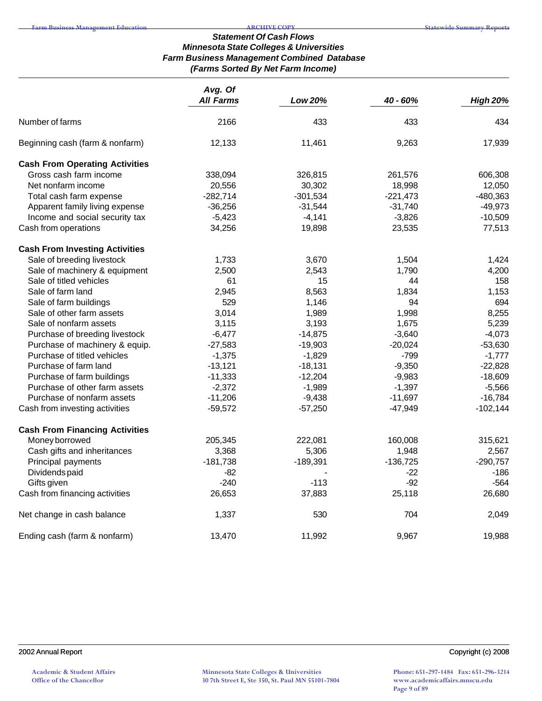#### *Statement Of Cash Flows Minnesota State Colleges & Universities Farm Business Management Combined Database (Farms Sorted By Net Farm Income)*

|                                       | Avg. Of<br><b>All Farms</b> | <b>Low 20%</b> | 40 - 60%   | <b>High 20%</b> |
|---------------------------------------|-----------------------------|----------------|------------|-----------------|
| Number of farms                       | 2166                        | 433            | 433        | 434             |
| Beginning cash (farm & nonfarm)       | 12,133                      | 11,461         | 9,263      | 17,939          |
| <b>Cash From Operating Activities</b> |                             |                |            |                 |
| Gross cash farm income                | 338,094                     | 326,815        | 261,576    | 606,308         |
| Net nonfarm income                    | 20,556                      | 30,302         | 18,998     | 12,050          |
| Total cash farm expense               | $-282,714$                  | $-301,534$     | $-221,473$ | -480,363        |
| Apparent family living expense        | $-36,256$                   | $-31,544$      | $-31,740$  | $-49,973$       |
| Income and social security tax        | $-5,423$                    | $-4,141$       | $-3,826$   | $-10,509$       |
| Cash from operations                  | 34,256                      | 19,898         | 23,535     | 77,513          |
| <b>Cash From Investing Activities</b> |                             |                |            |                 |
| Sale of breeding livestock            | 1,733                       | 3,670          | 1,504      | 1,424           |
| Sale of machinery & equipment         | 2,500                       | 2,543          | 1,790      | 4,200           |
| Sale of titled vehicles               | 61                          | 15             | 44         | 158             |
| Sale of farm land                     | 2,945                       | 8,563          | 1,834      | 1,153           |
| Sale of farm buildings                | 529                         | 1,146          | 94         | 694             |
| Sale of other farm assets             | 3,014                       | 1,989          | 1,998      | 8,255           |
| Sale of nonfarm assets                | 3,115                       | 3,193          | 1,675      | 5,239           |
| Purchase of breeding livestock        | $-6,477$                    | $-14,875$      | $-3,640$   | $-4,073$        |
| Purchase of machinery & equip.        | $-27,583$                   | $-19,903$      | $-20,024$  | $-53,630$       |
| Purchase of titled vehicles           | $-1,375$                    | $-1,829$       | $-799$     | $-1,777$        |
| Purchase of farm land                 | $-13,121$                   | $-18,131$      | $-9,350$   | $-22,828$       |
| Purchase of farm buildings            | $-11,333$                   | $-12,204$      | $-9,983$   | $-18,609$       |
| Purchase of other farm assets         | $-2,372$                    | $-1,989$       | $-1,397$   | $-5,566$        |
| Purchase of nonfarm assets            | $-11,206$                   | $-9,438$       | $-11,697$  | $-16,784$       |
| Cash from investing activities        | $-59,572$                   | $-57,250$      | $-47,949$  | $-102,144$      |
| <b>Cash From Financing Activities</b> |                             |                |            |                 |
| Money borrowed                        | 205,345                     | 222,081        | 160,008    | 315,621         |
| Cash gifts and inheritances           | 3,368                       | 5,306          | 1,948      | 2,567           |
| Principal payments                    | $-181,738$                  | $-189,391$     | $-136,725$ | $-290,757$      |
| Dividends paid                        | $-82$                       |                | $-22$      | $-186$          |
| Gifts given                           | $-240$                      | $-113$         | $-92$      | $-564$          |
| Cash from financing activities        | 26,653                      | 37,883         | 25,118     | 26,680          |
| Net change in cash balance            | 1,337                       | 530            | 704        | 2,049           |
| Ending cash (farm & nonfarm)          | 13,470                      | 11,992         | 9,967      | 19,988          |

**Phone: 651-297-1484 Fax: 651-296-3214 www.academicaffairs.mnscu.edu Page 9 of 89**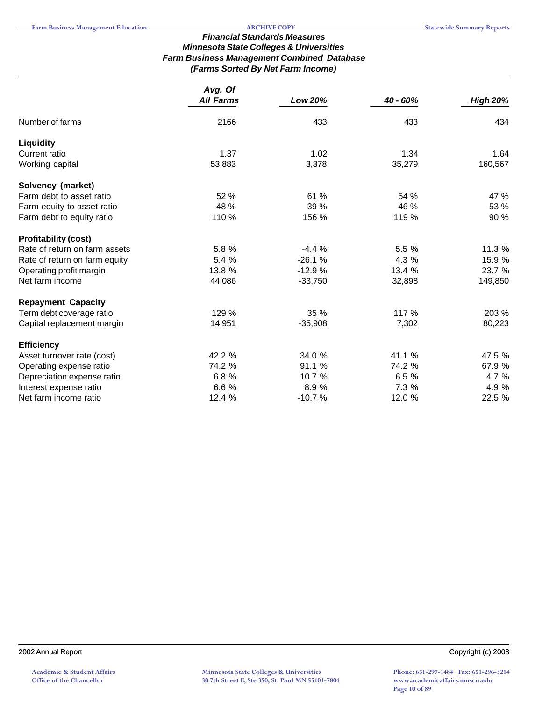# *Financial Standards Measures Minnesota State Colleges & Universities Farm Business Management Combined Database (Farms Sorted By Net Farm Income)*

|                               | Avg. Of          |                |          |                 |
|-------------------------------|------------------|----------------|----------|-----------------|
|                               | <b>All Farms</b> | <b>Low 20%</b> | 40 - 60% | <b>High 20%</b> |
| Number of farms               | 2166             | 433            | 433      | 434             |
| <b>Liquidity</b>              |                  |                |          |                 |
| Current ratio                 | 1.37             | 1.02           | 1.34     | 1.64            |
| Working capital               | 53,883           | 3,378          | 35,279   | 160,567         |
| Solvency (market)             |                  |                |          |                 |
| Farm debt to asset ratio      | 52 %             | 61 %           | 54 %     | 47 %            |
| Farm equity to asset ratio    | 48 %             | 39 %           | 46 %     | 53 %            |
| Farm debt to equity ratio     | 110 %            | 156 %          | 119 %    | 90 %            |
| <b>Profitability (cost)</b>   |                  |                |          |                 |
| Rate of return on farm assets | 5.8 %            | $-4.4%$        | 5.5 %    | 11.3 %          |
| Rate of return on farm equity | 5.4 %            | $-26.1%$       | 4.3 %    | 15.9 %          |
| Operating profit margin       | 13.8 %           | $-12.9%$       | 13.4 %   | 23.7 %          |
| Net farm income               | 44,086           | $-33,750$      | 32,898   | 149,850         |
| <b>Repayment Capacity</b>     |                  |                |          |                 |
| Term debt coverage ratio      | 129 %            | 35 %           | 117 %    | 203 %           |
| Capital replacement margin    | 14,951           | $-35,908$      | 7,302    | 80,223          |
| <b>Efficiency</b>             |                  |                |          |                 |
| Asset turnover rate (cost)    | 42.2 %           | 34.0 %         | 41.1 %   | 47.5 %          |
| Operating expense ratio       | 74.2 %           | 91.1 %         | 74.2 %   | 67.9 %          |
| Depreciation expense ratio    | 6.8 %            | 10.7 %         | 6.5 %    | 4.7 %           |
| Interest expense ratio        | 6.6 %            | 8.9 %          | 7.3 %    | 4.9 %           |
| Net farm income ratio         | 12.4 %           | $-10.7%$       | 12.0 %   | 22.5 %          |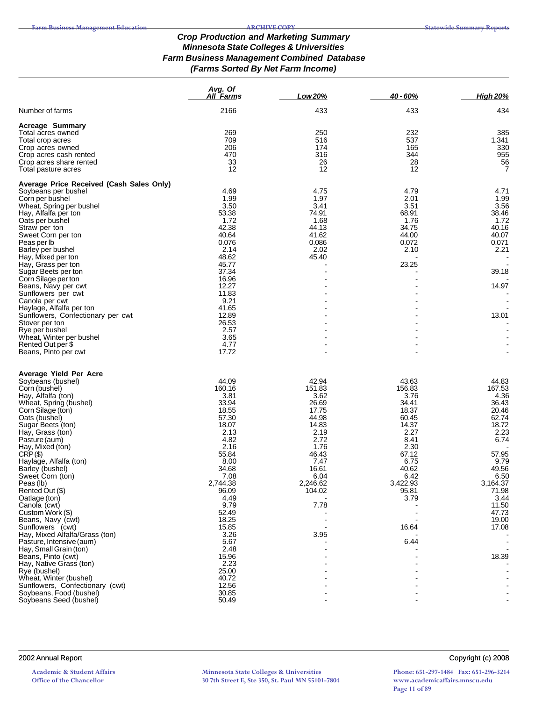## *Crop Production and Marketing Summary Minnesota State Colleges & Universities Farm Business Management Combined Database (Farms Sorted By Net Farm Income)*

| 2166<br>Number of farms<br>433<br>433<br><b>Acreage Summary</b><br>269<br>250<br>232<br>Total acres owned<br>709<br>537<br>516<br>Total crop acres<br>206<br>174<br>165<br>Crop acres owned<br>470<br>316<br>344<br>Crop acres cash rented<br>33<br>26<br>Crop acres share rented<br>28<br>12<br>12<br>12<br>Total pasture acres<br>Average Price Received (Cash Sales Only)<br>4.69<br>4.75<br>Soybeans per bushel<br>4.79<br>1.99<br>1.97<br>2.01<br>Corn per bushel<br>3.41<br>3.50<br>3.51<br>Wheat, Spring per bushel<br>53.38<br>74.91<br>68.91<br>Hay, Alfalfa per ton<br>1.72<br>1.68<br>Oats per bushel<br>1.76<br>42.38<br>44.13<br>34.75<br>Straw per ton<br>40.64<br>41.62<br>44.00<br>Sweet Corn per ton<br>0.076<br>0.086<br>0.072<br>Peas per lb<br>2.14<br>2.02<br>Barley per bushel<br>2.10<br>48.62<br>45.40<br>Hay, Mixed per ton<br>23.25<br>45.77<br>Hay, Grass per ton<br>37.34<br>Sugar Beets per ton<br>16.96<br>Corn Silage per ton<br>12.27<br>Beans, Navy per cwt<br>11.83<br>Sunflowers per cwt<br>9.21<br>Canola per cwt<br>41.65<br>Haylage, Alfalfa per ton<br>12.89<br>Sunflowers, Confectionary per cwt<br>26.53<br>Stover per ton<br>Rye per bushel<br>2.57<br>3.65<br>Wheat, Winter per bushel<br>Rented Out per \$<br>4.77<br>17.72<br>Beans, Pinto per cwt<br>Average Yield Per Acre<br>44.09<br>42.94<br>43.63<br>Soybeans (bushel)<br>160.16<br>151.83<br>156.83<br>Corn (bushel)<br>Hay, Alfalfa (ton)<br>3.81<br>3.62<br>3.76<br>33.94<br>26.69<br>34.41<br>Wheat, Spring (bushel)<br>18.55<br>17.75<br>18.37<br>Corn Silage (ton)<br>57.30<br>44.98<br>60.45<br>Oats (bushel)<br>18.07<br>14.37<br>Sugar Beets (ton)<br>14.83<br>2.13<br>2.19<br>2.27<br>Hay, Grass (ton)<br>4.82<br>2.72<br>8.41<br>Pasture (aum)<br>2.16<br>1.76<br>2.30<br>Hay, Mixed (ton)<br>55.84<br>46.43<br>$CRP(\$)$<br>67.12<br>8.00<br>7.47<br>6.75<br>Haylage, Alfalfa (ton)<br>34.68<br>16.61<br>40.62<br>Barley (bushel)<br>7.08<br>6.04<br>6.42<br>Sweet Corn (ton)<br>2,744.38<br>2,246.62<br>3,422.93<br>Peas (lb)<br>Rented Out (\$)<br>96.09<br>104.02<br>95.81<br>Oatlage (ton)<br>4.49<br>3.79<br>9.79<br>Canola (cwt)<br>7.78<br>Custom Work (\$)<br>52.49<br>18.25<br>Beans, Navy (cwt)<br>15.85<br>Sunflowers (cwt)<br>16.64<br>Hay, Mixed Alfalfa/Grass (ton)<br>3.26<br>3.95<br>5.67<br>6.44<br>Pasture, Intensive (aum)<br>2.48<br>Hay, Small Grain (ton)<br>Beans, Pinto (cwt)<br>15.96<br>2.23<br>Hay, Native Grass (ton) |              | Avg. Of<br><b>All Farms</b> | Low 20% | 40 - 60% | <b>High 20%</b>                                                                                                                                                                         |
|------------------------------------------------------------------------------------------------------------------------------------------------------------------------------------------------------------------------------------------------------------------------------------------------------------------------------------------------------------------------------------------------------------------------------------------------------------------------------------------------------------------------------------------------------------------------------------------------------------------------------------------------------------------------------------------------------------------------------------------------------------------------------------------------------------------------------------------------------------------------------------------------------------------------------------------------------------------------------------------------------------------------------------------------------------------------------------------------------------------------------------------------------------------------------------------------------------------------------------------------------------------------------------------------------------------------------------------------------------------------------------------------------------------------------------------------------------------------------------------------------------------------------------------------------------------------------------------------------------------------------------------------------------------------------------------------------------------------------------------------------------------------------------------------------------------------------------------------------------------------------------------------------------------------------------------------------------------------------------------------------------------------------------------------------------------------------------------------------------------------------------------------------------------------------------------------------------------------------------------------------------------------------------------------------------------------------------------------------------------------------------------------------------------------------------------------------------------|--------------|-----------------------------|---------|----------|-----------------------------------------------------------------------------------------------------------------------------------------------------------------------------------------|
|                                                                                                                                                                                                                                                                                                                                                                                                                                                                                                                                                                                                                                                                                                                                                                                                                                                                                                                                                                                                                                                                                                                                                                                                                                                                                                                                                                                                                                                                                                                                                                                                                                                                                                                                                                                                                                                                                                                                                                                                                                                                                                                                                                                                                                                                                                                                                                                                                                                                  |              |                             |         |          | 434                                                                                                                                                                                     |
|                                                                                                                                                                                                                                                                                                                                                                                                                                                                                                                                                                                                                                                                                                                                                                                                                                                                                                                                                                                                                                                                                                                                                                                                                                                                                                                                                                                                                                                                                                                                                                                                                                                                                                                                                                                                                                                                                                                                                                                                                                                                                                                                                                                                                                                                                                                                                                                                                                                                  |              |                             |         |          | 385<br>1,341<br>330<br>955<br>56<br>$\overline{7}$                                                                                                                                      |
|                                                                                                                                                                                                                                                                                                                                                                                                                                                                                                                                                                                                                                                                                                                                                                                                                                                                                                                                                                                                                                                                                                                                                                                                                                                                                                                                                                                                                                                                                                                                                                                                                                                                                                                                                                                                                                                                                                                                                                                                                                                                                                                                                                                                                                                                                                                                                                                                                                                                  |              |                             |         |          | 4.71<br>1.99<br>3.56<br>38.46<br>1.72<br>40.16<br>40.07<br>0.071<br>2.21<br>39.18<br>14.97<br>13.01                                                                                     |
| 40.72<br>Wheat, Winter (bushel)<br>12.56<br>Sunflowers, Confectionary (cwt)<br>30.85<br>Soybeans, Food (bushel)<br>50.49                                                                                                                                                                                                                                                                                                                                                                                                                                                                                                                                                                                                                                                                                                                                                                                                                                                                                                                                                                                                                                                                                                                                                                                                                                                                                                                                                                                                                                                                                                                                                                                                                                                                                                                                                                                                                                                                                                                                                                                                                                                                                                                                                                                                                                                                                                                                         | Rye (bushel) | 25.00                       |         |          | 44.83<br>167.53<br>4.36<br>36.43<br>20.46<br>62.74<br>18.72<br>2.23<br>6.74<br>57.95<br>9.79<br>49.56<br>6.50<br>3,164.37<br>71.98<br>3.44<br>11.50<br>47.73<br>19.00<br>17.08<br>18.39 |

2002 Annual Report Copyright (c) 2008

**Academic & Student Affairs Office of the Chancellor**

**Minnesota State Colleges & Universities 30 7th Street E, Ste 350, St. Paul MN 55101-7804**

**Phone: 651-297-1484 Fax: 651-296-3214 www.academicaffairs.mnscu.edu Page 11 of 89**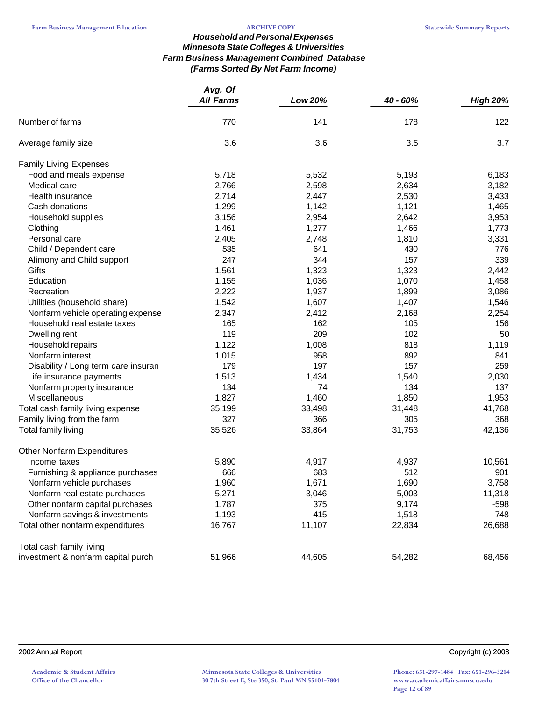## *Household and Personal Expenses Minnesota State Colleges & Universities Farm Business Management Combined Database (Farms Sorted By Net Farm Income)*

|                                     | Avg. Of          |         |          |                 |
|-------------------------------------|------------------|---------|----------|-----------------|
|                                     | <b>All Farms</b> | Low 20% | 40 - 60% | <b>High 20%</b> |
| Number of farms                     | 770              | 141     | 178      | 122             |
| Average family size                 | 3.6              | 3.6     | 3.5      | 3.7             |
| <b>Family Living Expenses</b>       |                  |         |          |                 |
| Food and meals expense              | 5,718            | 5,532   | 5,193    | 6,183           |
| Medical care                        | 2,766            | 2,598   | 2,634    | 3,182           |
| Health insurance                    | 2,714            | 2,447   | 2,530    | 3,433           |
| Cash donations                      | 1,299            | 1,142   | 1,121    | 1,465           |
| Household supplies                  | 3,156            | 2,954   | 2,642    | 3,953           |
| Clothing                            | 1,461            | 1,277   | 1,466    | 1,773           |
| Personal care                       | 2,405            | 2,748   | 1,810    | 3,331           |
| Child / Dependent care              | 535              | 641     | 430      | 776             |
| Alimony and Child support           | 247              | 344     | 157      | 339             |
| Gifts                               | 1,561            | 1,323   | 1,323    | 2,442           |
| Education                           | 1,155            | 1,036   | 1,070    | 1,458           |
| Recreation                          | 2,222            | 1,937   | 1,899    | 3,086           |
| Utilities (household share)         | 1,542            | 1,607   | 1,407    | 1,546           |
| Nonfarm vehicle operating expense   | 2,347            | 2,412   | 2,168    | 2,254           |
| Household real estate taxes         | 165              | 162     | 105      | 156             |
| Dwelling rent                       | 119              | 209     | 102      | 50              |
| Household repairs                   | 1,122            | 1,008   | 818      | 1,119           |
| Nonfarm interest                    | 1,015            | 958     | 892      | 841             |
| Disability / Long term care insuran | 179              | 197     | 157      | 259             |
| Life insurance payments             | 1,513            | 1,434   | 1,540    | 2,030           |
| Nonfarm property insurance          | 134              | 74      | 134      | 137             |
| Miscellaneous                       | 1,827            | 1,460   | 1,850    | 1,953           |
| Total cash family living expense    | 35,199           | 33,498  | 31,448   | 41,768          |
| Family living from the farm         | 327              | 366     | 305      | 368             |
| Total family living                 | 35,526           | 33,864  | 31,753   | 42,136          |
| Other Nonfarm Expenditures          |                  |         |          |                 |
| Income taxes                        | 5,890            | 4,917   | 4,937    | 10,561          |
| Furnishing & appliance purchases    | 666              | 683     | 512      | 901             |
| Nonfarm vehicle purchases           | 1,960            | 1,671   | 1,690    | 3,758           |
| Nonfarm real estate purchases       | 5,271            | 3,046   | 5,003    | 11,318          |
| Other nonfarm capital purchases     | 1,787            | 375     | 9,174    | $-598$          |
| Nonfarm savings & investments       | 1,193            | 415     | 1,518    | 748             |
| Total other nonfarm expenditures    | 16,767           | 11,107  | 22,834   | 26,688          |
| Total cash family living            |                  |         |          |                 |
| investment & nonfarm capital purch  | 51,966           | 44,605  | 54,282   | 68,456          |

## 2002 Annual Report Copyright (c) 2008

**Academic & Student Affairs Office of the Chancellor**

**Phone: 651-297-1484 Fax: 651-296-3214 www.academicaffairs.mnscu.edu Page 12 of 89**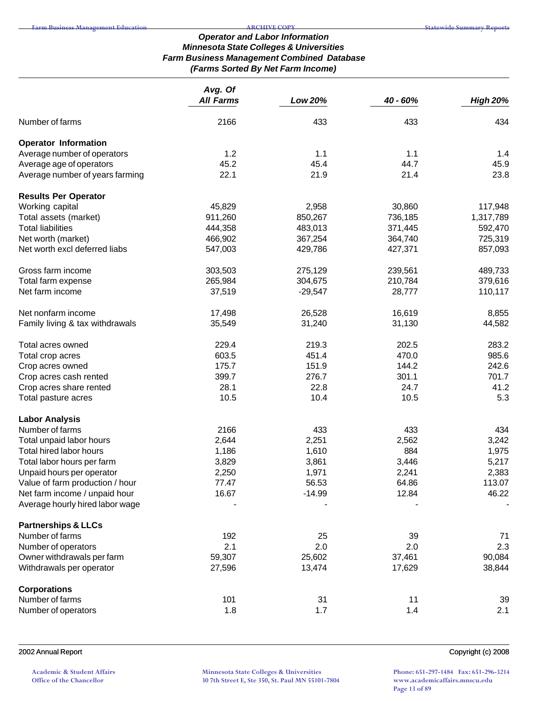#### *Operator and Labor Information Minnesota State Colleges & Universities Farm Business Management Combined Database (Farms Sorted By Net Farm Income)*

|                                 | Avg. Of          |           |          |                 |  |
|---------------------------------|------------------|-----------|----------|-----------------|--|
|                                 | <b>All Farms</b> | Low 20%   | 40 - 60% | <b>High 20%</b> |  |
| Number of farms                 | 2166             | 433       | 433      | 434             |  |
| <b>Operator Information</b>     |                  |           |          |                 |  |
| Average number of operators     | 1.2              | 1.1       | 1.1      | 1.4             |  |
| Average age of operators        | 45.2             | 45.4      | 44.7     | 45.9            |  |
| Average number of years farming | 22.1             | 21.9      | 21.4     | 23.8            |  |
| <b>Results Per Operator</b>     |                  |           |          |                 |  |
| Working capital                 | 45,829           | 2,958     | 30,860   | 117,948         |  |
| Total assets (market)           | 911,260          | 850,267   | 736,185  | 1,317,789       |  |
| <b>Total liabilities</b>        | 444,358          | 483,013   | 371,445  | 592,470         |  |
| Net worth (market)              | 466,902          | 367,254   | 364,740  | 725,319         |  |
| Net worth excl deferred liabs   | 547,003          | 429,786   | 427,371  | 857,093         |  |
| Gross farm income               | 303,503          | 275,129   | 239,561  | 489,733         |  |
| Total farm expense              | 265,984          | 304,675   | 210,784  | 379,616         |  |
| Net farm income                 | 37,519           | $-29,547$ | 28,777   | 110,117         |  |
| Net nonfarm income              | 17,498           | 26,528    | 16,619   | 8,855           |  |
| Family living & tax withdrawals | 35,549           | 31,240    | 31,130   | 44,582          |  |
| Total acres owned               | 229.4            | 219.3     | 202.5    | 283.2           |  |
| Total crop acres                | 603.5            | 451.4     | 470.0    | 985.6           |  |
| Crop acres owned                | 175.7            | 151.9     | 144.2    | 242.6           |  |
| Crop acres cash rented          | 399.7            | 276.7     | 301.1    | 701.7           |  |
| Crop acres share rented         | 28.1             | 22.8      | 24.7     | 41.2            |  |
| Total pasture acres             | 10.5             | 10.4      | 10.5     | 5.3             |  |
| <b>Labor Analysis</b>           |                  |           |          |                 |  |
| Number of farms                 | 2166             | 433       | 433      | 434             |  |
| Total unpaid labor hours        | 2,644            | 2,251     | 2,562    | 3,242           |  |
| Total hired labor hours         | 1,186            | 1,610     | 884      | 1,975           |  |
| Total labor hours per farm      | 3,829            | 3,861     | 3,446    | 5,217           |  |
| Unpaid hours per operator       | 2,250            | 1,971     | 2,241    | 2,383           |  |
| Value of farm production / hour | 77.47            | 56.53     | 64.86    | 113.07          |  |
| Net farm income / unpaid hour   | 16.67            | $-14.99$  | 12.84    | 46.22           |  |
| Average hourly hired labor wage |                  |           |          |                 |  |
| <b>Partnerships &amp; LLCs</b>  |                  |           |          |                 |  |
| Number of farms                 | 192              | 25        | 39       | 71              |  |
| Number of operators             | 2.1              | 2.0       | 2.0      | 2.3             |  |
| Owner withdrawals per farm      | 59,307           | 25,602    | 37,461   | 90,084          |  |
| Withdrawals per operator        | 27,596           | 13,474    | 17,629   | 38,844          |  |
| <b>Corporations</b>             |                  |           |          |                 |  |
| Number of farms                 | 101              | 31        | 11       | 39              |  |
| Number of operators             | 1.8              | 1.7       | 1.4      | 2.1             |  |
|                                 |                  |           |          |                 |  |

**Academic & Student Affairs Office of the Chancellor**

**Minnesota State Colleges & Universities 30 7th Street E, Ste 350, St. Paul MN 55101-7804**

**Phone: 651-297-1484 Fax: 651-296-3214 www.academicaffairs.mnscu.edu Page 13 of 89**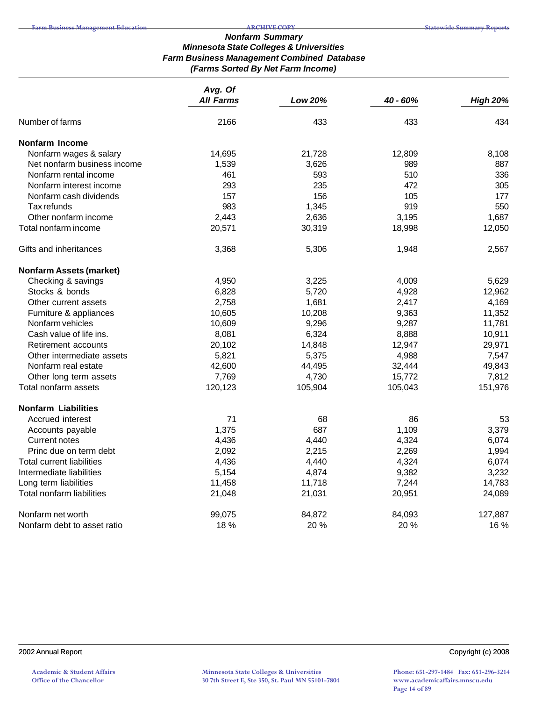#### *Nonfarm Summary Minnesota State Colleges & Universities Farm Business Management Combined Database (Farms Sorted By Net Farm Income)*

|                                | Avg. Of<br><b>All Farms</b> |         | 40 - 60% | <b>High 20%</b> |
|--------------------------------|-----------------------------|---------|----------|-----------------|
|                                |                             | Low 20% |          |                 |
| Number of farms                | 2166                        | 433     | 433      | 434             |
| <b>Nonfarm Income</b>          |                             |         |          |                 |
| Nonfarm wages & salary         | 14,695                      | 21,728  | 12,809   | 8,108           |
| Net nonfarm business income    | 1,539                       | 3,626   | 989      | 887             |
| Nonfarm rental income          | 461                         | 593     | 510      | 336             |
| Nonfarm interest income        | 293                         | 235     | 472      | 305             |
| Nonfarm cash dividends         | 157                         | 156     | 105      | 177             |
| Tax refunds                    | 983                         | 1,345   | 919      | 550             |
| Other nonfarm income           | 2,443                       | 2,636   | 3,195    | 1,687           |
| Total nonfarm income           | 20,571                      | 30,319  | 18,998   | 12,050          |
| Gifts and inheritances         | 3,368                       | 5,306   | 1,948    | 2,567           |
| <b>Nonfarm Assets (market)</b> |                             |         |          |                 |
| Checking & savings             | 4,950                       | 3,225   | 4,009    | 5,629           |
| Stocks & bonds                 | 6,828                       | 5,720   | 4,928    | 12,962          |
| Other current assets           | 2,758                       | 1,681   | 2,417    | 4,169           |
| Furniture & appliances         | 10,605                      | 10,208  | 9,363    | 11,352          |
| Nonfarm vehicles               | 10,609                      | 9,296   | 9,287    | 11,781          |
| Cash value of life ins.        | 8,081                       | 6,324   | 8,888    | 10,911          |
| Retirement accounts            | 20,102                      | 14,848  | 12,947   | 29,971          |
| Other intermediate assets      | 5,821                       | 5,375   | 4,988    | 7,547           |
| Nonfarm real estate            | 42,600                      | 44,495  | 32,444   | 49,843          |
| Other long term assets         | 7,769                       | 4,730   | 15,772   | 7,812           |
| Total nonfarm assets           | 120,123                     | 105,904 | 105,043  | 151,976         |
| <b>Nonfarm Liabilities</b>     |                             |         |          |                 |
| Accrued interest               | 71                          | 68      | 86       | 53              |
| Accounts payable               | 1,375                       | 687     | 1,109    | 3,379           |
| <b>Current notes</b>           | 4,436                       | 4,440   | 4,324    | 6,074           |
| Princ due on term debt         | 2,092                       | 2,215   | 2,269    | 1,994           |
| Total current liabilities      | 4,436                       | 4,440   | 4,324    | 6,074           |
| Intermediate liabilities       | 5,154                       | 4,874   | 9,382    | 3,232           |
| Long term liabilities          | 11,458                      | 11,718  | 7,244    | 14,783          |
| Total nonfarm liabilities      | 21,048                      | 21,031  | 20,951   | 24,089          |
| Nonfarm net worth              | 99,075                      | 84,872  | 84,093   | 127,887         |
| Nonfarm debt to asset ratio    | 18 %                        | 20 %    | 20 %     | 16 %            |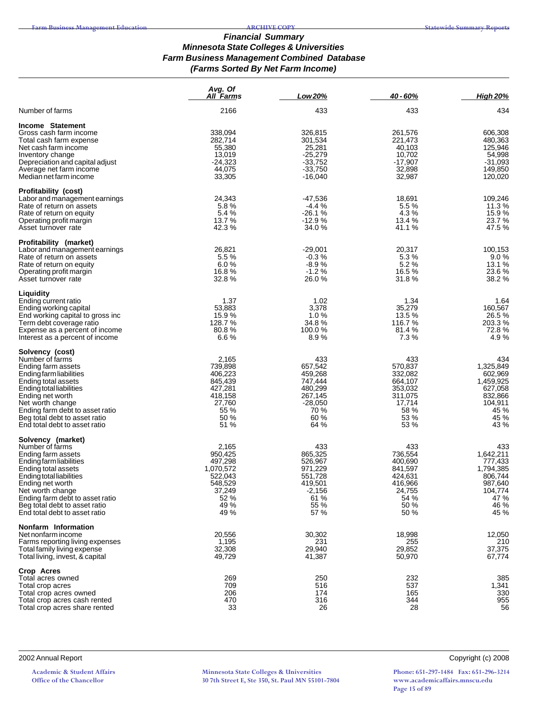#### *Financial Summary Minnesota State Colleges & Universities Farm Business Management Combined Database (Farms Sorted By Net Farm Income)*

|                                                                                                                                                                                                                                                                                     | Avg. Of<br>All Farms                                                                             | Low 20%                                                                                         | 40 - 60%                                                                                     | <b>High 20%</b>                                                                                   |
|-------------------------------------------------------------------------------------------------------------------------------------------------------------------------------------------------------------------------------------------------------------------------------------|--------------------------------------------------------------------------------------------------|-------------------------------------------------------------------------------------------------|----------------------------------------------------------------------------------------------|---------------------------------------------------------------------------------------------------|
| Number of farms                                                                                                                                                                                                                                                                     | 2166                                                                                             | 433                                                                                             | 433                                                                                          | 434                                                                                               |
| Income Statement<br>Gross cash farm income<br>Total cash farm expense<br>Net cash farm income<br>Inventory change<br>Depreciation and capital adjust<br>Average net farm income<br>Median net farm income                                                                           | 338,094<br>282,714<br>55,380<br>13,019<br>$-24,323$<br>44,075<br>33,305                          | 326,815<br>301,534<br>25,281<br>$-25,279$<br>$-33,752$<br>$-33,750$<br>$-16,040$                | 261,576<br>221,473<br>40,103<br>10,702<br>$-17,907$<br>32,898<br>32,987                      | 606,308<br>480,363<br>125,946<br>54,998<br>$-31,093$<br>149,850<br>120,020                        |
| <b>Profitability (cost)</b><br>Labor and management earnings<br>Rate of return on assets<br>Rate of return on equity<br>Operating profit margin<br>Asset turnover rate                                                                                                              | 24,343<br>5.8%<br>5.4 %<br>13.7 %<br>42.3%                                                       | -47,536<br>$-4.4%$<br>$-26.1%$<br>$-12.9%$<br>34.0 %                                            | 18,691<br>5.5 %<br>4.3%<br>13.4 %<br>41.1 %                                                  | 109,246<br>11.3 %<br>15.9%<br>23.7 %<br>47.5%                                                     |
| Profitability (market)<br>Labor and management earnings<br>Rate of return on assets<br>Rate of return on equity<br>Operating profit margin<br>Asset turnover rate                                                                                                                   | 26,821<br>5.5%<br>6.0%<br>16.8%<br>32.8%                                                         | $-29.001$<br>$-0.3%$<br>$-8.9%$<br>$-1.2%$<br>26.0%                                             | 20,317<br>5.3%<br>5.2%<br>16.5%<br>31.8%                                                     | 100,153<br>9.0%<br>13.1 %<br>23.6 %<br>38.2 %                                                     |
| Liquidity<br>Ending current ratio<br>Ending working capital<br>End working capital to gross inc<br>Term debt coverage ratio<br>Expense as a percent of income<br>Interest as a percent of income                                                                                    | 1.37<br>53,883<br>15.9%<br>128.7%<br>80.8%<br>6.6%                                               | 1.02<br>3,378<br>1.0%<br>34.8%<br>100.0%<br>8.9%                                                | 1.34<br>35.279<br>13.5 %<br>116.7%<br>81.4 %<br>7.3%                                         | 1.64<br>160,567<br>26.5%<br>203.3 %<br>72.8%<br>4.9%                                              |
| Solvency (cost)<br>Number of farms<br>Ending farm assets<br>Ending farm liabilities<br>Ending total assets<br>Ending total liabilities<br>Ending net worth<br>Net worth change<br>Ending farm debt to asset ratio<br>Beg total debt to asset ratio<br>End total debt to asset ratio | 2,165<br>739,898<br>406,223<br>845,439<br>427,281<br>418,158<br>27,760<br>55 %<br>50 %<br>51 %   | 433<br>657,542<br>459,268<br>747,444<br>480,299<br>267,145<br>$-28,050$<br>70 %<br>60 %<br>64 % | 433<br>570,837<br>332,082<br>664,107<br>353,032<br>311,075<br>17,714<br>58 %<br>53 %<br>53 % | 434<br>1,325,849<br>602,969<br>1,459,925<br>627,058<br>832,866<br>104,911<br>45 %<br>45 %<br>43 % |
| Solvency (market)<br>Number of farms<br>Ending farm assets<br>Endingfarmliabilities<br>Ending total assets<br>Ending total liabilities<br>Ending net worth<br>Net worth change<br>Ending farm debt to asset ratio<br>Beg total debt to asset ratio<br>End total debt to asset ratio | 2,165<br>950.425<br>497,298<br>1,070,572<br>522,043<br>548,529<br>37,249<br>52 %<br>49 %<br>49 % | 433<br>865,325<br>526,967<br>971,229<br>551,728<br>419,501<br>$-2,156$<br>61 %<br>55 %<br>57 %  | 433<br>736,554<br>400,690<br>841,597<br>424,631<br>416,966<br>24,755<br>54 %<br>50 %<br>50 % | 433<br>1,642,211<br>777,433<br>1,794,385<br>806,744<br>987,640<br>104,774<br>47 %<br>46 %<br>45 % |
| Nonfarm Information<br>Net nonfarm income<br>Farms reporting living expenses<br>Total family living expense<br>Total living, invest, & capital                                                                                                                                      | 20,556<br>1,195<br>32,308<br>49,729                                                              | 30,302<br>231<br>29,940<br>41,387                                                               | 18,998<br>255<br>29,852<br>50,970                                                            | 12,050<br>210<br>37,375<br>67,774                                                                 |
| Crop Acres<br>Total acres owned<br>Total crop acres<br>Total crop acres owned<br>Total crop acres cash rented<br>Total crop acres share rented                                                                                                                                      | 269<br>709<br>206<br>470<br>33                                                                   | 250<br>516<br>174<br>316<br>26                                                                  | 232<br>537<br>165<br>344<br>28                                                               | 385<br>1,341<br>330<br>955<br>56                                                                  |

2002 Annual Report Copyright (c) 2008

**Academic & Student Affairs Office of the Chancellor**

**Minnesota State Colleges & Universities 30 7th Street E, Ste 350, St. Paul MN 55101-7804**

**Phone: 651-297-1484 Fax: 651-296-3214 www.academicaffairs.mnscu.edu Page 15 of 89**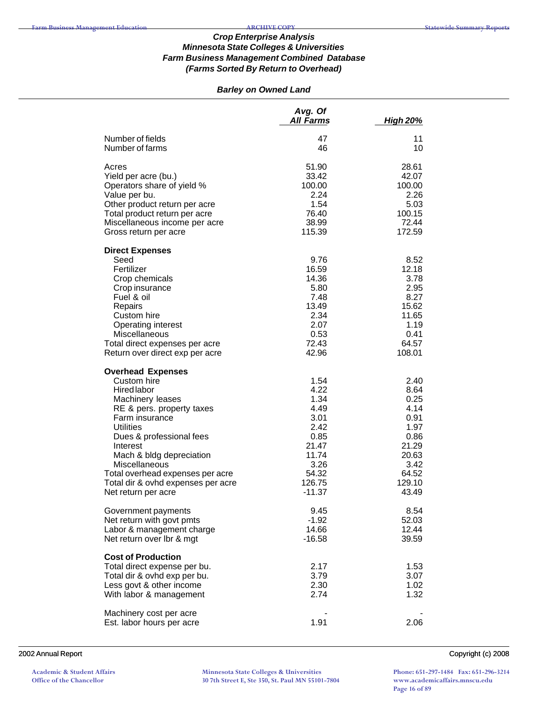## *Barley on Owned Land*

|                                                                                                                                                                                                                                                                                                                                                   | Avg. Of<br><b>All Farms</b>                                                                                   | <b>High 20%</b>                                                                                            |
|---------------------------------------------------------------------------------------------------------------------------------------------------------------------------------------------------------------------------------------------------------------------------------------------------------------------------------------------------|---------------------------------------------------------------------------------------------------------------|------------------------------------------------------------------------------------------------------------|
| Number of fields<br>Number of farms                                                                                                                                                                                                                                                                                                               | 47<br>46                                                                                                      | 11<br>10                                                                                                   |
| Acres<br>Yield per acre (bu.)<br>Operators share of yield %<br>Value per bu.<br>Other product return per acre<br>Total product return per acre<br>Miscellaneous income per acre<br>Gross return per acre                                                                                                                                          | 51.90<br>33.42<br>100.00<br>2.24<br>1.54<br>76.40<br>38.99<br>115.39                                          | 28.61<br>42.07<br>100.00<br>2.26<br>5.03<br>100.15<br>72.44<br>172.59                                      |
| <b>Direct Expenses</b><br>Seed<br>Fertilizer<br>Crop chemicals<br>Crop insurance<br>Fuel & oil<br>Repairs<br>Custom hire<br>Operating interest<br><b>Miscellaneous</b><br>Total direct expenses per acre<br>Return over direct exp per acre                                                                                                       | 9.76<br>16.59<br>14.36<br>5.80<br>7.48<br>13.49<br>2.34<br>2.07<br>0.53<br>72.43<br>42.96                     | 8.52<br>12.18<br>3.78<br>2.95<br>8.27<br>15.62<br>11.65<br>1.19<br>0.41<br>64.57<br>108.01                 |
| <b>Overhead Expenses</b><br>Custom hire<br><b>Hired labor</b><br>Machinery leases<br>RE & pers. property taxes<br>Farm insurance<br><b>Utilities</b><br>Dues & professional fees<br>Interest<br>Mach & bldg depreciation<br><b>Miscellaneous</b><br>Total overhead expenses per acre<br>Total dir & ovhd expenses per acre<br>Net return per acre | 1.54<br>4.22<br>1.34<br>4.49<br>3.01<br>2.42<br>0.85<br>21.47<br>11.74<br>3.26<br>54.32<br>126.75<br>$-11.37$ | 2.40<br>8.64<br>0.25<br>4.14<br>0.91<br>1.97<br>0.86<br>21.29<br>20.63<br>3.42<br>64.52<br>129.10<br>43.49 |
| Government payments<br>Net return with govt pmts<br>Labor & management charge<br>Net return over lbr & mgt                                                                                                                                                                                                                                        | 9.45<br>$-1.92$<br>14.66<br>$-16.58$                                                                          | 8.54<br>52.03<br>12.44<br>39.59                                                                            |
| <b>Cost of Production</b><br>Total direct expense per bu.<br>Total dir & ovhd exp per bu.<br>Less govt & other income<br>With labor & management                                                                                                                                                                                                  | 2.17<br>3.79<br>2.30<br>2.74                                                                                  | 1.53<br>3.07<br>1.02<br>1.32                                                                               |
| Machinery cost per acre<br>Est. labor hours per acre                                                                                                                                                                                                                                                                                              | 1.91                                                                                                          | 2.06                                                                                                       |

2002 Annual Report Copyright (c) 2008

**Academic & Student Affairs Office of the Chancellor**

**Minnesota State Colleges & Universities 30 7th Street E, Ste 350, St. Paul MN 55101-7804**

**Phone: 651-297-1484 Fax: 651-296-3214 www.academicaffairs.mnscu.edu Page 16 of 89**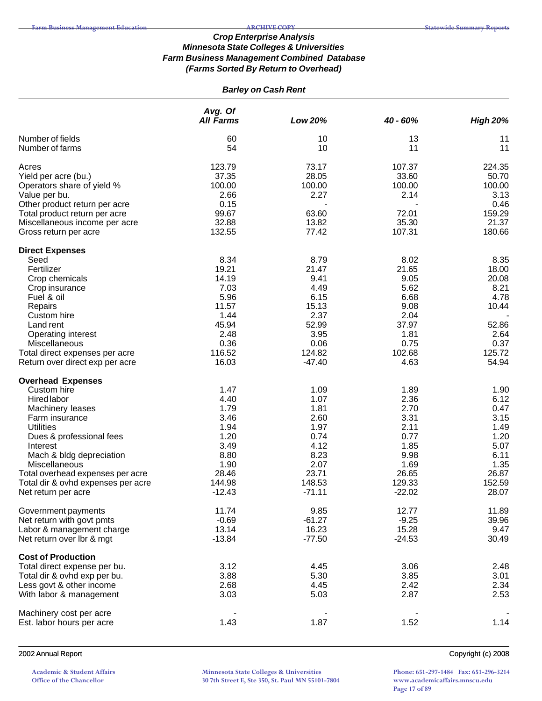# *Barley on Cash Rent*

|                                                                | Avg. Of           |                   |                   |                 |  |
|----------------------------------------------------------------|-------------------|-------------------|-------------------|-----------------|--|
|                                                                | <b>All Farms</b>  | Low 20%           | 40 - 60%          | <b>High 20%</b> |  |
| Number of fields                                               | 60                | 10                | 13                | 11              |  |
| Number of farms                                                | 54                | 10                | 11                | 11              |  |
|                                                                |                   |                   |                   |                 |  |
| Acres                                                          | 123.79            | 73.17             | 107.37            | 224.35          |  |
| Yield per acre (bu.)                                           | 37.35             | 28.05             | 33.60             | 50.70           |  |
| Operators share of yield %                                     | 100.00<br>2.66    | 100.00<br>2.27    | 100.00<br>2.14    | 100.00<br>3.13  |  |
| Value per bu.                                                  | 0.15              |                   |                   | 0.46            |  |
| Other product return per acre<br>Total product return per acre | 99.67             | 63.60             | 72.01             | 159.29          |  |
| Miscellaneous income per acre                                  | 32.88             | 13.82             | 35.30             | 21.37           |  |
| Gross return per acre                                          | 132.55            | 77.42             | 107.31            | 180.66          |  |
|                                                                |                   |                   |                   |                 |  |
| <b>Direct Expenses</b>                                         |                   |                   |                   |                 |  |
| Seed                                                           | 8.34<br>19.21     | 8.79              | 8.02              | 8.35            |  |
| Fertilizer                                                     |                   | 21.47             | 21.65             | 18.00           |  |
| Crop chemicals                                                 | 14.19             | 9.41<br>4.49      | 9.05              | 20.08           |  |
| Crop insurance<br>Fuel & oil                                   | 7.03<br>5.96      | 6.15              | 5.62<br>6.68      | 8.21<br>4.78    |  |
|                                                                | 11.57             | 15.13             | 9.08              | 10.44           |  |
| Repairs                                                        | 1.44              | 2.37              | 2.04              |                 |  |
| Custom hire<br>Land rent                                       | 45.94             | 52.99             | 37.97             | 52.86           |  |
| Operating interest                                             | 2.48              | 3.95              | 1.81              | 2.64            |  |
| Miscellaneous                                                  | 0.36              | 0.06              | 0.75              | 0.37            |  |
| Total direct expenses per acre                                 | 116.52            | 124.82            | 102.68            | 125.72          |  |
| Return over direct exp per acre                                | 16.03             | $-47.40$          | 4.63              | 54.94           |  |
|                                                                |                   |                   |                   |                 |  |
| <b>Overhead Expenses</b>                                       |                   |                   |                   |                 |  |
| Custom hire                                                    | 1.47              | 1.09              | 1.89              | 1.90            |  |
| Hired labor                                                    | 4.40              | 1.07              | 2.36              | 6.12            |  |
| Machinery leases                                               | 1.79              | 1.81              | 2.70              | 0.47            |  |
| Farm insurance<br><b>Utilities</b>                             | 3.46<br>1.94      | 2.60<br>1.97      | 3.31<br>2.11      | 3.15<br>1.49    |  |
|                                                                | 1.20              |                   |                   | 1.20            |  |
| Dues & professional fees<br>Interest                           | 3.49              | 0.74<br>4.12      | 0.77<br>1.85      | 5.07            |  |
| Mach & bldg depreciation                                       | 8.80              | 8.23              | 9.98              | 6.11            |  |
| Miscellaneous                                                  | 1.90              | 2.07              | 1.69              | 1.35            |  |
| Total overhead expenses per acre                               | 28.46             | 23.71             | 26.65             | 26.87           |  |
| Total dir & ovhd expenses per acre                             | 144.98            | 148.53            | 129.33            | 152.59          |  |
| Net return per acre                                            | $-12.43$          | $-71.11$          | $-22.02$          | 28.07           |  |
|                                                                |                   |                   |                   |                 |  |
| Government payments                                            | 11.74             | 9.85              | 12.77             | 11.89           |  |
| Net return with govt pmts                                      | $-0.69$           | $-61.27$          | $-9.25$           | 39.96           |  |
| Labor & management charge<br>Net return over lbr & mgt         | 13.14<br>$-13.84$ | 16.23<br>$-77.50$ | 15.28<br>$-24.53$ | 9.47<br>30.49   |  |
|                                                                |                   |                   |                   |                 |  |
| <b>Cost of Production</b>                                      |                   |                   |                   |                 |  |
| Total direct expense per bu.                                   | 3.12              | 4.45              | 3.06              | 2.48            |  |
| Total dir & ovhd exp per bu.                                   | 3.88              | 5.30              | 3.85              | 3.01            |  |
| Less govt & other income                                       | 2.68              | 4.45              | 2.42              | 2.34            |  |
| With labor & management                                        | 3.03              | 5.03              | 2.87              | 2.53            |  |
| Machinery cost per acre                                        |                   |                   |                   |                 |  |
| Est. labor hours per acre                                      | 1.43              | 1.87              | 1.52              | 1.14            |  |
|                                                                |                   |                   |                   |                 |  |

2002 Annual Report Copyright (c) 2008

**Academic & Student Affairs Office of the Chancellor**

**Minnesota State Colleges & Universities 30 7th Street E, Ste 350, St. Paul MN 55101-7804**

**Phone: 651-297-1484 Fax: 651-296-3214 www.academicaffairs.mnscu.edu Page 17 of 89**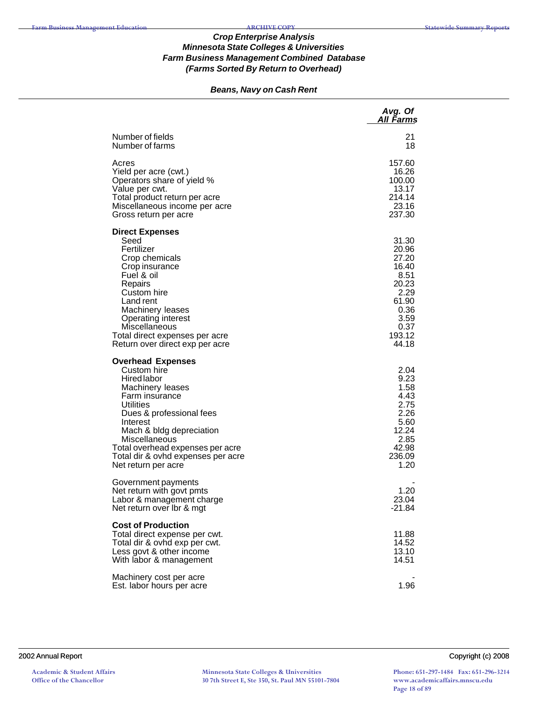# *Beans, Navy on Cash Rent*

|                                                                                                                                                                                                                                                                                                        | Avg. Of<br>All Farms                                                                                          |
|--------------------------------------------------------------------------------------------------------------------------------------------------------------------------------------------------------------------------------------------------------------------------------------------------------|---------------------------------------------------------------------------------------------------------------|
| Number of fields<br>Number of farms                                                                                                                                                                                                                                                                    | 21<br>18                                                                                                      |
| Acres<br>Yield per acre (cwt.)<br>Operators share of yield %<br>Value per cwt.<br>Total product return per acre<br>Miscellaneous income per acre<br>Gross return per acre                                                                                                                              | 157.60<br>16.26<br>100.00<br>13.17<br>214.14<br>23.16<br>237.30                                               |
| <b>Direct Expenses</b><br>Seed<br>Fertilizer<br>Crop chemicals<br>Crop insurance<br>Fuel & oil<br>Repairs<br>Custom hire<br>Land rent<br>Machinery leases<br><b>Operating interest</b><br>Miscellaneous<br>Total direct expenses per acre<br>Return over direct exp per acre                           | 31.30<br>20.96<br>27.20<br>16.40<br>8.51<br>20.23<br>2.29<br>61.90<br>0.36<br>3.59<br>0.37<br>193.12<br>44.18 |
| <b>Overhead Expenses</b><br>Custom hire<br><b>Hired labor</b><br>Machinery leases<br>Farm insurance<br>Utilities<br>Dues & professional fees<br>Interest<br>Mach & bldg depreciation<br>Miscellaneous<br>Total overhead expenses per acre<br>Total dir & ovhd expenses per acre<br>Net return per acre | 2.04<br>9.23<br>1.58<br>4.43<br>2.75<br>2.26<br>5.60<br>12.24<br>2.85<br>42.98<br>236.09<br>1.20              |
| Government payments<br>Net return with govt pmts<br>Labor & management charge<br>Net return over Ibr & mgt                                                                                                                                                                                             | 1.20<br>23.04<br>$-21.84$                                                                                     |
| <b>Cost of Production</b><br>Total direct expense per cwt.<br>Total dir & ovhd exp per cwt.<br>Less govt & other income<br>With labor & management                                                                                                                                                     | 11.88<br>14.52<br>13.10<br>14.51                                                                              |
| Machinery cost per acre<br>Est. labor hours per acre                                                                                                                                                                                                                                                   | 1.96                                                                                                          |

#### 2002 Annual Report Copyright (c) 2008

**Minnesota State Colleges & Universities 30 7th Street E, Ste 350, St. Paul MN 55101-7804** **Phone: 651-297-1484 Fax: 651-296-3214 www.academicaffairs.mnscu.edu Page 18 of 89**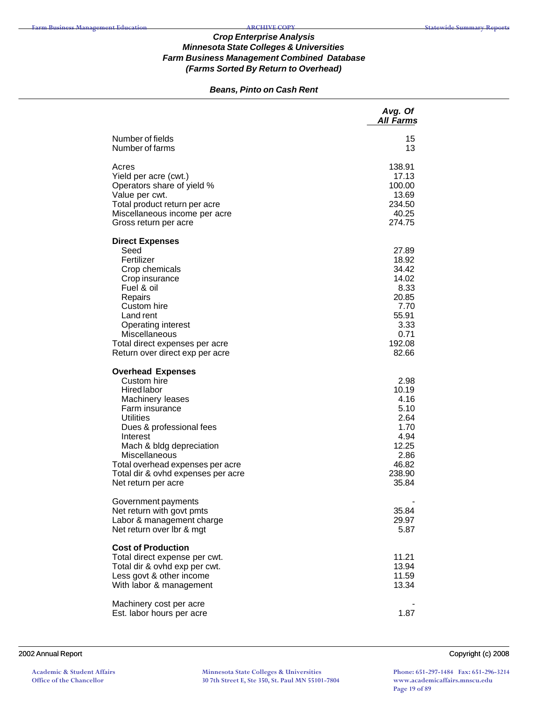# *Beans, Pinto on Cash Rent*

|                                                                                                                                                                                                                                                                                                                      | Avg. Of<br>All Farms                                                                                  |
|----------------------------------------------------------------------------------------------------------------------------------------------------------------------------------------------------------------------------------------------------------------------------------------------------------------------|-------------------------------------------------------------------------------------------------------|
| Number of fields<br>Number of farms                                                                                                                                                                                                                                                                                  | 15<br>13                                                                                              |
| Acres<br>Yield per acre (cwt.)<br>Operators share of yield %<br>Value per cwt.<br>Total product return per acre<br>Miscellaneous income per acre<br>Gross return per acre                                                                                                                                            | 138.91<br>17.13<br>100.00<br>13.69<br>234.50<br>40.25<br>274.75                                       |
| <b>Direct Expenses</b><br>Seed<br>Fertilizer<br>Crop chemicals<br>Crop insurance<br>Fuel & oil<br>Repairs<br>Custom hire<br>Land rent<br>Operating interest<br>Miscellaneous<br>Total direct expenses per acre<br>Return over direct exp per acre                                                                    | 27.89<br>18.92<br>34.42<br>14.02<br>8.33<br>20.85<br>7.70<br>55.91<br>3.33<br>0.71<br>192.08<br>82.66 |
| <b>Overhead Expenses</b><br>Custom hire<br><b>Hired labor</b><br>Machinery leases<br>Farm insurance<br><b>Utilities</b><br>Dues & professional fees<br>Interest<br>Mach & bldg depreciation<br><b>Miscellaneous</b><br>Total overhead expenses per acre<br>Total dir & ovhd expenses per acre<br>Net return per acre | 2.98<br>10.19<br>4.16<br>5.10<br>2.64<br>1.70<br>4.94<br>12.25<br>2.86<br>46.82<br>238.90<br>35.84    |
| Government payments<br>Net return with govt pmts<br>Labor & management charge<br>Net return over Ibr & mgt                                                                                                                                                                                                           | 35.84<br>29.97<br>5.87                                                                                |
| <b>Cost of Production</b><br>Total direct expense per cwt.<br>Total dir & ovhd exp per cwt.<br>Less govt & other income<br>With labor & management                                                                                                                                                                   | 11.21<br>13.94<br>11.59<br>13.34                                                                      |
| Machinery cost per acre<br>Est. labor hours per acre                                                                                                                                                                                                                                                                 | 1.87                                                                                                  |

#### 2002 Annual Report Copyright (c) 2008

**Academic & Student Affairs Office of the Chancellor**

**Minnesota State Colleges & Universities 30 7th Street E, Ste 350, St. Paul MN 55101-7804**

**Phone: 651-297-1484 Fax: 651-296-3214 www.academicaffairs.mnscu.edu Page 19 of 89**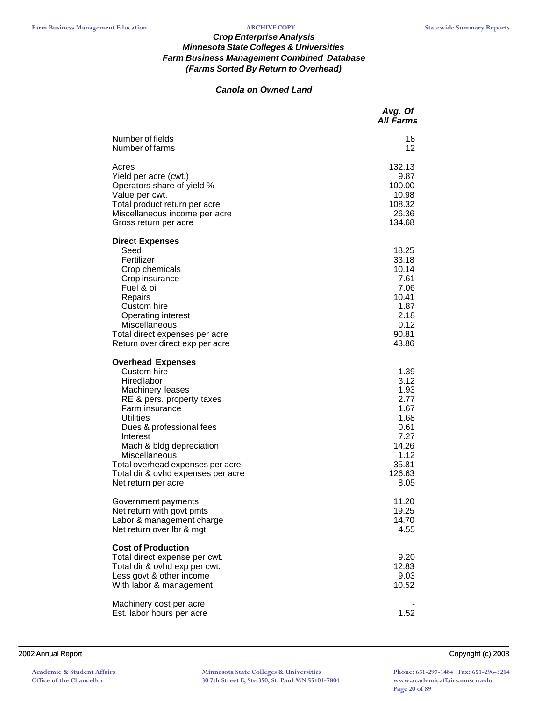# *Canola on Owned Land*

|                                                                                                                                                                                                                                                                                                                                            | Avg. Of<br><b>All Farms</b>                                                                              |
|--------------------------------------------------------------------------------------------------------------------------------------------------------------------------------------------------------------------------------------------------------------------------------------------------------------------------------------------|----------------------------------------------------------------------------------------------------------|
| Number of fields<br>Number of farms                                                                                                                                                                                                                                                                                                        | 18<br>12                                                                                                 |
| Acres<br>Yield per acre (cwt.)<br>Operators share of yield %<br>Value per cwt.<br>Total product return per acre<br>Miscellaneous income per acre<br>Gross return per acre                                                                                                                                                                  | 132.13<br>9.87<br>100.00<br>10.98<br>108.32<br>26.36<br>134.68                                           |
| <b>Direct Expenses</b><br>Seed<br>Fertilizer<br>Crop chemicals<br>Crop insurance<br>Fuel & oil<br>Repairs<br>Custom hire<br>Operating interest<br>Miscellaneous<br>Total direct expenses per acre<br>Return over direct exp per acre                                                                                                       | 18.25<br>33.18<br>10.14<br>7.61<br>7.06<br>10.41<br>1.87<br>2.18<br>0.12<br>90.81<br>43.86               |
| <b>Overhead Expenses</b><br>Custom hire<br><b>Hired labor</b><br>Machinery leases<br>RE & pers. property taxes<br>Farm insurance<br><b>Utilities</b><br>Dues & professional fees<br>Interest<br>Mach & bldg depreciation<br>Miscellaneous<br>Total overhead expenses per acre<br>Total dir & ovhd expenses per acre<br>Net return per acre | 1.39<br>3.12<br>1.93<br>2.77<br>1.67<br>1.68<br>0.61<br>7.27<br>14.26<br>1.12<br>35.81<br>126.63<br>8.05 |
| Government payments<br>Net return with govt pmts<br>Labor & management charge<br>Net return over lbr & mgt                                                                                                                                                                                                                                 | 11.20<br>19.25<br>14.70<br>4.55                                                                          |
| <b>Cost of Production</b><br>Total direct expense per cwt.<br>Total dir & ovhd exp per cwt.<br>Less govt & other income<br>With labor & management                                                                                                                                                                                         | 9.20<br>12.83<br>9.03<br>10.52                                                                           |
| Machinery cost per acre<br>Est. labor hours per acre                                                                                                                                                                                                                                                                                       | 1.52                                                                                                     |

#### 2002 Annual Report Copyright (c) 2008

**Academic & Student Affairs Office of the Chancellor**

**Minnesota State Colleges & Universities 30 7th Street E, Ste 350, St. Paul MN 55101-7804**

**Phone: 651-297-1484 Fax: 651-296-3214 www.academicaffairs.mnscu.edu Page 20 of 89**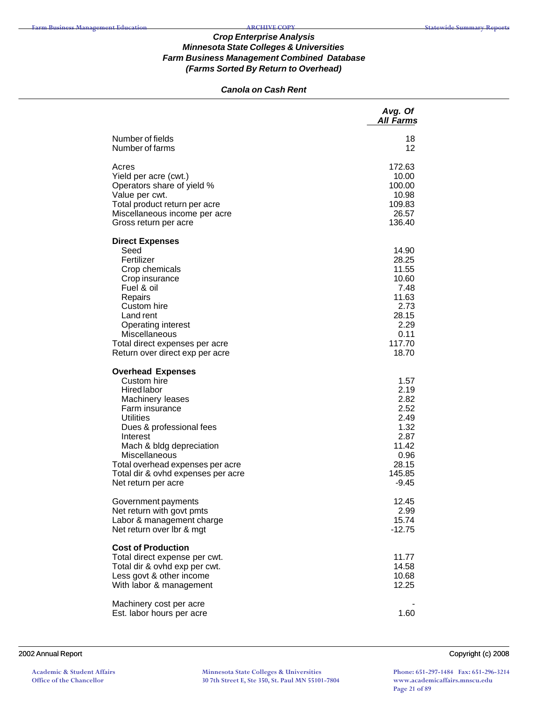### *Canola on Cash Rent*

|                                                                                                                                                                                                                                                                                                                      | Avg. Of<br><b>All Farms</b>                                                                           |
|----------------------------------------------------------------------------------------------------------------------------------------------------------------------------------------------------------------------------------------------------------------------------------------------------------------------|-------------------------------------------------------------------------------------------------------|
| Number of fields<br>Number of farms                                                                                                                                                                                                                                                                                  | 18<br>12                                                                                              |
| Acres<br>Yield per acre (cwt.)<br>Operators share of yield %<br>Value per cwt.<br>Total product return per acre<br>Miscellaneous income per acre<br>Gross return per acre                                                                                                                                            | 172.63<br>10.00<br>100.00<br>10.98<br>109.83<br>26.57<br>136.40                                       |
| <b>Direct Expenses</b><br>Seed<br>Fertilizer<br>Crop chemicals<br>Crop insurance<br>Fuel & oil<br>Repairs<br>Custom hire<br>Land rent<br><b>Operating interest</b><br>Miscellaneous<br>Total direct expenses per acre<br>Return over direct exp per acre                                                             | 14.90<br>28.25<br>11.55<br>10.60<br>7.48<br>11.63<br>2.73<br>28.15<br>2.29<br>0.11<br>117.70<br>18.70 |
| <b>Overhead Expenses</b><br>Custom hire<br><b>Hired labor</b><br>Machinery leases<br>Farm insurance<br><b>Utilities</b><br>Dues & professional fees<br>Interest<br>Mach & bldg depreciation<br><b>Miscellaneous</b><br>Total overhead expenses per acre<br>Total dir & ovhd expenses per acre<br>Net return per acre | 1.57<br>2.19<br>2.82<br>2.52<br>2.49<br>1.32<br>2.87<br>11.42<br>0.96<br>28.15<br>145.85<br>$-9.45$   |
| Government payments<br>Net return with govt pmts<br>Labor & management charge<br>Net return over Ibr & mgt                                                                                                                                                                                                           | 12.45<br>2.99<br>15.74<br>$-12.75$                                                                    |
| <b>Cost of Production</b><br>Total direct expense per cwt.<br>Total dir & ovhd exp per cwt.<br>Less govt & other income<br>With labor & management                                                                                                                                                                   | 11.77<br>14.58<br>10.68<br>12.25                                                                      |
| Machinery cost per acre<br>Est. labor hours per acre                                                                                                                                                                                                                                                                 | 1.60                                                                                                  |

#### 2002 Annual Report Copyright (c) 2008

**Academic & Student Affairs Office of the Chancellor**

**Minnesota State Colleges & Universities 30 7th Street E, Ste 350, St. Paul MN 55101-7804**

**Phone: 651-297-1484 Fax: 651-296-3214 www.academicaffairs.mnscu.edu Page 21 of 89**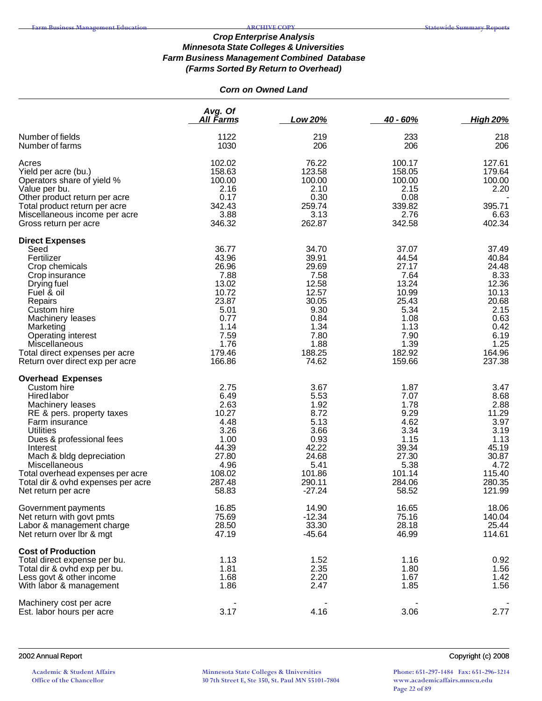# *Corn on Owned Land*

|                                                                                                                                                                                                                                                                                                                                            | Avg. Of<br><b>All Farms</b>                                                                                            | Low 20%                                                                                                               | $40 - 60%$                                                                                                             | <b>High 20%</b>                                                                                                        |
|--------------------------------------------------------------------------------------------------------------------------------------------------------------------------------------------------------------------------------------------------------------------------------------------------------------------------------------------|------------------------------------------------------------------------------------------------------------------------|-----------------------------------------------------------------------------------------------------------------------|------------------------------------------------------------------------------------------------------------------------|------------------------------------------------------------------------------------------------------------------------|
| Number of fields<br>Number of farms                                                                                                                                                                                                                                                                                                        | 1122<br>1030                                                                                                           | 219<br>206                                                                                                            | 233<br>206                                                                                                             | 218<br>206                                                                                                             |
| Acres<br>Yield per acre (bu.)<br>Operators share of yield %<br>Value per bu.<br>Other product return per acre<br>Total product return per acre<br>Miscellaneous income per acre<br>Gross return per acre                                                                                                                                   | 102.02<br>158.63<br>100.00<br>2.16<br>0.17<br>342.43<br>3.88<br>346.32                                                 | 76.22<br>123.58<br>100.00<br>2.10<br>0.30<br>259.74<br>3.13<br>262.87                                                 | 100.17<br>158.05<br>100.00<br>2.15<br>0.08<br>339.82<br>2.76<br>342.58                                                 | 127.61<br>179.64<br>100.00<br>2.20<br>395.71<br>6.63<br>402.34                                                         |
| <b>Direct Expenses</b><br>Seed<br>Fertilizer<br>Crop chemicals<br>Crop insurance<br>Drying fuel<br>Fuel & oil<br>Repairs<br>Custom hire<br>Machinery leases<br>Marketing<br>Operating interest<br>Miscellaneous<br>Total direct expenses per acre<br>Return over direct exp per acre                                                       | 36.77<br>43.96<br>26.96<br>7.88<br>13.02<br>10.72<br>23.87<br>5.01<br>0.77<br>1.14<br>7.59<br>1.76<br>179.46<br>166.86 | 34.70<br>39.91<br>29.69<br>7.58<br>12.58<br>12.57<br>30.05<br>9.30<br>0.84<br>1.34<br>7.80<br>1.88<br>188.25<br>74.62 | 37.07<br>44.54<br>27.17<br>7.64<br>13.24<br>10.99<br>25.43<br>5.34<br>1.08<br>1.13<br>7.90<br>1.39<br>182.92<br>159.66 | 37.49<br>40.84<br>24.48<br>8.33<br>12.36<br>10.13<br>20.68<br>2.15<br>0.63<br>0.42<br>6.19<br>1.25<br>164.96<br>237.38 |
| <b>Overhead Expenses</b><br>Custom hire<br><b>Hired labor</b><br>Machinery leases<br>RE & pers. property taxes<br>Farm insurance<br><b>Utilities</b><br>Dues & professional fees<br>Interest<br>Mach & bldg depreciation<br>Miscellaneous<br>Total overhead expenses per acre<br>Total dir & ovhd expenses per acre<br>Net return per acre | 2.75<br>6.49<br>2.63<br>10.27<br>4.48<br>3.26<br>1.00<br>44.39<br>27.80<br>4.96<br>108.02<br>287.48<br>58.83           | 3.67<br>5.53<br>1.92<br>8.72<br>5.13<br>3.66<br>0.93<br>42.22<br>24.68<br>5.41<br>101.86<br>290.11<br>$-27.24$        | 1.87<br>7.07<br>1.78<br>9.29<br>4.62<br>3.34<br>1.15<br>39.34<br>27.30<br>5.38<br>101.14<br>284.06<br>58.52            | 3.47<br>8.68<br>2.88<br>11.29<br>3.97<br>3.19<br>1.13<br>45.19<br>30.87<br>4.72<br>115.40<br>280.35<br>121.99          |
| Government payments<br>Net return with govt pmts<br>Labor & management charge<br>Net return over Ibr & mgt                                                                                                                                                                                                                                 | 16.85<br>75.69<br>28.50<br>47.19                                                                                       | 14.90<br>$-12.34$<br>33.30<br>$-45.64$                                                                                | 16.65<br>75.16<br>28.18<br>46.99                                                                                       | 18.06<br>140.04<br>25.44<br>114.61                                                                                     |
| <b>Cost of Production</b><br>Total direct expense per bu.<br>Total dir & ovhd exp per bu.<br>Less govt & other income<br>With labor & management                                                                                                                                                                                           | 1.13<br>1.81<br>1.68<br>1.86                                                                                           | 1.52<br>2.35<br>2.20<br>2.47                                                                                          | 1.16<br>1.80<br>1.67<br>1.85                                                                                           | 0.92<br>1.56<br>1.42<br>1.56                                                                                           |
| Machinery cost per acre<br>Est. labor hours per acre                                                                                                                                                                                                                                                                                       | 3.17                                                                                                                   | 4.16                                                                                                                  | 3.06                                                                                                                   | 2.77                                                                                                                   |

## 2002 Annual Report Copyright (c) 2008

**Academic & Student Affairs Office of the Chancellor**

**Minnesota State Colleges & Universities 30 7th Street E, Ste 350, St. Paul MN 55101-7804**

**Phone: 651-297-1484 Fax: 651-296-3214 www.academicaffairs.mnscu.edu Page 22 of 89**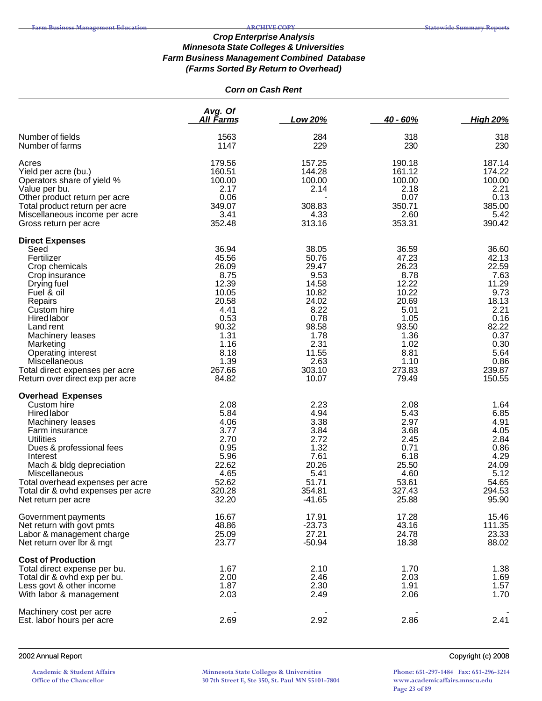# *Corn on Cash Rent*

|                                                                                                                                                                                                                                                                                                                  | Avg. Of<br>All Farms                                                                                                                   | Low 20%                                                                                                                                 | $40 - 60%$                                                                                                                             | <b>High 20%</b>                                                                                                                        |
|------------------------------------------------------------------------------------------------------------------------------------------------------------------------------------------------------------------------------------------------------------------------------------------------------------------|----------------------------------------------------------------------------------------------------------------------------------------|-----------------------------------------------------------------------------------------------------------------------------------------|----------------------------------------------------------------------------------------------------------------------------------------|----------------------------------------------------------------------------------------------------------------------------------------|
| Number of fields<br>Number of farms                                                                                                                                                                                                                                                                              | 1563<br>1147                                                                                                                           | 284<br>229                                                                                                                              | 318<br>230                                                                                                                             | 318<br>230                                                                                                                             |
| Acres<br>Yield per acre (bu.)<br>Operators share of yield %<br>Value per bu.<br>Other product return per acre<br>Total product return per acre<br>Miscellaneous income per acre<br>Gross return per acre                                                                                                         | 179.56<br>160.51<br>100.00<br>2.17<br>0.06<br>349.07<br>3.41<br>352.48                                                                 | 157.25<br>144.28<br>100.00<br>2.14<br>308.83<br>4.33<br>313.16                                                                          | 190.18<br>161.12<br>100.00<br>2.18<br>0.07<br>350.71<br>2.60<br>353.31                                                                 | 187.14<br>174.22<br>100.00<br>2.21<br>0.13<br>385.00<br>5.42<br>390.42                                                                 |
| <b>Direct Expenses</b><br>Seed<br>Fertilizer<br>Crop chemicals<br>Crop insurance<br>Drying fuel<br>Fuel & oil<br>Repairs<br>Custom hire<br>Hired labor<br>Land rent<br>Machinery leases<br>Marketing<br>Operating interest<br>Miscellaneous<br>Total direct expenses per acre<br>Return over direct exp per acre | 36.94<br>45.56<br>26.09<br>8.75<br>12.39<br>10.05<br>20.58<br>4.41<br>0.53<br>90.32<br>1.31<br>1.16<br>8.18<br>1.39<br>267.66<br>84.82 | 38.05<br>50.76<br>29.47<br>9.53<br>14.58<br>10.82<br>24.02<br>8.22<br>0.78<br>98.58<br>1.78<br>2.31<br>11.55<br>2.63<br>303.10<br>10.07 | 36.59<br>47.23<br>26.23<br>8.78<br>12.22<br>10.22<br>20.69<br>5.01<br>1.05<br>93.50<br>1.36<br>1.02<br>8.81<br>1.10<br>273.83<br>79.49 | 36.60<br>42.13<br>22.59<br>7.63<br>11.29<br>9.73<br>18.13<br>2.21<br>0.16<br>82.22<br>0.37<br>0.30<br>5.64<br>0.86<br>239.87<br>150.55 |
| <b>Overhead Expenses</b><br>Custom hire<br><b>Hired labor</b><br>Machinery leases<br>Farm insurance<br><b>Utilities</b><br>Dues & professional fees<br>Interest<br>Mach & bldg depreciation<br>Miscellaneous<br>Total overhead expenses per acre<br>Total dir & ovhd expenses per acre<br>Net return per acre    | 2.08<br>5.84<br>4.06<br>3.77<br>2.70<br>0.95<br>5.96<br>22.62<br>4.65<br>52.62<br>320.28<br>32.20                                      | 2.23<br>4.94<br>3.38<br>3.84<br>2.72<br>1.32<br>7.61<br>20.26<br>5.41<br>51.71<br>354.81<br>$-41.65$                                    | 2.08<br>5.43<br>2.97<br>3.68<br>2.45<br>0.71<br>6.18<br>25.50<br>4.60<br>53.61<br>327.43<br>25.88                                      | 1.64<br>6.85<br>4.91<br>4.05<br>2.84<br>0.86<br>4.29<br>24.09<br>5.12<br>54.65<br>294.53<br>95.90                                      |
| Government payments<br>Net return with govt pmts<br>Labor & management charge<br>Net return over Ibr & mgt                                                                                                                                                                                                       | 16.67<br>48.86<br>25.09<br>23.77                                                                                                       | 17.91<br>$-23.73$<br>27.21<br>$-50.94$                                                                                                  | 17.28<br>43.16<br>24.78<br>18.38                                                                                                       | 15.46<br>111.35<br>23.33<br>88.02                                                                                                      |
| <b>Cost of Production</b><br>Total direct expense per bu.<br>Total dir & ovhd exp per bu.<br>Less govt & other income<br>With labor & management                                                                                                                                                                 | 1.67<br>2.00<br>1.87<br>2.03                                                                                                           | 2.10<br>2.46<br>2.30<br>2.49                                                                                                            | 1.70<br>2.03<br>1.91<br>2.06                                                                                                           | 1.38<br>1.69<br>1.57<br>1.70                                                                                                           |
| Machinery cost per acre<br>Est. labor hours per acre                                                                                                                                                                                                                                                             | 2.69                                                                                                                                   | 2.92                                                                                                                                    | 2.86                                                                                                                                   | 2.41                                                                                                                                   |

## 2002 Annual Report Copyright (c) 2008

**Academic & Student Affairs Office of the Chancellor**

**Minnesota State Colleges & Universities 30 7th Street E, Ste 350, St. Paul MN 55101-7804**

**Phone: 651-297-1484 Fax: 651-296-3214 www.academicaffairs.mnscu.edu Page 23 of 89**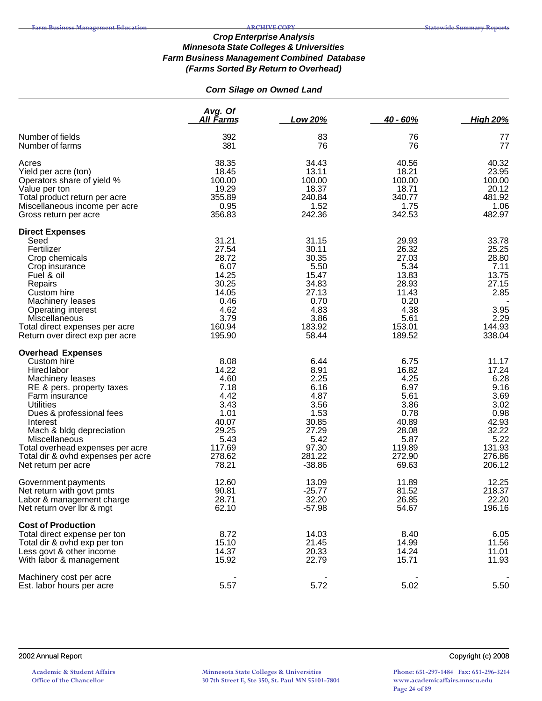# *Corn Silage on Owned Land*

|                                                                                                                                                                                                                                                                                                                                     | Avg. Of<br><u>All Farms</u>                                                                                  | <b>Low 20%</b>                                                                                                | $40 - 60%$                                                                                                   | <b>High 20%</b>                                                                                                |
|-------------------------------------------------------------------------------------------------------------------------------------------------------------------------------------------------------------------------------------------------------------------------------------------------------------------------------------|--------------------------------------------------------------------------------------------------------------|---------------------------------------------------------------------------------------------------------------|--------------------------------------------------------------------------------------------------------------|----------------------------------------------------------------------------------------------------------------|
| Number of fields<br>Number of farms                                                                                                                                                                                                                                                                                                 | 392<br>381                                                                                                   | 83<br>76                                                                                                      | 76<br>76                                                                                                     | 77<br>77                                                                                                       |
| Acres<br>Yield per acre (ton)<br>Operators share of yield %<br>Value per ton<br>Total product return per acre<br>Miscellaneous income per acre<br>Gross return per acre                                                                                                                                                             | 38.35<br>18.45<br>100.00<br>19.29<br>355.89<br>0.95<br>356.83                                                | 34.43<br>13.11<br>100.00<br>18.37<br>240.84<br>1.52<br>242.36                                                 | 40.56<br>18.21<br>100.00<br>18.71<br>340.77<br>1.75<br>342.53                                                | 40.32<br>23.95<br>100.00<br>20.12<br>481.92<br>1.06<br>482.97                                                  |
| <b>Direct Expenses</b><br>Seed<br>Fertilizer<br>Crop chemicals<br>Crop insurance<br>Fuel & oil<br>Repairs<br>Custom hire<br>Machinery leases<br><b>Operating interest</b><br>Miscellaneous<br>Total direct expenses per acre<br>Return over direct exp per acre                                                                     | 31.21<br>27.54<br>28.72<br>6.07<br>14.25<br>30.25<br>14.05<br>0.46<br>4.62<br>3.79<br>160.94<br>195.90       | 31.15<br>30.11<br>30.35<br>5.50<br>15.47<br>34.83<br>27.13<br>0.70<br>4.83<br>3.86<br>183.92<br>58.44         | 29.93<br>26.32<br>27.03<br>5.34<br>13.83<br>28.93<br>11.43<br>0.20<br>4.38<br>5.61<br>153.01<br>189.52       | 33.78<br>25.25<br>28.80<br>7.11<br>13.75<br>27.15<br>2.85<br>3.95<br>2.29<br>144.93<br>338.04                  |
| <b>Overhead Expenses</b><br>Custom hire<br>Hired labor<br>Machinery leases<br>RE & pers. property taxes<br>Farm insurance<br><b>Utilities</b><br>Dues & professional fees<br>Interest<br>Mach & bldg depreciation<br>Miscellaneous<br>Total overhead expenses per acre<br>Total dir & ovhd expenses per acre<br>Net return per acre | 8.08<br>14.22<br>4.60<br>7.18<br>4.42<br>3.43<br>1.01<br>40.07<br>29.25<br>5.43<br>117.69<br>278.62<br>78.21 | 6.44<br>8.91<br>2.25<br>6.16<br>4.87<br>3.56<br>1.53<br>30.85<br>27.29<br>5.42<br>97.30<br>281.22<br>$-38.86$ | 6.75<br>16.82<br>4.25<br>6.97<br>5.61<br>3.86<br>0.78<br>40.89<br>28.08<br>5.87<br>119.89<br>272.90<br>69.63 | 11.17<br>17.24<br>6.28<br>9.16<br>3.69<br>3.02<br>0.98<br>42.93<br>32.22<br>5.22<br>131.93<br>276.86<br>206.12 |
| Government payments<br>Net return with govt pmts<br>Labor & management charge<br>Net return over Ibr & mgt                                                                                                                                                                                                                          | 12.60<br>90.81<br>28.71<br>62.10                                                                             | 13.09<br>$-25.77$<br>32.20<br>$-57.98$                                                                        | 11.89<br>81.52<br>26.85<br>54.67                                                                             | 12.25<br>218.37<br>22.20<br>196.16                                                                             |
| <b>Cost of Production</b><br>Total direct expense per ton<br>Total dir & ovhd exp per ton<br>Less govt & other income<br>With labor & management                                                                                                                                                                                    | 8.72<br>15.10<br>14.37<br>15.92                                                                              | 14.03<br>21.45<br>20.33<br>22.79                                                                              | 8.40<br>14.99<br>14.24<br>15.71                                                                              | 6.05<br>11.56<br>11.01<br>11.93                                                                                |
| Machinery cost per acre<br>Est. labor hours per acre                                                                                                                                                                                                                                                                                | 5.57                                                                                                         | 5.72                                                                                                          | 5.02                                                                                                         | 5.50                                                                                                           |

#### 2002 Annual Report Copyright (c) 2008

**Phone: 651-297-1484 Fax: 651-296-3214 www.academicaffairs.mnscu.edu Page 24 of 89**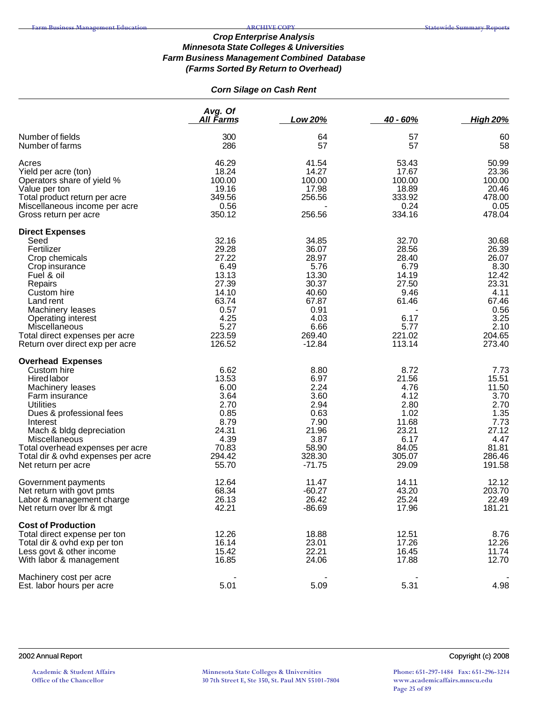# *Corn Silage on Cash Rent*

|                                                        | Avg. Of        |          |                |                 |  |
|--------------------------------------------------------|----------------|----------|----------------|-----------------|--|
|                                                        | All Farms      | Low 20%  | $40 - 60%$     | <b>High 20%</b> |  |
| Number of fields                                       | 300            | 64       | 57             | 60              |  |
| Number of farms                                        | 286            | 57       | 57             | 58              |  |
| Acres                                                  | 46.29          | 41.54    | 53.43          | 50.99           |  |
| Yield per acre (ton)                                   | 18.24          | 14.27    | 17.67          | 23.36           |  |
| Operators share of yield %                             | 100.00         | 100.00   | 100.00         | 100.00          |  |
| Value per ton                                          | 19.16          | 17.98    | 18.89          | 20.46           |  |
|                                                        |                |          | 333.92         | 478.00          |  |
| Total product return per acre                          | 349.56         | 256.56   |                |                 |  |
| Miscellaneous income per acre<br>Gross return per acre | 0.56<br>350.12 | 256.56   | 0.24<br>334.16 | 0.05<br>478.04  |  |
|                                                        |                |          |                |                 |  |
| <b>Direct Expenses</b>                                 |                |          |                |                 |  |
| Seed                                                   | 32.16          | 34.85    | 32.70          | 30.68           |  |
| Fertilizer                                             | 29.28          | 36.07    | 28.56          | 26.39           |  |
| Crop chemicals                                         | 27.22          | 28.97    | 28.40          | 26.07           |  |
| Crop insurance                                         | 6.49           | 5.76     | 6.79           | 8.30            |  |
| Fuel & oil                                             | 13.13          | 13.30    | 14.19          | 12.42           |  |
| Repairs                                                | 27.39          | 30.37    | 27.50          | 23.31           |  |
| Custom hire                                            | 14.10          | 40.60    | 9.46           | 4.11            |  |
| Land rent                                              | 63.74          | 67.87    | 61.46          | 67.46           |  |
| Machinery leases                                       | 0.57           | 0.91     |                | 0.56            |  |
| <b>Operating interest</b>                              | 4.25           | 4.03     | 6.17           | 3.25            |  |
| Miscellaneous                                          | 5.27           | 6.66     | 5.77           | 2.10            |  |
| Total direct expenses per acre                         | 223.59         | 269.40   | 221.02         | 204.65          |  |
| Return over direct exp per acre                        | 126.52         | $-12.84$ | 113.14         | 273.40          |  |
| <b>Overhead Expenses</b>                               |                |          |                |                 |  |
| Custom hire                                            | 6.62           | 8.80     | 8.72           | 7.73            |  |
| <b>Hired labor</b>                                     | 13.53          | 6.97     | 21.56          | 15.51           |  |
|                                                        |                |          |                |                 |  |
| Machinery leases                                       | 6.00           | 2.24     | 4.76           | 11.50           |  |
| Farm insurance                                         | 3.64           | 3.60     | 4.12           | 3.70            |  |
| <b>Utilities</b>                                       | 2.70           | 2.94     | 2.80           | 2.70            |  |
| Dues & professional fees                               | 0.85           | 0.63     | 1.02           | 1.35            |  |
| Interest                                               | 8.79           | 7.90     | 11.68          | 7.73            |  |
| Mach & bldg depreciation                               | 24.31          | 21.96    | 23.21          | 27.12           |  |
| Miscellaneous                                          | 4.39           | 3.87     | 6.17           | 4.47            |  |
| Total overhead expenses per acre                       | 70.83          | 58.90    | 84.05          | 81.81           |  |
| Total dir & ovhd expenses per acre                     | 294.42         | 328.30   | 305.07         | 286.46          |  |
| Net return per acre                                    | 55.70          | $-71.75$ | 29.09          | 191.58          |  |
| Government payments                                    | 12.64          | 11.47    | 14.11          | 12.12           |  |
| Net return with govt pmts                              | 68.34          | $-60.27$ | 43.20          | 203.70          |  |
| Labor & management charge                              | 26.13          | 26.42    | 25.24          | 22.49           |  |
| Net return over Ibr & mgt                              | 42.21          | $-86.69$ | 17.96          | 181.21          |  |
| <b>Cost of Production</b>                              |                |          |                |                 |  |
|                                                        | 12.26          |          |                |                 |  |
| Total direct expense per ton                           |                | 18.88    | 12.51          | 8.76            |  |
| Total dir & ovhd exp per ton                           | 16.14          | 23.01    | 17.26          | 12.26           |  |
| Less govt & other income                               | 15.42          | 22.21    | 16.45          | 11.74           |  |
| With labor & management                                | 16.85          | 24.06    | 17.88          | 12.70           |  |
| Machinery cost per acre                                |                |          |                |                 |  |
| Est. labor hours per acre                              | 5.01           | 5.09     | 5.31           | 4.98            |  |
|                                                        |                |          |                |                 |  |

2002 Annual Report Copyright (c) 2008

**Phone: 651-297-1484 Fax: 651-296-3214 www.academicaffairs.mnscu.edu Page 25 of 89**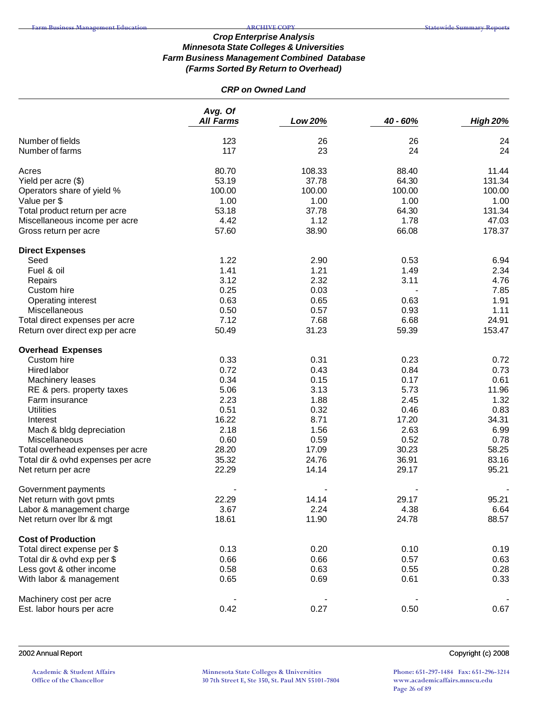### *CRP on Owned Land*

|                                     | Avg. Of<br><b>All Farms</b> | Low 20%  | 40 - 60% | <b>High 20%</b> |
|-------------------------------------|-----------------------------|----------|----------|-----------------|
|                                     |                             |          |          |                 |
| Number of fields<br>Number of farms | 123<br>117                  | 26<br>23 | 26<br>24 | 24<br>24        |
| Acres                               | 80.70                       | 108.33   | 88.40    | 11.44           |
| Yield per acre (\$)                 | 53.19                       | 37.78    | 64.30    | 131.34          |
| Operators share of yield %          | 100.00                      | 100.00   | 100.00   | 100.00          |
| Value per \$                        | 1.00                        | 1.00     | 1.00     | 1.00            |
| Total product return per acre       | 53.18                       | 37.78    | 64.30    | 131.34          |
| Miscellaneous income per acre       | 4.42                        | 1.12     | 1.78     | 47.03           |
| Gross return per acre               | 57.60                       | 38.90    | 66.08    | 178.37          |
| <b>Direct Expenses</b>              |                             |          |          |                 |
| Seed                                | 1.22                        | 2.90     | 0.53     | 6.94            |
| Fuel & oil                          | 1.41                        | 1.21     | 1.49     | 2.34            |
| Repairs                             | 3.12                        | 2.32     | 3.11     | 4.76            |
| Custom hire                         | 0.25                        | 0.03     |          | 7.85            |
| Operating interest                  | 0.63                        | 0.65     | 0.63     | 1.91            |
| Miscellaneous                       | 0.50                        | 0.57     | 0.93     | 1.11            |
| Total direct expenses per acre      | 7.12                        | 7.68     | 6.68     | 24.91           |
| Return over direct exp per acre     | 50.49                       | 31.23    | 59.39    | 153.47          |
| <b>Overhead Expenses</b>            |                             |          |          |                 |
| Custom hire                         | 0.33                        | 0.31     | 0.23     | 0.72            |
| <b>Hired labor</b>                  | 0.72                        | 0.43     | 0.84     | 0.73            |
| Machinery leases                    | 0.34                        | 0.15     | 0.17     | 0.61            |
| RE & pers. property taxes           | 5.06                        | 3.13     | 5.73     | 11.96           |
| Farm insurance                      | 2.23                        | 1.88     | 2.45     | 1.32            |
| <b>Utilities</b>                    | 0.51                        | 0.32     | 0.46     | 0.83            |
| Interest                            | 16.22                       | 8.71     | 17.20    | 34.31           |
| Mach & bldg depreciation            | 2.18                        | 1.56     | 2.63     | 6.99            |
| Miscellaneous                       | 0.60                        | 0.59     | 0.52     | 0.78            |
| Total overhead expenses per acre    | 28.20                       | 17.09    | 30.23    | 58.25           |
| Total dir & ovhd expenses per acre  | 35.32                       | 24.76    | 36.91    | 83.16           |
| Net return per acre                 | 22.29                       | 14.14    | 29.17    | 95.21           |
| Government payments                 |                             |          |          |                 |
| Net return with govt pmts           | 22.29                       | 14.14    | 29.17    | 95.21           |
| Labor & management charge           | 3.67                        | 2.24     | 4.38     | 6.64            |
| Net return over lbr & mgt           | 18.61                       | 11.90    | 24.78    | 88.57           |
| <b>Cost of Production</b>           |                             |          |          |                 |
| Total direct expense per \$         | 0.13                        | 0.20     | 0.10     | 0.19            |
| Total dir & ovhd exp per \$         | 0.66                        | 0.66     | 0.57     | 0.63            |
| Less govt & other income            | 0.58                        | 0.63     | 0.55     | 0.28            |
| With labor & management             | 0.65                        | 0.69     | 0.61     | 0.33            |
| Machinery cost per acre             |                             |          |          |                 |
| Est. labor hours per acre           | 0.42                        | 0.27     | 0.50     | 0.67            |

2002 Annual Report Copyright (c) 2008

**Academic & Student Affairs Office of the Chancellor**

**Minnesota State Colleges & Universities 30 7th Street E, Ste 350, St. Paul MN 55101-7804**

**Phone: 651-297-1484 Fax: 651-296-3214 www.academicaffairs.mnscu.edu Page 26 of 89**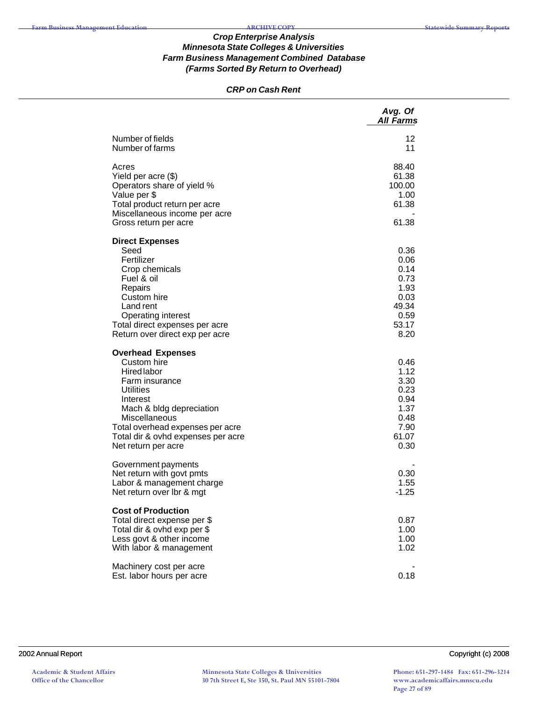### *CRP on Cash Rent*

|                                                   | Avg. Of<br><b>All Farms</b> |
|---------------------------------------------------|-----------------------------|
| Number of fields<br>Number of farms               | 12<br>11                    |
| Acres                                             | 88.40                       |
| Yield per acre (\$)                               | 61.38                       |
| Operators share of yield %                        | 100.00                      |
| Value per \$                                      | 1.00                        |
| Total product return per acre                     | 61.38                       |
| Miscellaneous income per acre                     |                             |
| Gross return per acre                             | 61.38                       |
| <b>Direct Expenses</b>                            |                             |
| Seed                                              | 0.36                        |
| Fertilizer                                        | 0.06                        |
| Crop chemicals                                    | 0.14                        |
| Fuel & oil                                        | 0.73                        |
| Repairs<br>Custom hire                            | 1.93<br>0.03                |
| Land rent                                         | 49.34                       |
| <b>Operating interest</b>                         | 0.59                        |
| Total direct expenses per acre                    | 53.17                       |
| Return over direct exp per acre                   | 8.20                        |
| <b>Overhead Expenses</b>                          |                             |
| Custom hire                                       | 0.46                        |
| <b>Hired labor</b>                                | 1.12                        |
| Farm insurance                                    | 3.30                        |
| Utilities                                         | 0.23                        |
| Interest                                          | 0.94                        |
| Mach & bldg depreciation                          | 1.37<br>0.48                |
| Miscellaneous<br>Total overhead expenses per acre | 7.90                        |
| Total dir & ovhd expenses per acre                | 61.07                       |
| Net return per acre                               | 0.30                        |
|                                                   |                             |
| Government payments<br>Net return with govt pmts  | 0.30                        |
| Labor & management charge                         | 1.55                        |
| Net return over Ibr & mgt                         | $-1.25$                     |
| <b>Cost of Production</b>                         |                             |
| Total direct expense per \$                       | 0.87                        |
| Total dir & ovhd exp per \$                       | 1.00                        |
| Less govt & other income                          | 1.00                        |
| With labor & management                           | 1.02                        |
| Machinery cost per acre                           |                             |
| Est. labor hours per acre                         | 0.18                        |

**Phone: 651-297-1484 Fax: 651-296-3214 www.academicaffairs.mnscu.edu Page 27 of 89**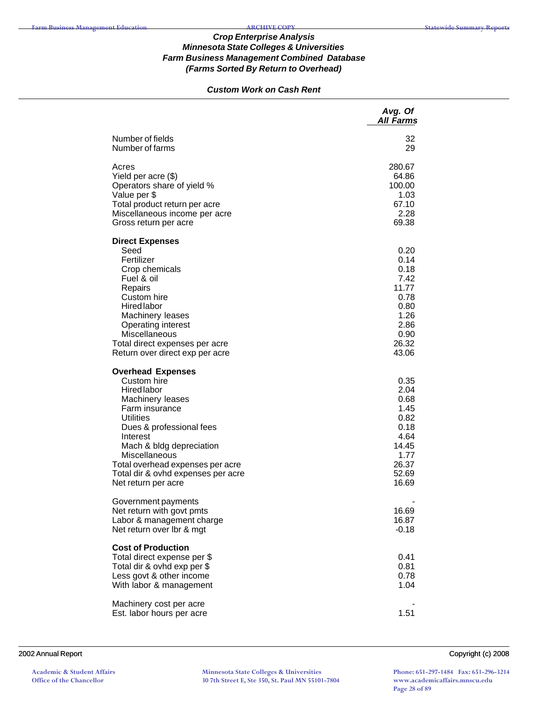# *Custom Work on Cash Rent*

|                                                                                                                                                                                                                                                                                                               | Avg. Of<br><b>All Farms</b>                                                                      |
|---------------------------------------------------------------------------------------------------------------------------------------------------------------------------------------------------------------------------------------------------------------------------------------------------------------|--------------------------------------------------------------------------------------------------|
| Number of fields<br>Number of farms                                                                                                                                                                                                                                                                           | 32<br>29                                                                                         |
| Acres<br>Yield per acre (\$)<br>Operators share of yield %<br>Value per \$<br>Total product return per acre<br>Miscellaneous income per acre<br>Gross return per acre                                                                                                                                         | 280.67<br>64.86<br>100.00<br>1.03<br>67.10<br>2.28<br>69.38                                      |
| <b>Direct Expenses</b><br>Seed<br>Fertilizer<br>Crop chemicals<br>Fuel & oil<br>Repairs<br>Custom hire<br><b>Hired labor</b><br>Machinery leases<br><b>Operating interest</b><br>Miscellaneous<br>Total direct expenses per acre<br>Return over direct exp per acre                                           | 0.20<br>0.14<br>0.18<br>7.42<br>11.77<br>0.78<br>0.80<br>1.26<br>2.86<br>0.90<br>26.32<br>43.06  |
| <b>Overhead Expenses</b><br>Custom hire<br><b>Hired labor</b><br>Machinery leases<br>Farm insurance<br><b>Utilities</b><br>Dues & professional fees<br>Interest<br>Mach & bldg depreciation<br>Miscellaneous<br>Total overhead expenses per acre<br>Total dir & ovhd expenses per acre<br>Net return per acre | 0.35<br>2.04<br>0.68<br>1.45<br>0.82<br>0.18<br>4.64<br>14.45<br>1.77<br>26.37<br>52.69<br>16.69 |
| Government payments<br>Net return with govt pmts<br>Labor & management charge<br>Net return over Ibr & mgt                                                                                                                                                                                                    | 16.69<br>16.87<br>$-0.18$                                                                        |
| <b>Cost of Production</b><br>Total direct expense per \$<br>Total dir & ovhd exp per \$<br>Less govt & other income<br>With labor & management                                                                                                                                                                | 0.41<br>0.81<br>0.78<br>1.04                                                                     |
| Machinery cost per acre<br>Est. labor hours per acre                                                                                                                                                                                                                                                          | 1.51                                                                                             |

#### 2002 Annual Report Copyright (c) 2008

**Academic & Student Affairs Office of the Chancellor**

**Minnesota State Colleges & Universities 30 7th Street E, Ste 350, St. Paul MN 55101-7804**

**Phone: 651-297-1484 Fax: 651-296-3214 www.academicaffairs.mnscu.edu Page 28 of 89**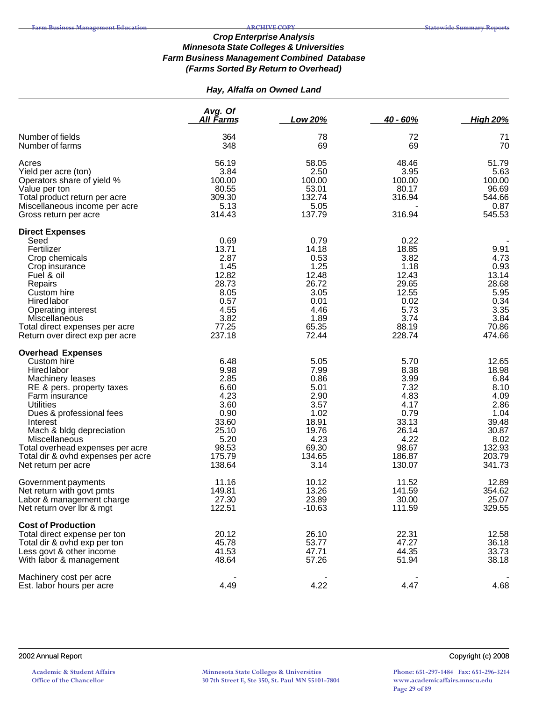# *Hay, Alfalfa on Owned Land*

|                                                                                                                                | Avg. Of<br><u>All Farms</u>                        | Low 20%                                      | $40 - 60%$                                   | <b>High 20%</b>                               |
|--------------------------------------------------------------------------------------------------------------------------------|----------------------------------------------------|----------------------------------------------|----------------------------------------------|-----------------------------------------------|
|                                                                                                                                |                                                    |                                              |                                              |                                               |
| Number of fields<br>Number of farms                                                                                            | 364<br>348                                         | 78<br>69                                     | 72<br>69                                     | 71<br>70                                      |
| Acres<br>Yield per acre (ton)<br>Operators share of yield %<br>Value per ton<br>Total product return per acre                  | 56.19<br>3.84<br>100.00<br>80.55<br>309.30<br>5.13 | 58.05<br>2.50<br>100.00<br>53.01<br>132.74   | 48.46<br>3.95<br>100.00<br>80.17<br>316.94   | 51.79<br>5.63<br>100.00<br>96.69<br>544.66    |
| Miscellaneous income per acre<br>Gross return per acre                                                                         | 314.43                                             | 5.05<br>137.79                               | 316.94                                       | 0.87<br>545.53                                |
| <b>Direct Expenses</b><br>Seed<br>Fertilizer<br>Crop chemicals                                                                 | 0.69<br>13.71<br>2.87                              | 0.79<br>14.18<br>0.53                        | 0.22<br>18.85<br>3.82                        | 9.91<br>4.73                                  |
| Crop insurance<br>Fuel & oil<br>Repairs<br>Custom hire                                                                         | 1.45<br>12.82<br>28.73<br>8.05                     | 1.25<br>12.48<br>26.72<br>3.05               | 1.18<br>12.43<br>29.65<br>12.55              | 0.93<br>13.14<br>28.68<br>5.95                |
| <b>Hired labor</b><br><b>Operating interest</b><br>Miscellaneous<br>Total direct expenses per acre                             | 0.57<br>4.55<br>3.82<br>77.25                      | 0.01<br>4.46<br>1.89<br>65.35                | 0.02<br>5.73<br>3.74<br>88.19                | 0.34<br>3.35<br>3.84<br>70.86                 |
| Return over direct exp per acre                                                                                                | 237.18                                             | 72.44                                        | 228.74                                       | 474.66                                        |
| <b>Overhead Expenses</b><br>Custom hire                                                                                        | 6.48                                               | 5.05                                         | 5.70                                         | 12.65                                         |
| Hired labor<br>Machinery leases<br>RE & pers. property taxes<br>Farm insurance<br><b>Utilities</b><br>Dues & professional fees | 9.98<br>2.85<br>6.60<br>4.23<br>3.60<br>0.90       | 7.99<br>0.86<br>5.01<br>2.90<br>3.57<br>1.02 | 8.38<br>3.99<br>7.32<br>4.83<br>4.17<br>0.79 | 18.98<br>6.84<br>8.10<br>4.09<br>2.86<br>1.04 |
| Interest<br>Mach & bldg depreciation<br>Miscellaneous<br>Total overhead expenses per acre                                      | 33.60<br>25.10<br>5.20<br>98.53                    | 18.91<br>19.76<br>4.23<br>69.30              | 33.13<br>26.14<br>4.22<br>98.67              | 39.48<br>30.87<br>8.02<br>132.93              |
| Total dir & ovhd expenses per acre<br>Net return per acre                                                                      | 175.79<br>138.64                                   | 134.65<br>3.14                               | 186.87<br>130.07                             | 203.79<br>341.73                              |
| Government payments<br>Net return with govt pmts<br>Labor & management charge<br>Net return over Ibr & mgt                     | 11.16<br>149.81<br>27.30<br>122.51                 | 10.12<br>13.26<br>23.89<br>$-10.63$          | 11.52<br>141.59<br>30.00<br>111.59           | 12.89<br>354.62<br>25.07<br>329.55            |
| <b>Cost of Production</b>                                                                                                      | 20.12                                              | 26.10                                        |                                              |                                               |
| Total direct expense per ton<br>Total dir & ovhd exp per ton<br>Less govt & other income<br>With labor & management            | 45.78<br>41.53<br>48.64                            | 53.77<br>47.71<br>57.26                      | 22.31<br>47.27<br>44.35<br>51.94             | 12.58<br>36.18<br>33.73<br>38.18              |
| Machinery cost per acre<br>Est. labor hours per acre                                                                           | 4.49                                               | 4.22                                         | 4.47                                         | 4.68                                          |

2002 Annual Report Copyright (c) 2008

**Phone: 651-297-1484 Fax: 651-296-3214 www.academicaffairs.mnscu.edu Page 29 of 89**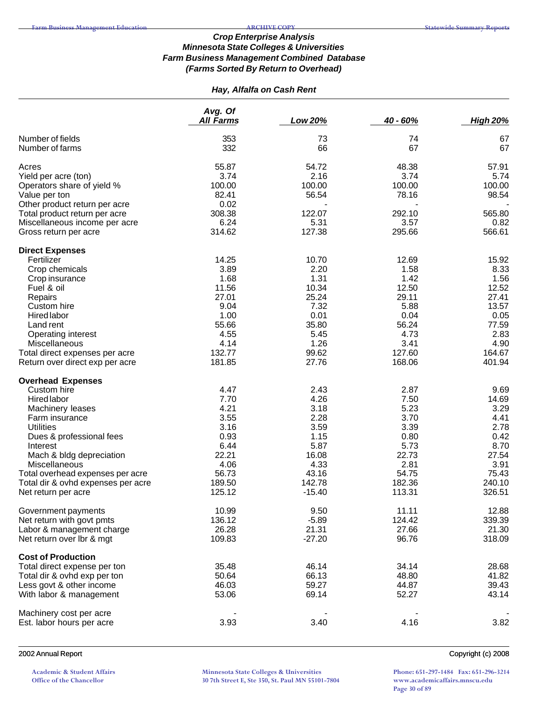# *Hay, Alfalfa on Cash Rent*

|                                                                | Avg. Of          |               |               |                 |
|----------------------------------------------------------------|------------------|---------------|---------------|-----------------|
|                                                                | <b>All Farms</b> | Low 20%       | 40 - 60%      | <b>High 20%</b> |
| Number of fields                                               | 353              | 73            | 74            | 67              |
| Number of farms                                                | 332              | 66            | 67            | 67              |
|                                                                |                  |               |               |                 |
| Acres                                                          | 55.87            | 54.72         | 48.38         | 57.91           |
| Yield per acre (ton)                                           | 3.74             | 2.16          | 3.74          | 5.74            |
| Operators share of yield %                                     | 100.00           | 100.00        | 100.00        | 100.00          |
| Value per ton                                                  | 82.41<br>0.02    | 56.54         | 78.16         | 98.54           |
| Other product return per acre<br>Total product return per acre | 308.38           | 122.07        | 292.10        | 565.80          |
| Miscellaneous income per acre                                  | 6.24             | 5.31          | 3.57          | 0.82            |
| Gross return per acre                                          | 314.62           | 127.38        | 295.66        | 566.61          |
|                                                                |                  |               |               |                 |
| <b>Direct Expenses</b>                                         |                  |               |               |                 |
| Fertilizer                                                     | 14.25<br>3.89    | 10.70<br>2.20 | 12.69<br>1.58 | 15.92<br>8.33   |
| Crop chemicals                                                 | 1.68             | 1.31          |               | 1.56            |
| Crop insurance                                                 | 11.56            | 10.34         | 1.42<br>12.50 | 12.52           |
| Fuel & oil                                                     | 27.01            | 25.24         | 29.11         | 27.41           |
| Repairs                                                        | 9.04             | 7.32          | 5.88          | 13.57           |
| Custom hire<br><b>Hired labor</b>                              | 1.00             | 0.01          | 0.04          | 0.05            |
|                                                                | 55.66            | 35.80         | 56.24         | 77.59           |
| Land rent                                                      | 4.55             |               | 4.73          | 2.83            |
| <b>Operating interest</b><br>Miscellaneous                     | 4.14             | 5.45<br>1.26  | 3.41          | 4.90            |
| Total direct expenses per acre                                 | 132.77           | 99.62         | 127.60        | 164.67          |
| Return over direct exp per acre                                | 181.85           | 27.76         | 168.06        | 401.94          |
|                                                                |                  |               |               |                 |
| <b>Overhead Expenses</b>                                       |                  |               |               |                 |
| Custom hire                                                    | 4.47             | 2.43          | 2.87          | 9.69            |
| Hired labor                                                    | 7.70             | 4.26          | 7.50          | 14.69           |
| Machinery leases                                               | 4.21             | 3.18          | 5.23          | 3.29            |
| Farm insurance                                                 | 3.55             | 2.28          | 3.70          | 4.41            |
| <b>Utilities</b>                                               | 3.16             | 3.59          | 3.39          | 2.78            |
| Dues & professional fees                                       | 0.93             | 1.15          | 0.80          | 0.42            |
| Interest                                                       | 6.44             | 5.87          | 5.73          | 8.70            |
| Mach & bldg depreciation                                       | 22.21            | 16.08         | 22.73         | 27.54           |
| Miscellaneous                                                  | 4.06             | 4.33          | 2.81          | 3.91            |
| Total overhead expenses per acre                               | 56.73            | 43.16         | 54.75         | 75.43           |
| Total dir & ovhd expenses per acre                             | 189.50           | 142.78        | 182.36        | 240.10          |
| Net return per acre                                            | 125.12           | $-15.40$      | 113.31        | 326.51          |
| Government payments                                            | 10.99            | 9.50          | 11.11         | 12.88           |
| Net return with govt pmts                                      | 136.12           | $-5.89$       | 124.42        | 339.39          |
| Labor & management charge                                      | 26.28            | 21.31         | 27.66         | 21.30           |
| Net return over lbr & mgt                                      | 109.83           | $-27.20$      | 96.76         | 318.09          |
| <b>Cost of Production</b>                                      |                  |               |               |                 |
| Total direct expense per ton                                   | 35.48            | 46.14         | 34.14         | 28.68           |
| Total dir & ovhd exp per ton                                   | 50.64            | 66.13         | 48.80         | 41.82           |
| Less govt & other income                                       | 46.03            | 59.27         | 44.87         | 39.43           |
| With labor & management                                        | 53.06            | 69.14         | 52.27         | 43.14           |
|                                                                |                  |               |               |                 |
| Machinery cost per acre                                        |                  |               |               |                 |
| Est. labor hours per acre                                      | 3.93             | 3.40          | 4.16          | 3.82            |
|                                                                |                  |               |               |                 |

#### 2002 Annual Report Copyright (c) 2008

**Academic & Student Affairs Office of the Chancellor**

**Minnesota State Colleges & Universities 30 7th Street E, Ste 350, St. Paul MN 55101-7804**

**Phone: 651-297-1484 Fax: 651-296-3214 www.academicaffairs.mnscu.edu Page 30 of 89**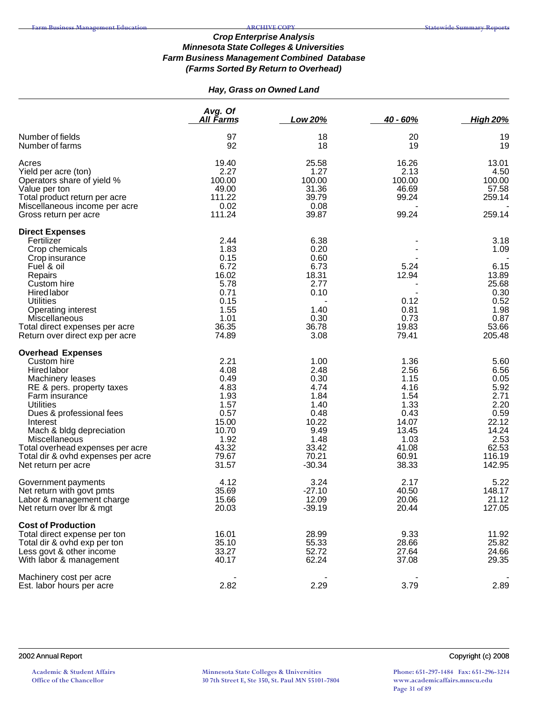# *Hay, Grass on Owned Land*

|                                                                                                                                                                                                                                                                                                                                            | Avg. Of<br>All Farms                                                                                      | Low 20%                                                                                                     | $40 - 60%$                                                                                                | <b>High 20%</b>                                                                                             |
|--------------------------------------------------------------------------------------------------------------------------------------------------------------------------------------------------------------------------------------------------------------------------------------------------------------------------------------------|-----------------------------------------------------------------------------------------------------------|-------------------------------------------------------------------------------------------------------------|-----------------------------------------------------------------------------------------------------------|-------------------------------------------------------------------------------------------------------------|
| Number of fields<br>Number of farms                                                                                                                                                                                                                                                                                                        | 97<br>92                                                                                                  | 18<br>18                                                                                                    | 20<br>19                                                                                                  | 19<br>19                                                                                                    |
| Acres<br>Yield per acre (ton)<br>Operators share of yield %<br>Value per ton<br>Total product return per acre<br>Miscellaneous income per acre<br>Gross return per acre                                                                                                                                                                    | 19.40<br>2.27<br>100.00<br>49.00<br>111.22<br>0.02<br>111.24                                              | 25.58<br>1.27<br>100.00<br>31.36<br>39.79<br>0.08<br>39.87                                                  | 16.26<br>2.13<br>100.00<br>46.69<br>99.24<br>99.24                                                        | 13.01<br>4.50<br>100.00<br>57.58<br>259.14<br>259.14                                                        |
| <b>Direct Expenses</b><br>Fertilizer<br>Crop chemicals<br>Crop insurance<br>Fuel & oil<br>Repairs<br>Custom hire<br><b>Hired labor</b><br><b>Utilities</b><br><b>Operating interest</b><br>Miscellaneous<br>Total direct expenses per acre<br>Return over direct exp per acre                                                              | 2.44<br>1.83<br>0.15<br>6.72<br>16.02<br>5.78<br>0.71<br>0.15<br>1.55<br>1.01<br>36.35<br>74.89           | 6.38<br>0.20<br>0.60<br>6.73<br>18.31<br>2.77<br>0.10<br>1.40<br>0.30<br>36.78<br>3.08                      | 5.24<br>12.94<br>0.12<br>0.81<br>0.73<br>19.83<br>79.41                                                   | 3.18<br>1.09<br>6.15<br>13.89<br>25.68<br>0.30<br>0.52<br>1.98<br>0.87<br>53.66<br>205.48                   |
| <b>Overhead Expenses</b><br>Custom hire<br><b>Hired labor</b><br>Machinery leases<br>RE & pers. property taxes<br>Farm insurance<br><b>Utilities</b><br>Dues & professional fees<br>Interest<br>Mach & bldg depreciation<br>Miscellaneous<br>Total overhead expenses per acre<br>Total dir & ovhd expenses per acre<br>Net return per acre | 2.21<br>4.08<br>0.49<br>4.83<br>1.93<br>1.57<br>0.57<br>15.00<br>10.70<br>1.92<br>43.32<br>79.67<br>31.57 | 1.00<br>2.48<br>0.30<br>4.74<br>1.84<br>1.40<br>0.48<br>10.22<br>9.49<br>1.48<br>33.42<br>70.21<br>$-30.34$ | 1.36<br>2.56<br>1.15<br>4.16<br>1.54<br>1.33<br>0.43<br>14.07<br>13.45<br>1.03<br>41.08<br>60.91<br>38.33 | 5.60<br>6.56<br>0.05<br>5.92<br>2.71<br>2.20<br>0.59<br>22.12<br>14.24<br>2.53<br>62.53<br>116.19<br>142.95 |
| Government payments<br>Net return with govt pmts<br>Labor & management charge<br>Net return over Ibr & mgt                                                                                                                                                                                                                                 | 4.12<br>35.69<br>15.66<br>20.03                                                                           | 3.24<br>$-27.10$<br>12.09<br>$-39.19$                                                                       | 2.17<br>40.50<br>20.06<br>20.44                                                                           | 5.22<br>148.17<br>21.12<br>127.05                                                                           |
| <b>Cost of Production</b><br>Total direct expense per ton<br>Total dir & ovhd exp per ton<br>Less govt & other income<br>With labor & management                                                                                                                                                                                           | 16.01<br>35.10<br>33.27<br>40.17                                                                          | 28.99<br>55.33<br>52.72<br>62.24                                                                            | 9.33<br>28.66<br>27.64<br>37.08                                                                           | 11.92<br>25.82<br>24.66<br>29.35                                                                            |
| Machinery cost per acre<br>Est. labor hours per acre                                                                                                                                                                                                                                                                                       | 2.82                                                                                                      | 2.29                                                                                                        | 3.79                                                                                                      | 2.89                                                                                                        |

**Phone: 651-297-1484 Fax: 651-296-3214 www.academicaffairs.mnscu.edu Page 31 of 89**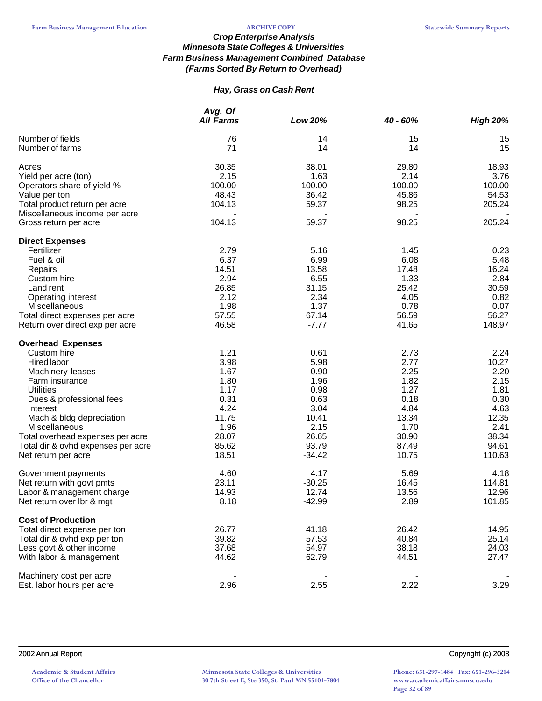# *Hay, Grass on Cash Rent*

|                                    | Avg. Of          |          |          |                 |
|------------------------------------|------------------|----------|----------|-----------------|
|                                    | <b>All Farms</b> | Low 20%  | 40 - 60% | <b>High 20%</b> |
| Number of fields                   | 76               | 14       | 15       | 15              |
| Number of farms                    | 71               | 14       | 14       | 15              |
| Acres                              | 30.35            | 38.01    | 29.80    | 18.93           |
| Yield per acre (ton)               | 2.15             | 1.63     | 2.14     | 3.76            |
| Operators share of yield %         | 100.00           | 100.00   | 100.00   | 100.00          |
| Value per ton                      | 48.43            | 36.42    | 45.86    | 54.53           |
| Total product return per acre      | 104.13           | 59.37    | 98.25    | 205.24          |
| Miscellaneous income per acre      |                  |          |          |                 |
| Gross return per acre              | 104.13           | 59.37    | 98.25    | 205.24          |
| <b>Direct Expenses</b>             |                  |          |          |                 |
| Fertilizer                         | 2.79             | 5.16     | 1.45     | 0.23            |
| Fuel & oil                         | 6.37             | 6.99     | 6.08     | 5.48            |
| Repairs                            | 14.51            | 13.58    | 17.48    | 16.24           |
| Custom hire                        | 2.94             | 6.55     | 1.33     | 2.84            |
| Land rent                          | 26.85            | 31.15    | 25.42    | 30.59           |
| Operating interest                 | 2.12             | 2.34     | 4.05     | 0.82            |
| Miscellaneous                      | 1.98             | 1.37     | 0.78     | 0.07            |
| Total direct expenses per acre     | 57.55            | 67.14    | 56.59    | 56.27           |
| Return over direct exp per acre    | 46.58            | $-7.77$  | 41.65    | 148.97          |
| <b>Overhead Expenses</b>           |                  |          |          |                 |
| Custom hire                        | 1.21             | 0.61     | 2.73     | 2.24            |
| Hired labor                        | 3.98             | 5.98     | 2.77     | 10.27           |
| Machinery leases                   | 1.67             | 0.90     | 2.25     | 2.20            |
| Farm insurance                     | 1.80             | 1.96     | 1.82     | 2.15            |
| <b>Utilities</b>                   | 1.17             | 0.98     | 1.27     | 1.81            |
| Dues & professional fees           | 0.31             | 0.63     | 0.18     | 0.30            |
| Interest                           | 4.24             | 3.04     | 4.84     | 4.63            |
| Mach & bldg depreciation           | 11.75            | 10.41    | 13.34    | 12.35           |
| Miscellaneous                      | 1.96             | 2.15     | 1.70     | 2.41            |
| Total overhead expenses per acre   | 28.07            | 26.65    | 30.90    | 38.34           |
| Total dir & ovhd expenses per acre | 85.62            | 93.79    | 87.49    | 94.61           |
| Net return per acre                | 18.51            | $-34.42$ | 10.75    | 110.63          |
| Government payments                | 4.60             | 4.17     | 5.69     | 4.18            |
| Net return with govt pmts          | 23.11            | $-30.25$ | 16.45    | 114.81          |
| Labor & management charge          | 14.93            | 12.74    | 13.56    | 12.96           |
| Net return over lbr & mgt          | 8.18             | $-42.99$ | 2.89     | 101.85          |
| <b>Cost of Production</b>          |                  |          |          |                 |
| Total direct expense per ton       | 26.77            | 41.18    | 26.42    | 14.95           |
| Total dir & ovhd exp per ton       | 39.82            | 57.53    | 40.84    | 25.14           |
| Less govt & other income           | 37.68            | 54.97    | 38.18    | 24.03           |
| With labor & management            | 44.62            | 62.79    | 44.51    | 27.47           |
| Machinery cost per acre            |                  |          |          |                 |
| Est. labor hours per acre          | 2.96             | 2.55     | 2.22     | 3.29            |

**Phone: 651-297-1484 Fax: 651-296-3214 www.academicaffairs.mnscu.edu Page 32 of 89**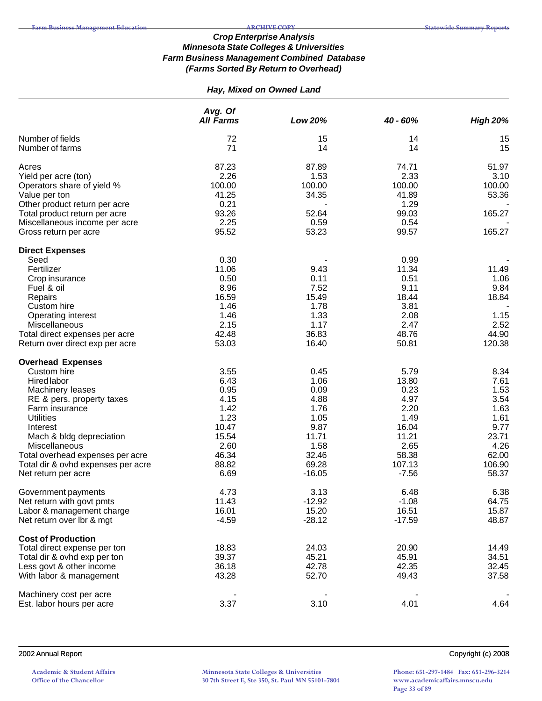# *Hay, Mixed on Owned Land*

|                                                   | Avg. Of<br><b>All Farms</b> | Low 20%       | 40 - 60%      | <b>High 20%</b> |
|---------------------------------------------------|-----------------------------|---------------|---------------|-----------------|
| Number of fields<br>Number of farms               | 72<br>71                    | 15<br>14      | 14<br>14      | 15<br>15        |
| Acres                                             | 87.23                       | 87.89         | 74.71         | 51.97           |
| Yield per acre (ton)                              | 2.26                        | 1.53          | 2.33          | 3.10            |
| Operators share of yield %                        | 100.00                      | 100.00        | 100.00        | 100.00          |
| Value per ton                                     | 41.25                       | 34.35         | 41.89         | 53.36           |
| Other product return per acre                     | 0.21                        |               | 1.29          |                 |
| Total product return per acre                     | 93.26                       | 52.64         | 99.03         | 165.27          |
| Miscellaneous income per acre                     | 2.25                        | 0.59          | 0.54          |                 |
| Gross return per acre                             | 95.52                       | 53.23         | 99.57         | 165.27          |
| <b>Direct Expenses</b>                            |                             |               |               |                 |
| Seed                                              | 0.30                        |               | 0.99          |                 |
| Fertilizer                                        | 11.06                       | 9.43          | 11.34         | 11.49           |
| Crop insurance                                    | 0.50                        | 0.11          | 0.51          | 1.06            |
| Fuel & oil                                        | 8.96                        | 7.52          | 9.11          | 9.84            |
| Repairs<br>Custom hire                            | 16.59<br>1.46               | 15.49<br>1.78 | 18.44<br>3.81 | 18.84           |
| Operating interest                                | 1.46                        | 1.33          | 2.08          | 1.15            |
| Miscellaneous                                     | 2.15                        | 1.17          | 2.47          | 2.52            |
| Total direct expenses per acre                    | 42.48                       | 36.83         | 48.76         | 44.90           |
| Return over direct exp per acre                   | 53.03                       | 16.40         | 50.81         | 120.38          |
| <b>Overhead Expenses</b>                          |                             |               |               |                 |
| Custom hire                                       | 3.55                        | 0.45          | 5.79          | 8.34            |
| Hired labor                                       | 6.43                        | 1.06          | 13.80         | 7.61            |
| Machinery leases                                  | 0.95                        | 0.09          | 0.23          | 1.53            |
| RE & pers. property taxes                         | 4.15                        | 4.88          | 4.97          | 3.54            |
| Farm insurance                                    | 1.42                        | 1.76          | 2.20          | 1.63            |
| <b>Utilities</b>                                  | 1.23                        | 1.05          | 1.49          | 1.61            |
| Interest                                          | 10.47                       | 9.87          | 16.04         | 9.77            |
| Mach & bldg depreciation                          | 15.54<br>2.60               | 11.71<br>1.58 | 11.21<br>2.65 | 23.71<br>4.26   |
| Miscellaneous<br>Total overhead expenses per acre | 46.34                       | 32.46         | 58.38         | 62.00           |
| Total dir & ovhd expenses per acre                | 88.82                       | 69.28         | 107.13        | 106.90          |
| Net return per acre                               | 6.69                        | $-16.05$      | $-7.56$       | 58.37           |
| Government payments                               | 4.73                        | 3.13          | 6.48          | 6.38            |
| Net return with govt pmts                         | 11.43                       | $-12.92$      | $-1.08$       | 64.75           |
| Labor & management charge                         | 16.01                       | 15.20         | 16.51         | 15.87           |
| Net return over Ibr & mgt                         | $-4.59$                     | $-28.12$      | $-17.59$      | 48.87           |
| <b>Cost of Production</b>                         |                             |               |               |                 |
| Total direct expense per ton                      | 18.83                       | 24.03         | 20.90         | 14.49           |
| Total dir & ovhd exp per ton                      | 39.37                       | 45.21         | 45.91         | 34.51           |
| Less govt & other income                          | 36.18                       | 42.78         | 42.35         | 32.45           |
| With labor & management                           | 43.28                       | 52.70         | 49.43         | 37.58           |
| Machinery cost per acre                           |                             |               |               |                 |
| Est. labor hours per acre                         | 3.37                        | 3.10          | 4.01          | 4.64            |

2002 Annual Report Copyright (c) 2008

**Minnesota State Colleges & Universities 30 7th Street E, Ste 350, St. Paul MN 55101-7804**

**Phone: 651-297-1484 Fax: 651-296-3214 www.academicaffairs.mnscu.edu Page 33 of 89**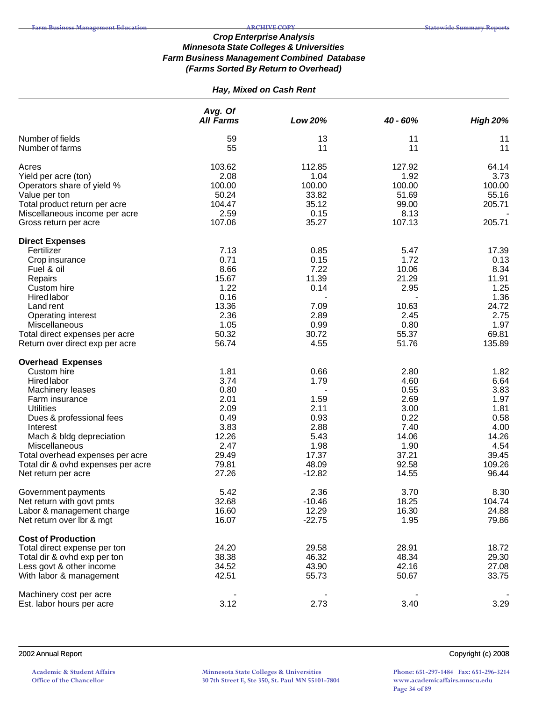# *Hay, Mixed on Cash Rent*

|                                    | Avg. Of<br><b>All Farms</b> | Low 20%  | 40 - 60% | <b>High 20%</b> |
|------------------------------------|-----------------------------|----------|----------|-----------------|
|                                    |                             |          |          |                 |
| Number of fields                   | 59                          | 13       | 11       | 11              |
| Number of farms                    | 55                          | 11       | 11       | 11              |
| Acres                              | 103.62                      | 112.85   | 127.92   | 64.14           |
| Yield per acre (ton)               | 2.08                        | 1.04     | 1.92     | 3.73            |
| Operators share of yield %         | 100.00                      | 100.00   | 100.00   | 100.00          |
| Value per ton                      | 50.24                       | 33.82    | 51.69    | 55.16           |
| Total product return per acre      | 104.47                      | 35.12    | 99.00    | 205.71          |
| Miscellaneous income per acre      | 2.59                        | 0.15     | 8.13     |                 |
| Gross return per acre              | 107.06                      | 35.27    | 107.13   | 205.71          |
| <b>Direct Expenses</b>             |                             |          |          |                 |
| Fertilizer                         | 7.13                        | 0.85     | 5.47     | 17.39           |
| Crop insurance                     | 0.71                        | 0.15     | 1.72     | 0.13            |
| Fuel & oil                         | 8.66                        | 7.22     | 10.06    | 8.34            |
| Repairs                            | 15.67                       | 11.39    | 21.29    | 11.91           |
| Custom hire                        | 1.22                        | 0.14     | 2.95     | 1.25            |
| <b>Hired labor</b>                 | 0.16                        |          |          | 1.36            |
| Land rent                          | 13.36                       | 7.09     | 10.63    | 24.72           |
| Operating interest                 | 2.36                        | 2.89     | 2.45     | 2.75            |
| Miscellaneous                      | 1.05                        | 0.99     | 0.80     | 1.97            |
| Total direct expenses per acre     | 50.32                       | 30.72    | 55.37    | 69.81           |
| Return over direct exp per acre    | 56.74                       | 4.55     | 51.76    | 135.89          |
| <b>Overhead Expenses</b>           |                             |          |          |                 |
| Custom hire                        | 1.81                        | 0.66     | 2.80     | 1.82            |
| Hired labor                        | 3.74                        | 1.79     | 4.60     | 6.64            |
| Machinery leases                   | 0.80                        |          | 0.55     | 3.83            |
| Farm insurance                     | 2.01                        | 1.59     | 2.69     | 1.97            |
| <b>Utilities</b>                   | 2.09                        | 2.11     | 3.00     | 1.81            |
| Dues & professional fees           | 0.49                        | 0.93     | 0.22     | 0.58            |
| Interest                           | 3.83                        | 2.88     | 7.40     | 4.00            |
| Mach & bldg depreciation           | 12.26                       | 5.43     | 14.06    | 14.26           |
| Miscellaneous                      | 2.47                        | 1.98     | 1.90     | 4.54            |
| Total overhead expenses per acre   | 29.49                       | 17.37    | 37.21    | 39.45           |
| Total dir & ovhd expenses per acre | 79.81                       | 48.09    | 92.58    | 109.26          |
| Net return per acre                | 27.26                       | $-12.82$ | 14.55    | 96.44           |
| Government payments                | 5.42                        | 2.36     | 3.70     | 8.30            |
| Net return with govt pmts          | 32.68                       | $-10.46$ | 18.25    | 104.74          |
| Labor & management charge          | 16.60                       | 12.29    | 16.30    | 24.88           |
| Net return over Ibr & mgt          | 16.07                       | $-22.75$ | 1.95     | 79.86           |
| <b>Cost of Production</b>          |                             |          |          |                 |
| Total direct expense per ton       | 24.20                       | 29.58    | 28.91    | 18.72           |
| Total dir & ovhd exp per ton       | 38.38                       | 46.32    | 48.34    | 29.30           |
| Less govt & other income           | 34.52                       | 43.90    | 42.16    | 27.08           |
| With labor & management            | 42.51                       | 55.73    | 50.67    | 33.75           |
| Machinery cost per acre            |                             |          |          |                 |
| Est. labor hours per acre          | 3.12                        | 2.73     | 3.40     | 3.29            |

2002 Annual Report Copyright (c) 2008

**Academic & Student Affairs Office of the Chancellor**

**Minnesota State Colleges & Universities 30 7th Street E, Ste 350, St. Paul MN 55101-7804**

**Phone: 651-297-1484 Fax: 651-296-3214 www.academicaffairs.mnscu.edu Page 34 of 89**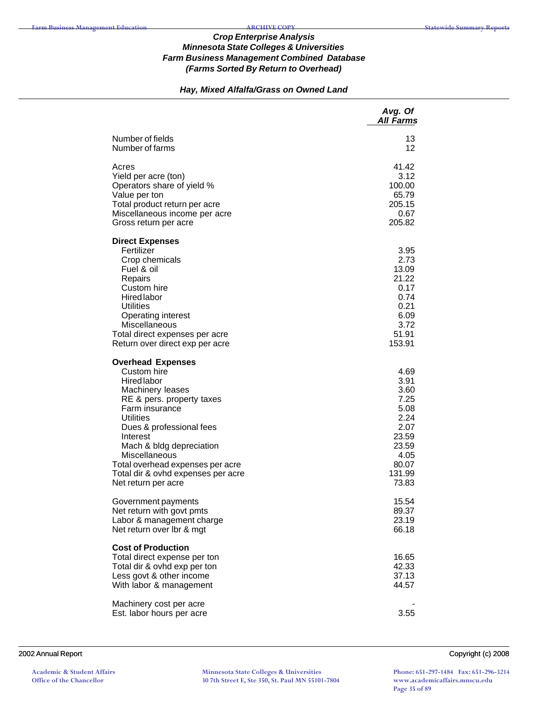# *Hay, Mixed Alfalfa/Grass on Owned Land*

|                                                                                                                                                                                                                                                                                                                                            | Avg. Of<br><b>All Farms</b>                                                                                |
|--------------------------------------------------------------------------------------------------------------------------------------------------------------------------------------------------------------------------------------------------------------------------------------------------------------------------------------------|------------------------------------------------------------------------------------------------------------|
| Number of fields<br>Number of farms                                                                                                                                                                                                                                                                                                        | 13<br>12                                                                                                   |
| Acres<br>Yield per acre (ton)<br>Operators share of yield %<br>Value per ton<br>Total product return per acre<br>Miscellaneous income per acre<br>Gross return per acre                                                                                                                                                                    | 41.42<br>3.12<br>100.00<br>65.79<br>205.15<br>0.67<br>205.82                                               |
| <b>Direct Expenses</b><br>Fertilizer<br>Crop chemicals<br>Fuel & oil<br>Repairs<br>Custom hire<br><b>Hired labor</b><br><b>Utilities</b><br><b>Operating interest</b><br>Miscellaneous<br>Total direct expenses per acre<br>Return over direct exp per acre                                                                                | 3.95<br>2.73<br>13.09<br>21.22<br>0.17<br>0.74<br>0.21<br>6.09<br>3.72<br>51.91<br>153.91                  |
| <b>Overhead Expenses</b><br>Custom hire<br><b>Hired</b> labor<br>Machinery leases<br>RE & pers. property taxes<br>Farm insurance<br><b>Utilities</b><br>Dues & professional fees<br>Interest<br>Mach & bldg depreciation<br>Miscellaneous<br>Total overhead expenses per acre<br>Total dir & ovhd expenses per acre<br>Net return per acre | 4.69<br>3.91<br>3.60<br>7.25<br>5.08<br>2.24<br>2.07<br>23.59<br>23.59<br>4.05<br>80.07<br>131.99<br>73.83 |
| Government payments<br>Net return with govt pmts<br>Labor & management charge<br>Net return over lbr & mgt                                                                                                                                                                                                                                 | 15.54<br>89.37<br>23.19<br>66.18                                                                           |
| <b>Cost of Production</b><br>Total direct expense per ton<br>Total dir & ovhd exp per ton<br>Less govt & other income<br>With labor & management                                                                                                                                                                                           | 16.65<br>42.33<br>37.13<br>44.57                                                                           |
| Machinery cost per acre<br>Est. labor hours per acre                                                                                                                                                                                                                                                                                       | 3.55                                                                                                       |

2002 Annual Report Copyright (c) 2008

**Academic & Student Affairs Office of the Chancellor**

**Minnesota State Colleges & Universities 30 7th Street E, Ste 350, St. Paul MN 55101-7804**

**Phone: 651-297-1484 Fax: 651-296-3214 www.academicaffairs.mnscu.edu Page 35 of 89**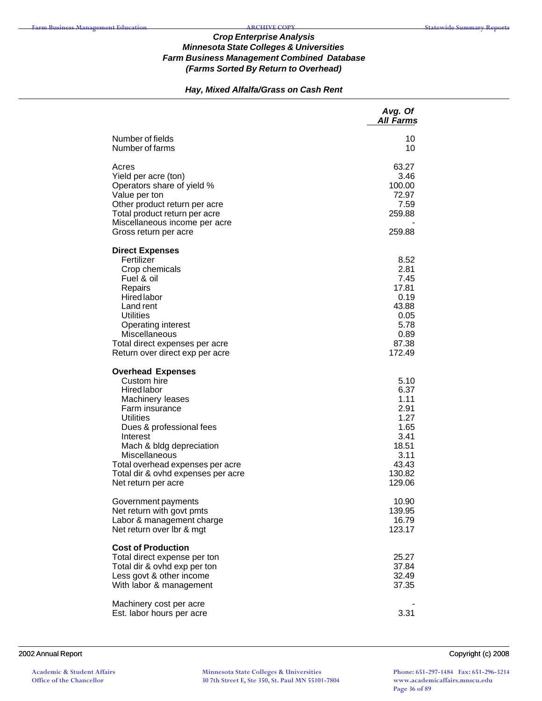# *Hay, Mixed Alfalfa/Grass on Cash Rent*

|                                                                                                                                                                                                                                                                                                               | Avg. Of<br><b>All Farms</b>                                                                        |
|---------------------------------------------------------------------------------------------------------------------------------------------------------------------------------------------------------------------------------------------------------------------------------------------------------------|----------------------------------------------------------------------------------------------------|
| Number of fields<br>Number of farms                                                                                                                                                                                                                                                                           | 10<br>10                                                                                           |
| Acres<br>Yield per acre (ton)<br>Operators share of yield %<br>Value per ton<br>Other product return per acre<br>Total product return per acre<br>Miscellaneous income per acre<br>Gross return per acre                                                                                                      | 63.27<br>3.46<br>100.00<br>72.97<br>7.59<br>259.88<br>259.88                                       |
| <b>Direct Expenses</b><br>Fertilizer<br>Crop chemicals<br>Fuel & oil<br>Repairs<br>Hired labor<br>Land rent<br>Utilities<br>Operating interest<br>Miscellaneous<br>Total direct expenses per acre<br>Return over direct exp per acre                                                                          | 8.52<br>2.81<br>7.45<br>17.81<br>0.19<br>43.88<br>0.05<br>5.78<br>0.89<br>87.38<br>172.49          |
| <b>Overhead Expenses</b><br>Custom hire<br><b>Hired labor</b><br>Machinery leases<br>Farm insurance<br><b>Utilities</b><br>Dues & professional fees<br>Interest<br>Mach & bldg depreciation<br>Miscellaneous<br>Total overhead expenses per acre<br>Total dir & ovhd expenses per acre<br>Net return per acre | 5.10<br>6.37<br>1.11<br>2.91<br>1.27<br>1.65<br>3.41<br>18.51<br>3.11<br>43.43<br>130.82<br>129.06 |
| Government payments<br>Net return with govt pmts<br>Labor & management charge<br>Net return over Ibr & mgt                                                                                                                                                                                                    | 10.90<br>139.95<br>16.79<br>123.17                                                                 |
| <b>Cost of Production</b><br>Total direct expense per ton<br>Total dir & ovhd exp per ton<br>Less govt & other income<br>With labor & management                                                                                                                                                              | 25.27<br>37.84<br>32.49<br>37.35                                                                   |
| Machinery cost per acre<br>Est. labor hours per acre                                                                                                                                                                                                                                                          | 3.31                                                                                               |

#### 2002 Annual Report Copyright (c) 2008

**Academic & Student Affairs Office of the Chancellor**

**Minnesota State Colleges & Universities 30 7th Street E, Ste 350, St. Paul MN 55101-7804**

**Phone: 651-297-1484 Fax: 651-296-3214 www.academicaffairs.mnscu.edu Page 36 of 89**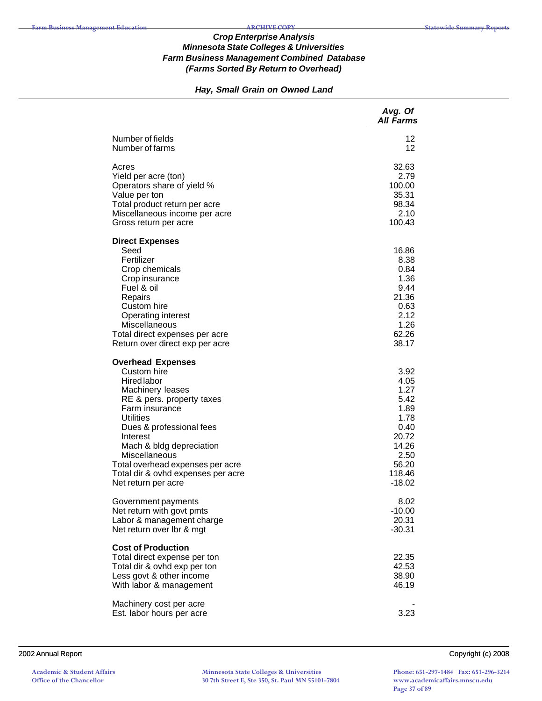## *Hay, Small Grain on Owned Land*

|                                                                                                                                                                                                                                                                                                                                            | Avg. Of<br><b>All Farms</b>                                                                                   |
|--------------------------------------------------------------------------------------------------------------------------------------------------------------------------------------------------------------------------------------------------------------------------------------------------------------------------------------------|---------------------------------------------------------------------------------------------------------------|
| Number of fields<br>Number of farms                                                                                                                                                                                                                                                                                                        | 12<br>12                                                                                                      |
| Acres<br>Yield per acre (ton)<br>Operators share of yield %<br>Value per ton<br>Total product return per acre<br>Miscellaneous income per acre<br>Gross return per acre                                                                                                                                                                    | 32.63<br>2.79<br>100.00<br>35.31<br>98.34<br>2.10<br>100.43                                                   |
| <b>Direct Expenses</b><br>Seed<br>Fertilizer<br>Crop chemicals<br>Crop insurance<br>Fuel & oil<br>Repairs<br>Custom hire<br>Operating interest<br>Miscellaneous<br>Total direct expenses per acre<br>Return over direct exp per acre                                                                                                       | 16.86<br>8.38<br>0.84<br>1.36<br>9.44<br>21.36<br>0.63<br>2.12<br>1.26<br>62.26<br>38.17                      |
| <b>Overhead Expenses</b><br>Custom hire<br><b>Hired labor</b><br>Machinery leases<br>RE & pers. property taxes<br>Farm insurance<br><b>Utilities</b><br>Dues & professional fees<br>Interest<br>Mach & bldg depreciation<br>Miscellaneous<br>Total overhead expenses per acre<br>Total dir & ovhd expenses per acre<br>Net return per acre | 3.92<br>4.05<br>1.27<br>5.42<br>1.89<br>1.78<br>0.40<br>20.72<br>14.26<br>2.50<br>56.20<br>118.46<br>$-18.02$ |
| Government payments<br>Net return with govt pmts<br>Labor & management charge<br>Net return over Ibr & mgt                                                                                                                                                                                                                                 | 8.02<br>$-10.00$<br>20.31<br>$-30.31$                                                                         |
| <b>Cost of Production</b><br>Total direct expense per ton<br>Total dir & ovhd exp per ton<br>Less govt & other income<br>With labor & management                                                                                                                                                                                           | 22.35<br>42.53<br>38.90<br>46.19                                                                              |
| Machinery cost per acre<br>Est. labor hours per acre                                                                                                                                                                                                                                                                                       | 3.23                                                                                                          |

#### 2002 Annual Report Copyright (c) 2008

**Academic & Student Affairs Office of the Chancellor**

**Minnesota State Colleges & Universities 30 7th Street E, Ste 350, St. Paul MN 55101-7804**

**Phone: 651-297-1484 Fax: 651-296-3214 www.academicaffairs.mnscu.edu Page 37 of 89**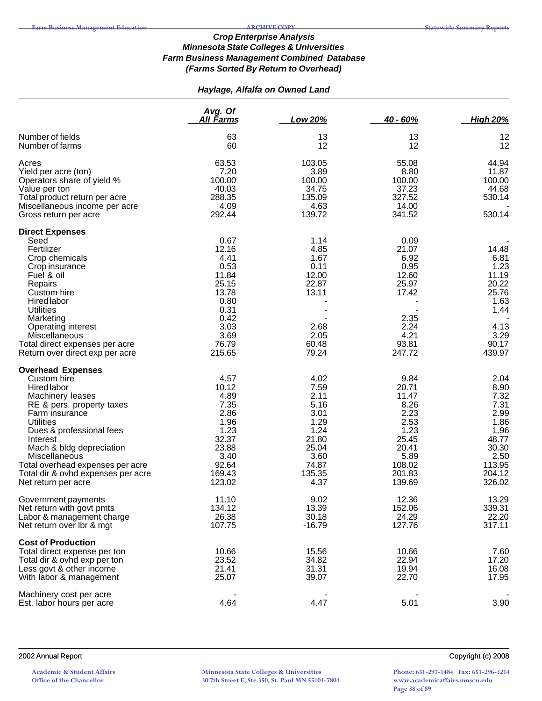# *Haylage, Alfalfa on Owned Land*

|                                                                                                                                                                                                                                                                                                                                            | Avg. Of<br>All Farms                                                                                                | Low 20%                                                                                                   | $40 - 60%$                                                                                                     | <b>High 20%</b>                                                                                              |
|--------------------------------------------------------------------------------------------------------------------------------------------------------------------------------------------------------------------------------------------------------------------------------------------------------------------------------------------|---------------------------------------------------------------------------------------------------------------------|-----------------------------------------------------------------------------------------------------------|----------------------------------------------------------------------------------------------------------------|--------------------------------------------------------------------------------------------------------------|
| Number of fields<br>Number of farms                                                                                                                                                                                                                                                                                                        | 63<br>60                                                                                                            | 13<br>12                                                                                                  | 13<br>12                                                                                                       | 12<br>12                                                                                                     |
| Acres<br>Yield per acre (ton)<br>Operators share of yield %<br>Value per ton<br>Total product return per acre<br>Miscellaneous income per acre<br>Gross return per acre                                                                                                                                                                    | 63.53<br>7.20<br>100.00<br>40.03<br>288.35<br>4.09<br>292.44                                                        | 103.05<br>3.89<br>100.00<br>34.75<br>135.09<br>4.63<br>139.72                                             | 55.08<br>8.80<br>100.00<br>37.23<br>327.52<br>14.00<br>341.52                                                  | 44.94<br>11.87<br>100.00<br>44.68<br>530.14<br>530.14                                                        |
| <b>Direct Expenses</b><br>Seed<br>Fertilizer<br>Crop chemicals<br>Crop insurance<br>Fuel & oil<br>Repairs<br>Custom hire<br><b>Hired labor</b><br>Utilities<br>Marketing<br>Operating interest<br>Miscellaneous<br>Total direct expenses per acre<br>Return over direct exp per acre                                                       | 0.67<br>12.16<br>4.41<br>0.53<br>11.84<br>25.15<br>13.78<br>0.80<br>0.31<br>0.42<br>3.03<br>3.69<br>76.79<br>215.65 | 1.14<br>4.85<br>1.67<br>0.11<br>12.00<br>22.87<br>13.11<br>2.68<br>2.05<br>60.48<br>79.24                 | 0.09<br>21.07<br>6.92<br>0.95<br>12.60<br>25.97<br>17.42<br>2.35<br>2.24<br>4.21<br>93.81<br>247.72            | 14.48<br>6.81<br>1.23<br>11.19<br>20.22<br>25.76<br>1.63<br>1.44<br>4.13<br>3.29<br>90.17<br>439.97          |
| <b>Overhead Expenses</b><br>Custom hire<br>Hired labor<br>Machinery leases<br>RE & pers. property taxes<br>Farm insurance<br><b>Utilities</b><br>Dues & professional fees<br>Interest<br>Mach & bldg depreciation<br><b>Miscellaneous</b><br>Total overhead expenses per acre<br>Total dir & ovhd expenses per acre<br>Net return per acre | 4.57<br>10.12<br>4.89<br>7.35<br>2.86<br>1.96<br>1.23<br>32.37<br>23.88<br>3.40<br>92.64<br>169.43<br>123.02        | 4.02<br>7.59<br>2.11<br>5.16<br>3.01<br>1.29<br>1.24<br>21.80<br>25.04<br>3.60<br>74.87<br>135.35<br>4.37 | 9.84<br>20.71<br>11.47<br>8.26<br>2.23<br>2.53<br>1.23<br>25.45<br>20.41<br>5.89<br>108.02<br>201.83<br>139.69 | 2.04<br>8.90<br>7.32<br>7.31<br>2.99<br>1.86<br>1.96<br>48.77<br>30.30<br>2.50<br>113.95<br>204.12<br>326.02 |
| Government payments<br>Net return with govt pmts<br>Labor & management charge<br>Net return over lbr & mgt                                                                                                                                                                                                                                 | 11.10<br>134.12<br>26.38<br>107.75                                                                                  | 9.02<br>13.39<br>30.18<br>$-16.79$                                                                        | 12.36<br>152.06<br>24.29<br>127.76                                                                             | 13.29<br>339.31<br>22.20<br>317.11                                                                           |
| <b>Cost of Production</b><br>Total direct expense per ton<br>Total dir & ovhd exp per ton<br>Less govt & other income<br>With labor & management                                                                                                                                                                                           | 10.66<br>23.52<br>21.41<br>25.07                                                                                    | 15.56<br>34.82<br>31.31<br>39.07                                                                          | 10.66<br>22.94<br>19.94<br>22.70                                                                               | 7.60<br>17.20<br>16.08<br>17.95                                                                              |
| Machinery cost per acre<br>Est. labor hours per acre                                                                                                                                                                                                                                                                                       | 4.64                                                                                                                | 4.47                                                                                                      | 5.01                                                                                                           | 3.90                                                                                                         |

#### 2002 Annual Report Copyright (c) 2008

**Academic & Student Affairs Office of the Chancellor**

**Minnesota State Colleges & Universities 30 7th Street E, Ste 350, St. Paul MN 55101-7804**

**Phone: 651-297-1484 Fax: 651-296-3214 www.academicaffairs.mnscu.edu Page 38 of 89**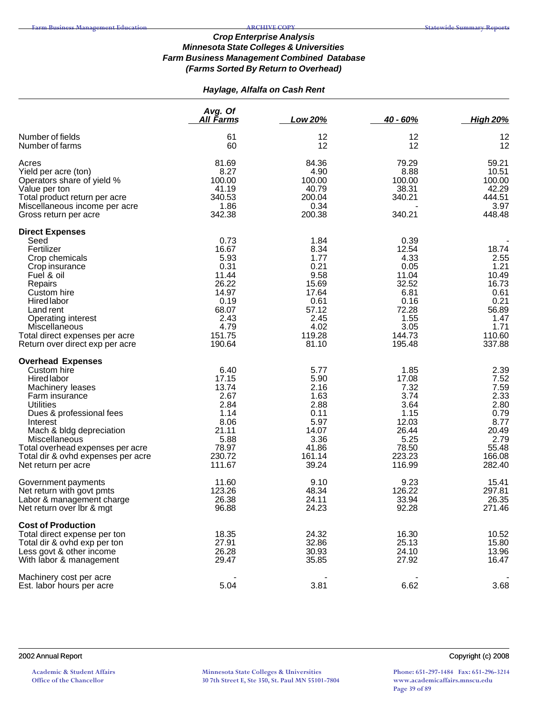# *Haylage, Alfalfa on Cash Rent*

|                                                                                                                                                                                                                                                                                                        | Avg. Of<br><u>All Farms</u>                                                                                   | <b>Low 20%</b>                                                                                             | $40 - 60%$                                                                                                   | <b>High 20%</b>                                                                                      |
|--------------------------------------------------------------------------------------------------------------------------------------------------------------------------------------------------------------------------------------------------------------------------------------------------------|---------------------------------------------------------------------------------------------------------------|------------------------------------------------------------------------------------------------------------|--------------------------------------------------------------------------------------------------------------|------------------------------------------------------------------------------------------------------|
| Number of fields<br>Number of farms                                                                                                                                                                                                                                                                    | 61<br>60                                                                                                      | 12<br>12                                                                                                   | 12<br>12                                                                                                     | 12<br>12                                                                                             |
| Acres<br>Yield per acre (ton)<br>Operators share of yield %<br>Value per ton<br>Total product return per acre<br>Miscellaneous income per acre<br>Gross return per acre                                                                                                                                | 81.69<br>8.27<br>100.00<br>41.19<br>340.53<br>1.86<br>342.38                                                  | 84.36<br>4.90<br>100.00<br>40.79<br>200.04<br>0.34<br>200.38                                               | 79.29<br>8.88<br>100.00<br>38.31<br>340.21<br>340.21                                                         | 59.21<br>10.51<br>100.00<br>42.29<br>444.51<br>3.97<br>448.48                                        |
| <b>Direct Expenses</b><br>Seed<br>Fertilizer<br>Crop chemicals<br>Crop insurance<br>Fuel & oil<br>Repairs<br>Custom hire<br><b>Hired labor</b><br>Land rent<br>Operating interest<br><b>Miscellaneous</b><br>Total direct expenses per acre<br>Return over direct exp per acre                         | 0.73<br>16.67<br>5.93<br>0.31<br>11.44<br>26.22<br>14.97<br>0.19<br>68.07<br>2.43<br>4.79<br>151.75<br>190.64 | 1.84<br>8.34<br>1.77<br>0.21<br>9.58<br>15.69<br>17.64<br>0.61<br>57.12<br>2.45<br>4.02<br>119.28<br>81.10 | 0.39<br>12.54<br>4.33<br>0.05<br>11.04<br>32.52<br>6.81<br>0.16<br>72.28<br>1.55<br>3.05<br>144.73<br>195.48 | 18.74<br>2.55<br>1.21<br>10.49<br>16.73<br>0.61<br>0.21<br>56.89<br>1.47<br>1.71<br>110.60<br>337.88 |
| <b>Overhead Expenses</b><br>Custom hire<br>Hired labor<br>Machinery leases<br>Farm insurance<br><b>Utilities</b><br>Dues & professional fees<br>Interest<br>Mach & bldg depreciation<br>Miscellaneous<br>Total overhead expenses per acre<br>Total dir & ovhd expenses per acre<br>Net return per acre | 6.40<br>17.15<br>13.74<br>2.67<br>2.84<br>1.14<br>8.06<br>21.11<br>5.88<br>78.97<br>230.72<br>111.67          | 5.77<br>5.90<br>2.16<br>1.63<br>2.88<br>0.11<br>5.97<br>14.07<br>3.36<br>41.86<br>161.14<br>39.24          | 1.85<br>17.08<br>7.32<br>3.74<br>3.64<br>1.15<br>12.03<br>26.44<br>5.25<br>78.50<br>223.23<br>116.99         | 2.39<br>7.52<br>7.59<br>2.33<br>2.80<br>0.79<br>8.77<br>20.49<br>2.79<br>55.48<br>166.08<br>282.40   |
| Government payments<br>Net return with govt pmts<br>Labor & management charge<br>Net return over Ibr & mgt                                                                                                                                                                                             | 11.60<br>123.26<br>26.38<br>96.88                                                                             | 9.10<br>48.34<br>24.11<br>24.23                                                                            | 9.23<br>126.22<br>33.94<br>92.28                                                                             | 15.41<br>297.81<br>26.35<br>271.46                                                                   |
| <b>Cost of Production</b><br>Total direct expense per ton<br>Total dir & ovhd exp per ton<br>Less govt & other income<br>With labor & management                                                                                                                                                       | 18.35<br>27.91<br>26.28<br>29.47                                                                              | 24.32<br>32.86<br>30.93<br>35.85                                                                           | 16.30<br>25.13<br>24.10<br>27.92                                                                             | 10.52<br>15.80<br>13.96<br>16.47                                                                     |
| Machinery cost per acre<br>Est. labor hours per acre                                                                                                                                                                                                                                                   | 5.04                                                                                                          | 3.81                                                                                                       | 6.62                                                                                                         | 3.68                                                                                                 |

**Academic & Student Affairs Office of the Chancellor**

**Minnesota State Colleges & Universities 30 7th Street E, Ste 350, St. Paul MN 55101-7804** **Phone: 651-297-1484 Fax: 651-296-3214 www.academicaffairs.mnscu.edu Page 39 of 89**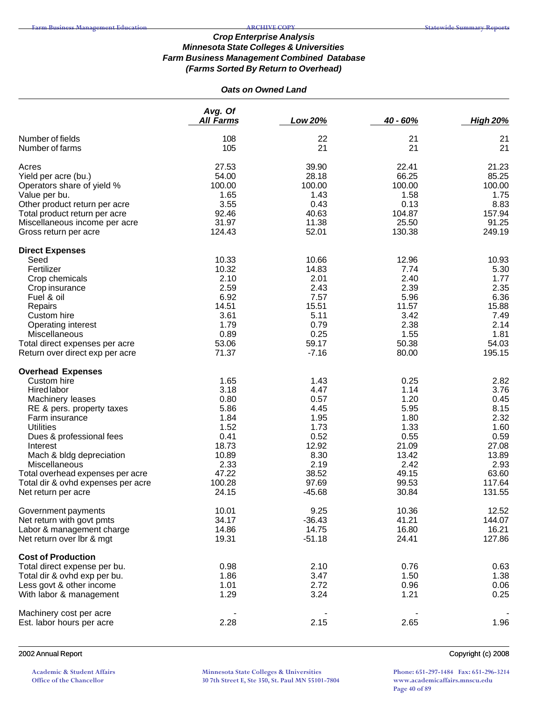### *Oats on Owned Land*

|                                    | Avg. Of          |               |               |                 |
|------------------------------------|------------------|---------------|---------------|-----------------|
|                                    | <b>All Farms</b> | Low 20%       | 40 - 60%      | <b>High 20%</b> |
| Number of fields                   | 108              | 22            | 21            | 21              |
| Number of farms                    | 105              | 21            | 21            | 21              |
| Acres                              | 27.53            | 39.90         | 22.41         | 21.23           |
| Yield per acre (bu.)               | 54.00            | 28.18         | 66.25         | 85.25           |
| Operators share of yield %         | 100.00           | 100.00        | 100.00        | 100.00          |
| Value per bu.                      | 1.65             | 1.43          | 1.58          | 1.75            |
| Other product return per acre      | 3.55             | 0.43          | 0.13          | 8.83            |
| Total product return per acre      | 92.46            | 40.63         | 104.87        | 157.94          |
| Miscellaneous income per acre      | 31.97            | 11.38         | 25.50         | 91.25           |
| Gross return per acre              | 124.43           | 52.01         | 130.38        | 249.19          |
| <b>Direct Expenses</b>             |                  |               |               |                 |
| Seed                               | 10.33            | 10.66         | 12.96         | 10.93           |
| Fertilizer                         | 10.32            | 14.83         | 7.74          | 5.30            |
| Crop chemicals                     | 2.10             | 2.01          | 2.40          | 1.77            |
| Crop insurance                     | 2.59             | 2.43          | 2.39          | 2.35            |
| Fuel & oil                         | 6.92<br>14.51    | 7.57<br>15.51 | 5.96<br>11.57 | 6.36<br>15.88   |
| Repairs<br>Custom hire             | 3.61             | 5.11          | 3.42          | 7.49            |
| Operating interest                 | 1.79             | 0.79          | 2.38          | 2.14            |
| Miscellaneous                      | 0.89             | 0.25          | 1.55          | 1.81            |
| Total direct expenses per acre     | 53.06            | 59.17         | 50.38         | 54.03           |
| Return over direct exp per acre    | 71.37            | $-7.16$       | 80.00         | 195.15          |
| <b>Overhead Expenses</b>           |                  |               |               |                 |
| Custom hire                        | 1.65             | 1.43          | 0.25          | 2.82            |
| Hired labor                        | 3.18             | 4.47          | 1.14          | 3.76            |
| Machinery leases                   | 0.80             | 0.57          | 1.20          | 0.45            |
| RE & pers. property taxes          | 5.86             | 4.45          | 5.95          | 8.15            |
| Farm insurance                     | 1.84             | 1.95          | 1.80          | 2.32            |
| <b>Utilities</b>                   | 1.52             | 1.73          | 1.33          | 1.60            |
| Dues & professional fees           | 0.41             | 0.52          | 0.55          | 0.59            |
| Interest                           | 18.73            | 12.92         | 21.09         | 27.08           |
| Mach & bldg depreciation           | 10.89            | 8.30          | 13.42         | 13.89           |
| Miscellaneous                      | 2.33             | 2.19          | 2.42          | 2.93            |
| Total overhead expenses per acre   | 47.22            | 38.52         | 49.15         | 63.60           |
| Total dir & ovhd expenses per acre | 100.28           | 97.69         | 99.53         | 117.64          |
| Net return per acre                | 24.15            | $-45.68$      | 30.84         | 131.55          |
| Government payments                | 10.01            | 9.25          | 10.36         | 12.52           |
| Net return with govt pmts          | 34.17            | $-36.43$      | 41.21         | 144.07          |
| Labor & management charge          | 14.86            | 14.75         | 16.80         | 16.21           |
| Net return over lbr & mgt          | 19.31            | $-51.18$      | 24.41         | 127.86          |
| <b>Cost of Production</b>          |                  |               |               |                 |
| Total direct expense per bu.       | 0.98             | 2.10          | 0.76          | 0.63            |
| Total dir & ovhd exp per bu.       | 1.86             | 3.47          | 1.50          | 1.38            |
| Less govt & other income           | 1.01             | 2.72          | 0.96          | 0.06            |
| With labor & management            | 1.29             | 3.24          | 1.21          | 0.25            |
| Machinery cost per acre            |                  |               |               |                 |
| Est. labor hours per acre          | 2.28             | 2.15          | 2.65          | 1.96            |
|                                    |                  |               |               |                 |

#### 2002 Annual Report Copyright (c) 2008

**Academic & Student Affairs Office of the Chancellor**

**Minnesota State Colleges & Universities 30 7th Street E, Ste 350, St. Paul MN 55101-7804**

**Phone: 651-297-1484 Fax: 651-296-3214 www.academicaffairs.mnscu.edu Page 40 of 89**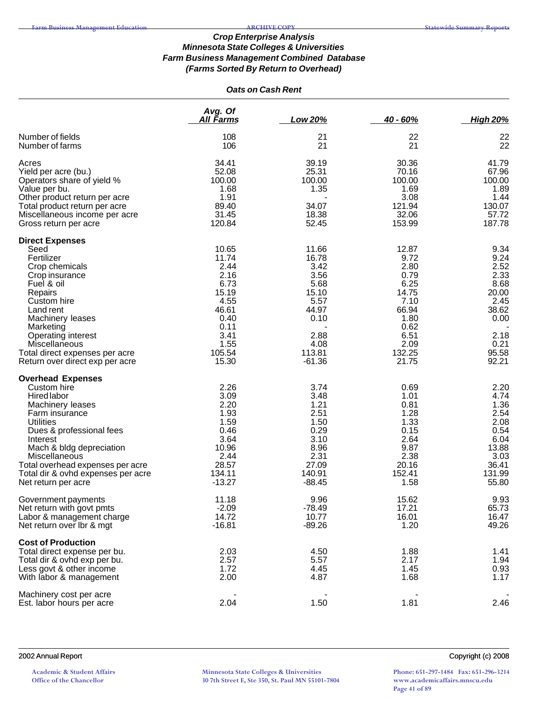## *Oats on Cash Rent*

|                                                                                                                                                                                                                                                                                                        | Avg. Of<br><u>All Farms</u>                                                                                         | <b>Low 20%</b>                                                                                                 | $40 - 60%$                                                                                                         | <b>High 20%</b>                                                                                          |
|--------------------------------------------------------------------------------------------------------------------------------------------------------------------------------------------------------------------------------------------------------------------------------------------------------|---------------------------------------------------------------------------------------------------------------------|----------------------------------------------------------------------------------------------------------------|--------------------------------------------------------------------------------------------------------------------|----------------------------------------------------------------------------------------------------------|
| Number of fields<br>Number of farms                                                                                                                                                                                                                                                                    | 108<br>106                                                                                                          | 21<br>21                                                                                                       | 22<br>21                                                                                                           | 22<br>22                                                                                                 |
| Acres<br>Yield per acre (bu.)<br>Operators share of yield %<br>Value per bu.<br>Other product return per acre<br>Total product return per acre<br>Miscellaneous income per acre<br>Gross return per acre                                                                                               | 34.41<br>52.08<br>100.00<br>1.68<br>1.91<br>89.40<br>31.45<br>120.84                                                | 39.19<br>25.31<br>100.00<br>1.35<br>34.07<br>18.38<br>52.45                                                    | 30.36<br>70.16<br>100.00<br>1.69<br>3.08<br>121.94<br>32.06<br>153.99                                              | 41.79<br>67.96<br>100.00<br>1.89<br>1.44<br>130.07<br>57.72<br>187.78                                    |
| <b>Direct Expenses</b><br>Seed<br>Fertilizer<br>Crop chemicals<br>Crop insurance<br>Fuel & oil<br>Repairs<br>Custom hire<br>Land rent<br>Machinery leases<br>Marketing<br><b>Operating interest</b><br>Miscellaneous<br>Total direct expenses per acre<br>Return over direct exp per acre              | 10.65<br>11.74<br>2.44<br>2.16<br>6.73<br>15.19<br>4.55<br>46.61<br>0.40<br>0.11<br>3.41<br>1.55<br>105.54<br>15.30 | 11.66<br>16.78<br>3.42<br>3.56<br>5.68<br>15.10<br>5.57<br>44.97<br>0.10<br>2.88<br>4.08<br>113.81<br>$-61.36$ | 12.87<br>9.72<br>2.80<br>0.79<br>6.25<br>14.75<br>7.10<br>66.94<br>1.80<br>0.62<br>6.51<br>2.09<br>132.25<br>21.75 | 9.34<br>9.24<br>2.52<br>2.33<br>8.68<br>20.00<br>2.45<br>38.62<br>0.00<br>2.18<br>0.21<br>95.58<br>92.21 |
| <b>Overhead Expenses</b><br>Custom hire<br>Hired labor<br>Machinery leases<br>Farm insurance<br><b>Utilities</b><br>Dues & professional fees<br>Interest<br>Mach & bldg depreciation<br>Miscellaneous<br>Total overhead expenses per acre<br>Total dir & ovhd expenses per acre<br>Net return per acre | 2.26<br>3.09<br>2.20<br>1.93<br>1.59<br>0.46<br>3.64<br>10.96<br>2.44<br>28.57<br>134.11<br>$-13.27$                | 3.74<br>3.48<br>1.21<br>2.51<br>1.50<br>0.29<br>3.10<br>8.96<br>2.31<br>27.09<br>140.91<br>$-88.45$            | 0.69<br>1.01<br>0.81<br>1.28<br>1.33<br>0.15<br>2.64<br>9.87<br>2.38<br>20.16<br>152.41<br>1.58                    | 2.20<br>4.74<br>1.36<br>2.54<br>2.08<br>0.54<br>6.04<br>13.88<br>3.03<br>36.41<br>131.99<br>55.80        |
| Government payments<br>Net return with govt pmts<br>Labor & management charge<br>Net return over Ibr & mgt                                                                                                                                                                                             | 11.18<br>$-2.09$<br>14.72<br>$-16.81$                                                                               | 9.96<br>$-78.49$<br>10.77<br>$-89.26$                                                                          | 15.62<br>17.21<br>16.01<br>1.20                                                                                    | 9.93<br>65.73<br>16.47<br>49.26                                                                          |
| <b>Cost of Production</b><br>Total direct expense per bu.<br>Total dir & ovhd exp per bu.<br>Less govt & other income<br>With labor & management<br>Machinery cost per acre                                                                                                                            | 2.03<br>2.57<br>1.72<br>2.00                                                                                        | 4.50<br>5.57<br>4.45<br>4.87                                                                                   | 1.88<br>2.17<br>1.45<br>1.68                                                                                       | 1.41<br>1.94<br>0.93<br>1.17                                                                             |
| Est. labor hours per acre                                                                                                                                                                                                                                                                              | 2.04                                                                                                                | 1.50                                                                                                           | 1.81                                                                                                               | 2.46                                                                                                     |

**Academic & Student Affairs Office of the Chancellor**

**Minnesota State Colleges & Universities 30 7th Street E, Ste 350, St. Paul MN 55101-7804**

2002 Annual Report Copyright (c) 2008

**Phone: 651-297-1484 Fax: 651-296-3214 www.academicaffairs.mnscu.edu Page 41 of 89**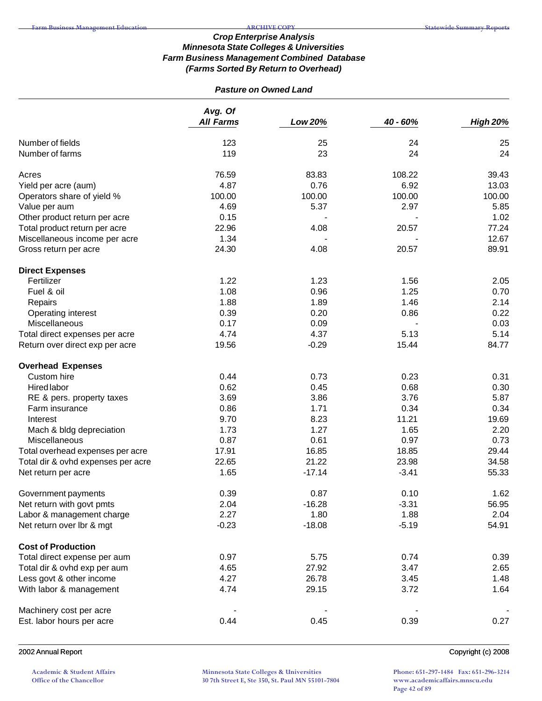## *Pasture on Owned Land*

|                                    | Avg. Of<br><b>All Farms</b> | Low 20%  | 40 - 60% | <b>High 20%</b> |
|------------------------------------|-----------------------------|----------|----------|-----------------|
| Number of fields                   | 123                         | 25       | 24       | 25              |
| Number of farms                    | 119                         | 23       | 24       | 24              |
| Acres                              | 76.59                       | 83.83    | 108.22   | 39.43           |
| Yield per acre (aum)               | 4.87                        | 0.76     | 6.92     | 13.03           |
| Operators share of yield %         | 100.00                      | 100.00   | 100.00   | 100.00          |
| Value per aum                      | 4.69                        | 5.37     | 2.97     | 5.85            |
| Other product return per acre      | 0.15                        |          |          | 1.02            |
| Total product return per acre      | 22.96                       | 4.08     | 20.57    | 77.24           |
| Miscellaneous income per acre      | 1.34                        |          |          | 12.67           |
| Gross return per acre              | 24.30                       | 4.08     | 20.57    | 89.91           |
| <b>Direct Expenses</b>             |                             |          |          |                 |
| Fertilizer                         | 1.22                        | 1.23     | 1.56     | 2.05            |
| Fuel & oil                         | 1.08                        | 0.96     | 1.25     | 0.70            |
| Repairs                            | 1.88                        | 1.89     | 1.46     | 2.14            |
| Operating interest                 | 0.39                        | 0.20     | 0.86     | 0.22            |
| Miscellaneous                      | 0.17                        | 0.09     |          | 0.03            |
| Total direct expenses per acre     | 4.74                        | 4.37     | 5.13     | 5.14            |
| Return over direct exp per acre    | 19.56                       | $-0.29$  | 15.44    | 84.77           |
| <b>Overhead Expenses</b>           |                             |          |          |                 |
| Custom hire                        | 0.44                        | 0.73     | 0.23     | 0.31            |
| <b>Hired labor</b>                 | 0.62                        | 0.45     | 0.68     | 0.30            |
| RE & pers. property taxes          | 3.69                        | 3.86     | 3.76     | 5.87            |
| Farm insurance                     | 0.86                        | 1.71     | 0.34     | 0.34            |
| Interest                           | 9.70                        | 8.23     | 11.21    | 19.69           |
| Mach & bldg depreciation           | 1.73                        | 1.27     | 1.65     | 2.20            |
| Miscellaneous                      | 0.87                        | 0.61     | 0.97     | 0.73            |
| Total overhead expenses per acre   | 17.91                       | 16.85    | 18.85    | 29.44           |
| Total dir & ovhd expenses per acre | 22.65                       | 21.22    | 23.98    | 34.58           |
| Net return per acre                | 1.65                        | $-17.14$ | $-3.41$  | 55.33           |
| Government payments                | 0.39                        | 0.87     | 0.10     | 1.62            |
| Net return with govt pmts          | 2.04                        | $-16.28$ | $-3.31$  | 56.95           |
| Labor & management charge          | 2.27                        | 1.80     | 1.88     | 2.04            |
| Net return over lbr & mgt          | $-0.23$                     | $-18.08$ | $-5.19$  | 54.91           |
| <b>Cost of Production</b>          |                             |          |          |                 |
| Total direct expense per aum       | 0.97                        | 5.75     | 0.74     | 0.39            |
| Total dir & ovhd exp per aum       | 4.65                        | 27.92    | 3.47     | 2.65            |
| Less govt & other income           | 4.27                        | 26.78    | 3.45     | 1.48            |
| With labor & management            | 4.74                        | 29.15    | 3.72     | 1.64            |
| Machinery cost per acre            |                             |          |          |                 |
| Est. labor hours per acre          | 0.44                        | 0.45     | 0.39     | 0.27            |

### 2002 Annual Report Copyright (c) 2008

**Academic & Student Affairs Office of the Chancellor**

**Minnesota State Colleges & Universities 30 7th Street E, Ste 350, St. Paul MN 55101-7804**

**Phone: 651-297-1484 Fax: 651-296-3214 www.academicaffairs.mnscu.edu Page 42 of 89**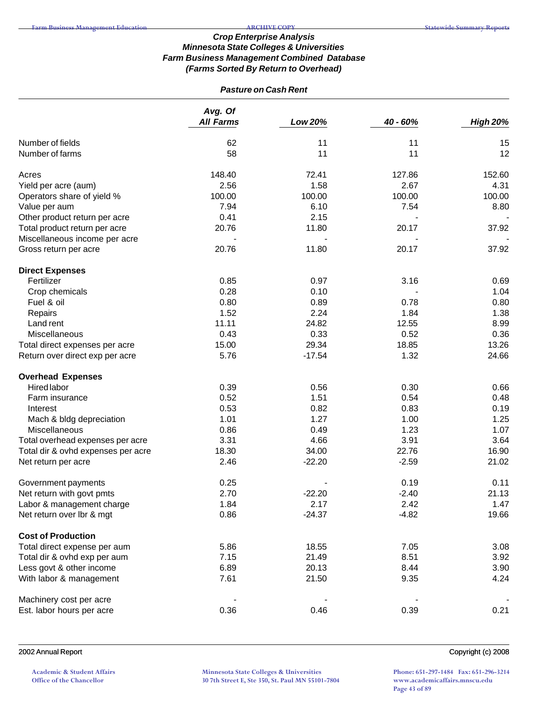## *Pasture on Cash Rent*

|                                    | Avg. Of<br><b>All Farms</b> | Low 20%  | 40 - 60% | <b>High 20%</b> |
|------------------------------------|-----------------------------|----------|----------|-----------------|
| Number of fields                   | 62                          | 11       | 11       | 15              |
| Number of farms                    | 58                          | 11       | 11       | 12              |
| Acres                              | 148.40                      | 72.41    | 127.86   | 152.60          |
| Yield per acre (aum)               | 2.56                        | 1.58     | 2.67     | 4.31            |
| Operators share of yield %         | 100.00                      | 100.00   | 100.00   | 100.00          |
| Value per aum                      | 7.94                        | 6.10     | 7.54     | 8.80            |
| Other product return per acre      | 0.41                        | 2.15     |          |                 |
| Total product return per acre      | 20.76                       | 11.80    | 20.17    | 37.92           |
| Miscellaneous income per acre      |                             |          |          |                 |
| Gross return per acre              | 20.76                       | 11.80    | 20.17    | 37.92           |
| <b>Direct Expenses</b>             |                             |          |          |                 |
| Fertilizer                         | 0.85                        | 0.97     | 3.16     | 0.69            |
| Crop chemicals                     | 0.28                        | 0.10     |          | 1.04            |
| Fuel & oil                         | 0.80                        | 0.89     | 0.78     | 0.80            |
| Repairs                            | 1.52                        | 2.24     | 1.84     | 1.38            |
| Land rent                          | 11.11                       | 24.82    | 12.55    | 8.99            |
| Miscellaneous                      | 0.43                        | 0.33     | 0.52     | 0.36            |
| Total direct expenses per acre     | 15.00                       | 29.34    | 18.85    | 13.26           |
| Return over direct exp per acre    | 5.76                        | $-17.54$ | 1.32     | 24.66           |
| <b>Overhead Expenses</b>           |                             |          |          |                 |
| <b>Hired labor</b>                 | 0.39                        | 0.56     | 0.30     | 0.66            |
| Farm insurance                     | 0.52                        | 1.51     | 0.54     | 0.48            |
| Interest                           | 0.53                        | 0.82     | 0.83     | 0.19            |
| Mach & bldg depreciation           | 1.01                        | 1.27     | 1.00     | 1.25            |
| Miscellaneous                      | 0.86                        | 0.49     | 1.23     | 1.07            |
| Total overhead expenses per acre   | 3.31                        | 4.66     | 3.91     | 3.64            |
| Total dir & ovhd expenses per acre | 18.30                       | 34.00    | 22.76    | 16.90           |
| Net return per acre                | 2.46                        | $-22.20$ | $-2.59$  | 21.02           |
| Government payments                | 0.25                        |          | 0.19     | 0.11            |
| Net return with govt pmts          | 2.70                        | $-22.20$ | $-2.40$  | 21.13           |
| Labor & management charge          | 1.84                        | 2.17     | 2.42     | 1.47            |
| Net return over lbr & mgt          | 0.86                        | $-24.37$ | $-4.82$  | 19.66           |
| <b>Cost of Production</b>          |                             |          |          |                 |
| Total direct expense per aum       | 5.86                        | 18.55    | 7.05     | 3.08            |
| Total dir & ovhd exp per aum       | 7.15                        | 21.49    | 8.51     | 3.92            |
| Less govt & other income           | 6.89                        | 20.13    | 8.44     | 3.90            |
| With labor & management            | 7.61                        | 21.50    | 9.35     | 4.24            |
| Machinery cost per acre            |                             |          |          |                 |
| Est. labor hours per acre          | 0.36                        | 0.46     | 0.39     | 0.21            |

2002 Annual Report Copyright (c) 2008

**Academic & Student Affairs Office of the Chancellor**

**Minnesota State Colleges & Universities 30 7th Street E, Ste 350, St. Paul MN 55101-7804**

**Phone: 651-297-1484 Fax: 651-296-3214 www.academicaffairs.mnscu.edu Page 43 of 89**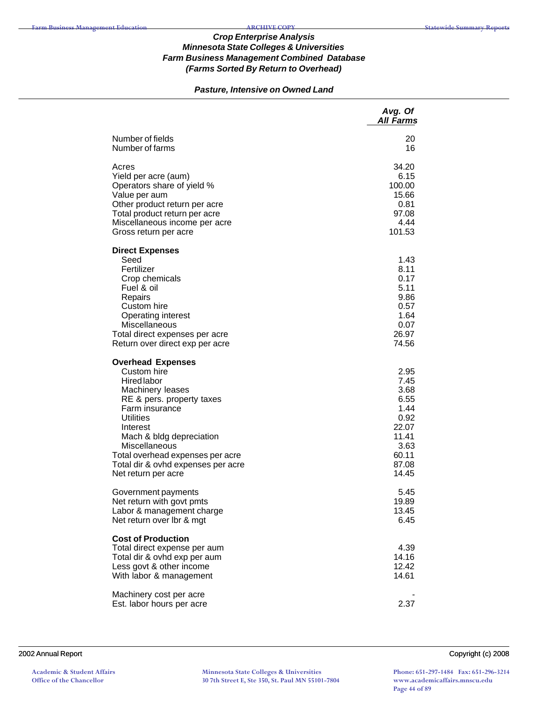## *Pasture, Intensive on Owned Land*

|                                                                                                                                                                                                                                                                                                         | Avg. Of<br><b>All Farms</b>                                                                       |
|---------------------------------------------------------------------------------------------------------------------------------------------------------------------------------------------------------------------------------------------------------------------------------------------------------|---------------------------------------------------------------------------------------------------|
| Number of fields<br>Number of farms                                                                                                                                                                                                                                                                     | 20<br>16                                                                                          |
| Acres<br>Yield per acre (aum)<br>Operators share of yield %<br>Value per aum<br>Other product return per acre<br>Total product return per acre<br>Miscellaneous income per acre<br>Gross return per acre                                                                                                | 34.20<br>6.15<br>100.00<br>15.66<br>0.81<br>97.08<br>4.44<br>101.53                               |
| <b>Direct Expenses</b><br>Seed<br>Fertilizer<br>Crop chemicals<br>Fuel & oil<br>Repairs<br>Custom hire<br><b>Operating interest</b><br>Miscellaneous<br>Total direct expenses per acre<br>Return over direct exp per acre                                                                               | 1.43<br>8.11<br>0.17<br>5.11<br>9.86<br>0.57<br>1.64<br>0.07<br>26.97<br>74.56                    |
| <b>Overhead Expenses</b><br>Custom hire<br>Hired labor<br>Machinery leases<br>RE & pers. property taxes<br>Farm insurance<br><b>Utilities</b><br>Interest<br>Mach & bldg depreciation<br>Miscellaneous<br>Total overhead expenses per acre<br>Total dir & ovhd expenses per acre<br>Net return per acre | 2.95<br>7.45<br>3.68<br>6.55<br>1.44<br>0.92<br>22.07<br>11.41<br>3.63<br>60.11<br>87.08<br>14.45 |
| Government payments<br>Net return with govt pmts<br>Labor & management charge<br>Net return over Ibr & mgt                                                                                                                                                                                              | 5.45<br>19.89<br>13.45<br>6.45                                                                    |
| <b>Cost of Production</b><br>Total direct expense per aum<br>Total dir & ovhd exp per aum<br>Less govt & other income<br>With labor & management                                                                                                                                                        | 4.39<br>14.16<br>12.42<br>14.61                                                                   |
| Machinery cost per acre<br>Est. labor hours per acre                                                                                                                                                                                                                                                    | 2.37                                                                                              |

#### 2002 Annual Report Copyright (c) 2008

**Minnesota State Colleges & Universities 30 7th Street E, Ste 350, St. Paul MN 55101-7804** **Phone: 651-297-1484 Fax: 651-296-3214 www.academicaffairs.mnscu.edu Page 44 of 89**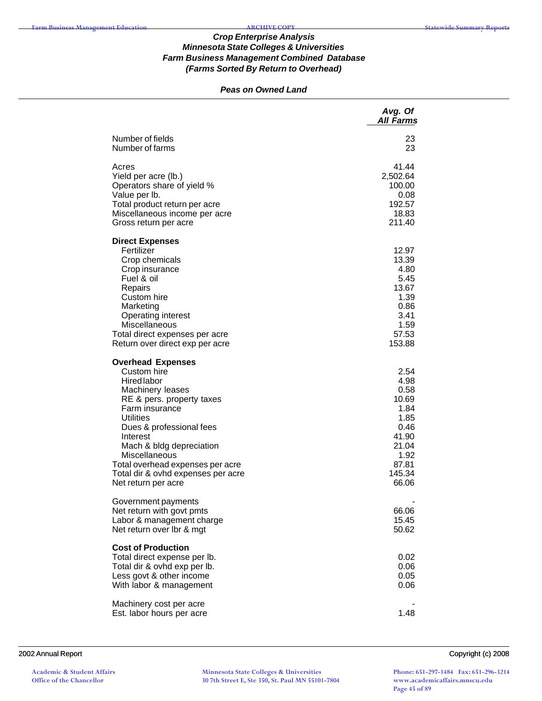### *Peas on Owned Land*

|                                                                                                                                                                                                                                                                                                                                            | Avg. Of<br><b>All Farms</b>                                                                                 |
|--------------------------------------------------------------------------------------------------------------------------------------------------------------------------------------------------------------------------------------------------------------------------------------------------------------------------------------------|-------------------------------------------------------------------------------------------------------------|
| Number of fields<br>Number of farms                                                                                                                                                                                                                                                                                                        | 23<br>23                                                                                                    |
| Acres<br>Yield per acre (lb.)<br>Operators share of yield %<br>Value per lb.<br>Total product return per acre<br>Miscellaneous income per acre<br>Gross return per acre                                                                                                                                                                    | 41.44<br>2,502.64<br>100.00<br>0.08<br>192.57<br>18.83<br>211.40                                            |
| <b>Direct Expenses</b><br>Fertilizer<br>Crop chemicals<br>Crop insurance<br>Fuel & oil<br>Repairs<br>Custom hire<br>Marketing<br><b>Operating interest</b><br>Miscellaneous<br>Total direct expenses per acre<br>Return over direct exp per acre                                                                                           | 12.97<br>13.39<br>4.80<br>5.45<br>13.67<br>1.39<br>0.86<br>3.41<br>1.59<br>57.53<br>153.88                  |
| <b>Overhead Expenses</b><br>Custom hire<br><b>Hired labor</b><br>Machinery leases<br>RE & pers. property taxes<br>Farm insurance<br><b>Utilities</b><br>Dues & professional fees<br>Interest<br>Mach & bldg depreciation<br>Miscellaneous<br>Total overhead expenses per acre<br>Total dir & ovhd expenses per acre<br>Net return per acre | 2.54<br>4.98<br>0.58<br>10.69<br>1.84<br>1.85<br>0.46<br>41.90<br>21.04<br>1.92<br>87.81<br>145.34<br>66.06 |
| Government payments<br>Net return with govt pmts<br>Labor & management charge<br>Net return over Ibr & mgt                                                                                                                                                                                                                                 | 66.06<br>15.45<br>50.62                                                                                     |
| <b>Cost of Production</b><br>Total direct expense per lb.<br>Total dir & ovhd exp per lb.<br>Less govt & other income<br>With labor & management                                                                                                                                                                                           | 0.02<br>0.06<br>0.05<br>0.06                                                                                |
| Machinery cost per acre<br>Est. labor hours per acre                                                                                                                                                                                                                                                                                       | 1.48                                                                                                        |

#### 2002 Annual Report Copyright (c) 2008

**Academic & Student Affairs Office of the Chancellor**

**Minnesota State Colleges & Universities 30 7th Street E, Ste 350, St. Paul MN 55101-7804**

**Phone: 651-297-1484 Fax: 651-296-3214 www.academicaffairs.mnscu.edu Page 45 of 89**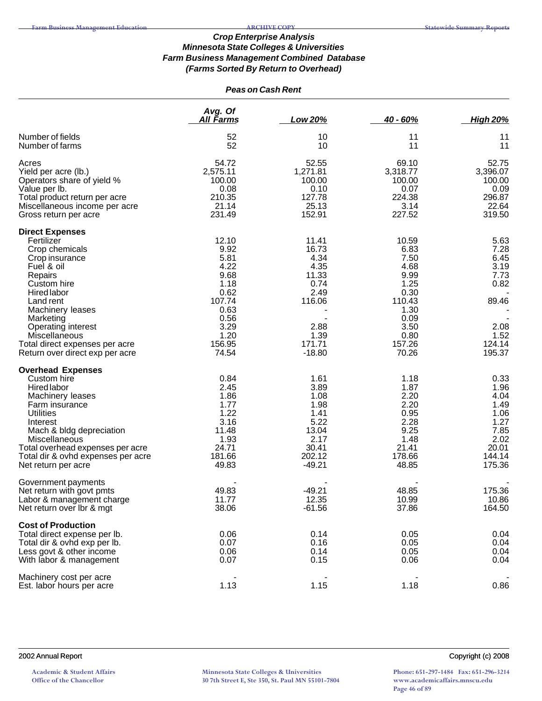## *Peas on Cash Rent*

|                                                                                                                                                                                                                                                                                           | Avg. Of<br>All Farms                                                                                               | Low 20%                                                                                                 | $40 - 60%$                                                                                                         | <b>High 20%</b>                                                                           |
|-------------------------------------------------------------------------------------------------------------------------------------------------------------------------------------------------------------------------------------------------------------------------------------------|--------------------------------------------------------------------------------------------------------------------|---------------------------------------------------------------------------------------------------------|--------------------------------------------------------------------------------------------------------------------|-------------------------------------------------------------------------------------------|
| Number of fields<br>Number of farms                                                                                                                                                                                                                                                       | 52<br>52                                                                                                           | 10<br>10                                                                                                | 11<br>11                                                                                                           | 11<br>11                                                                                  |
| Acres<br>Yield per acre (lb.)<br>Operators share of yield %<br>Value per lb.<br>Total product return per acre<br>Miscellaneous income per acre<br>Gross return per acre                                                                                                                   | 54.72<br>2,575.11<br>100.00<br>0.08<br>210.35<br>21.14<br>231.49                                                   | 52.55<br>1,271.81<br>100.00<br>0.10<br>127.78<br>25.13<br>152.91                                        | 69.10<br>3,318.77<br>100.00<br>0.07<br>224.38<br>3.14<br>227.52                                                    | 52.75<br>3,396.07<br>100.00<br>0.09<br>296.87<br>22.64<br>319.50                          |
| <b>Direct Expenses</b><br>Fertilizer<br>Crop chemicals<br>Crop insurance<br>Fuel & oil<br>Repairs<br>Custom hire<br>Hired labor<br>Land rent<br>Machinery leases<br>Marketing<br>Operating interest<br>Miscellaneous<br>Total direct expenses per acre<br>Return over direct exp per acre | 12.10<br>9.92<br>5.81<br>4.22<br>9.68<br>1.18<br>0.62<br>107.74<br>0.63<br>0.56<br>3.29<br>1.20<br>156.95<br>74.54 | 11.41<br>16.73<br>4.34<br>4.35<br>11.33<br>0.74<br>2.49<br>116.06<br>2.88<br>1.39<br>171.71<br>$-18.80$ | 10.59<br>6.83<br>7.50<br>4.68<br>9.99<br>1.25<br>0.30<br>110.43<br>1.30<br>0.09<br>3.50<br>0.80<br>157.26<br>70.26 | 5.63<br>7.28<br>6.45<br>3.19<br>7.73<br>0.82<br>89.46<br>2.08<br>1.52<br>124.14<br>195.37 |
| <b>Overhead Expenses</b><br>Custom hire<br><b>Hired labor</b><br>Machinery leases<br>Farm insurance<br><b>Utilities</b><br>Interest<br>Mach & bldg depreciation<br>Miscellaneous<br>Total overhead expenses per acre<br>Total dir & ovhd expenses per acre<br>Net return per acre         | 0.84<br>2.45<br>1.86<br>1.77<br>1.22<br>3.16<br>11.48<br>1.93<br>24.71<br>181.66<br>49.83                          | 1.61<br>3.89<br>1.08<br>1.98<br>1.41<br>5.22<br>13.04<br>2.17<br>30.41<br>202.12<br>$-49.21$            | 1.18<br>1.87<br>2.20<br>2.20<br>0.95<br>2.28<br>9.25<br>1.48<br>21.41<br>178.66<br>48.85                           | 0.33<br>1.96<br>4.04<br>1.49<br>1.06<br>1.27<br>7.85<br>2.02<br>20.01<br>144.14<br>175.36 |
| Government payments<br>Net return with govt pmts<br>Labor & management charge<br>Net return over Ibr & mgt                                                                                                                                                                                | 49.83<br>11.77<br>38.06                                                                                            | $-49.21$<br>12.35<br>$-61.56$                                                                           | 48.85<br>10.99<br>37.86                                                                                            | 175.36<br>10.86<br>164.50                                                                 |
| <b>Cost of Production</b><br>Total direct expense per lb.<br>Total dir & ovhd exp per lb.<br>Less govt & other income<br>With labor & management                                                                                                                                          | 0.06<br>0.07<br>0.06<br>0.07                                                                                       | 0.14<br>0.16<br>0.14<br>0.15                                                                            | 0.05<br>0.05<br>0.05<br>0.06                                                                                       | 0.04<br>0.04<br>0.04<br>0.04                                                              |
| Machinery cost per acre<br>Est. labor hours per acre                                                                                                                                                                                                                                      | 1.13                                                                                                               | 1.15                                                                                                    | 1.18                                                                                                               | 0.86                                                                                      |

**Academic & Student Affairs Office of the Chancellor**

**Minnesota State Colleges & Universities 30 7th Street E, Ste 350, St. Paul MN 55101-7804** **Phone: 651-297-1484 Fax: 651-296-3214 www.academicaffairs.mnscu.edu Page 46 of 89**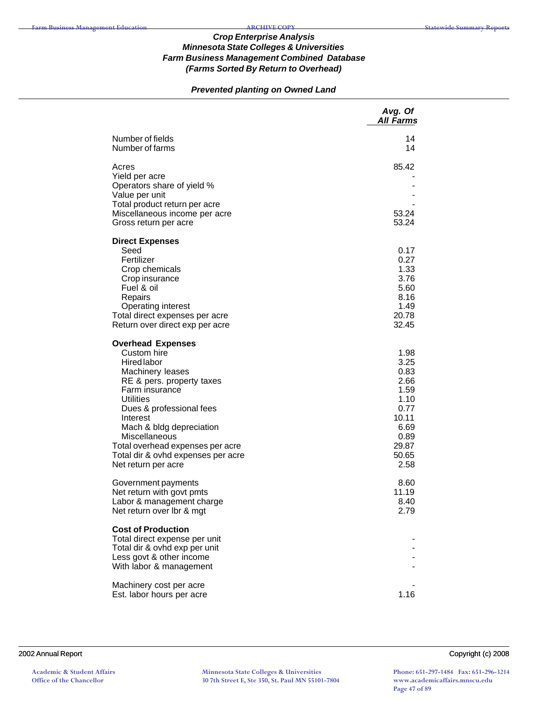## *Prevented planting on Owned Land*

|                                                                                                                                                                                                                                                                                                                                            | Avg. Of<br><b>All Farms</b>                                                                             |
|--------------------------------------------------------------------------------------------------------------------------------------------------------------------------------------------------------------------------------------------------------------------------------------------------------------------------------------------|---------------------------------------------------------------------------------------------------------|
| Number of fields<br>Number of farms                                                                                                                                                                                                                                                                                                        | 14<br>14                                                                                                |
| Acres<br>Yield per acre<br>Operators share of yield %<br>Value per unit<br>Total product return per acre<br>Miscellaneous income per acre<br>Gross return per acre                                                                                                                                                                         | 85.42<br>53.24<br>53.24                                                                                 |
| <b>Direct Expenses</b><br>Seed<br>Fertilizer<br>Crop chemicals<br>Crop insurance<br>Fuel & oil<br>Repairs<br><b>Operating interest</b><br>Total direct expenses per acre<br>Return over direct exp per acre                                                                                                                                | 0.17<br>0.27<br>1.33<br>3.76<br>5.60<br>8.16<br>1.49<br>20.78<br>32.45                                  |
| <b>Overhead Expenses</b><br>Custom hire<br><b>Hired labor</b><br>Machinery leases<br>RE & pers. property taxes<br>Farm insurance<br><b>Utilities</b><br>Dues & professional fees<br>Interest<br>Mach & bldg depreciation<br>Miscellaneous<br>Total overhead expenses per acre<br>Total dir & ovhd expenses per acre<br>Net return per acre | 1.98<br>3.25<br>0.83<br>2.66<br>1.59<br>1.10<br>0.77<br>10.11<br>6.69<br>0.89<br>29.87<br>50.65<br>2.58 |
| Government payments<br>Net return with govt pmts<br>Labor & management charge<br>Net return over Ibr & mgt                                                                                                                                                                                                                                 | 8.60<br>11.19<br>8.40<br>2.79                                                                           |
| <b>Cost of Production</b><br>Total direct expense per unit<br>Total dir & ovhd exp per unit<br>Less govt & other income<br>With labor & management                                                                                                                                                                                         |                                                                                                         |
| Machinery cost per acre<br>Est. labor hours per acre                                                                                                                                                                                                                                                                                       | 1.16                                                                                                    |

2002 Annual Report Copyright (c) 2008

**Minnesota State Colleges & Universities 30 7th Street E, Ste 350, St. Paul MN 55101-7804** **Phone: 651-297-1484 Fax: 651-296-3214 www.academicaffairs.mnscu.edu Page 47 of 89**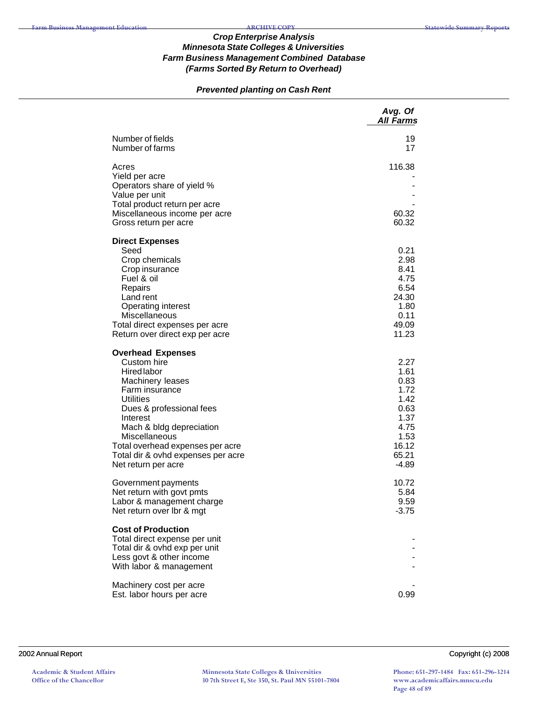# *Prevented planting on Cash Rent*

|                                                                                                                                                                                                                                                                                                               | Avg. Of<br>All Farms                                                                              |
|---------------------------------------------------------------------------------------------------------------------------------------------------------------------------------------------------------------------------------------------------------------------------------------------------------------|---------------------------------------------------------------------------------------------------|
| Number of fields<br>Number of farms                                                                                                                                                                                                                                                                           | 19<br>17                                                                                          |
| Acres<br>Yield per acre<br>Operators share of yield %<br>Value per unit<br>Total product return per acre<br>Miscellaneous income per acre<br>Gross return per acre                                                                                                                                            | 116.38<br>60.32<br>60.32                                                                          |
| <b>Direct Expenses</b><br>Seed<br>Crop chemicals<br>Crop insurance<br>Fuel & oil<br>Repairs<br>Land rent<br><b>Operating interest</b><br>Miscellaneous<br>Total direct expenses per acre<br>Return over direct exp per acre                                                                                   | 0.21<br>2.98<br>8.41<br>4.75<br>6.54<br>24.30<br>1.80<br>0.11<br>49.09<br>11.23                   |
| <b>Overhead Expenses</b><br>Custom hire<br><b>Hired labor</b><br>Machinery leases<br>Farm insurance<br><b>Utilities</b><br>Dues & professional fees<br>Interest<br>Mach & bldg depreciation<br>Miscellaneous<br>Total overhead expenses per acre<br>Total dir & ovhd expenses per acre<br>Net return per acre | 2.27<br>1.61<br>0.83<br>1.72<br>1.42<br>0.63<br>1.37<br>4.75<br>1.53<br>16.12<br>65.21<br>$-4.89$ |
| Government payments<br>Net return with govt pmts<br>Labor & management charge<br>Net return over lbr & mgt                                                                                                                                                                                                    | 10.72<br>5.84<br>9.59<br>$-3.75$                                                                  |
| <b>Cost of Production</b><br>Total direct expense per unit<br>Total dir & ovhd exp per unit<br>Less govt & other income<br>With labor & management                                                                                                                                                            |                                                                                                   |
| Machinery cost per acre<br>Est. labor hours per acre                                                                                                                                                                                                                                                          | 0.99                                                                                              |

#### 2002 Annual Report Copyright (c) 2008

**Phone: 651-297-1484 Fax: 651-296-3214 www.academicaffairs.mnscu.edu Page 48 of 89**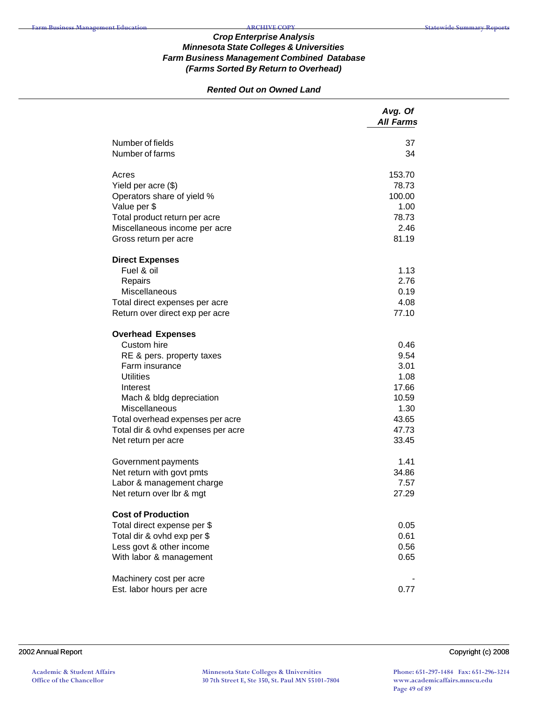## *Rented Out on Owned Land*

| Number of fields<br>37<br>Number of farms<br>34<br>Acres<br>153.70<br>78.73<br>Yield per acre (\$)<br>Operators share of yield %<br>100.00 |
|--------------------------------------------------------------------------------------------------------------------------------------------|
|                                                                                                                                            |
|                                                                                                                                            |
|                                                                                                                                            |
|                                                                                                                                            |
|                                                                                                                                            |
| Value per \$<br>1.00                                                                                                                       |
| Total product return per acre<br>78.73                                                                                                     |
| 2.46<br>Miscellaneous income per acre                                                                                                      |
| 81.19<br>Gross return per acre                                                                                                             |
| <b>Direct Expenses</b>                                                                                                                     |
| Fuel & oil<br>1.13                                                                                                                         |
| 2.76<br>Repairs                                                                                                                            |
| Miscellaneous<br>0.19                                                                                                                      |
| 4.08<br>Total direct expenses per acre<br>77.10                                                                                            |
| Return over direct exp per acre                                                                                                            |
| <b>Overhead Expenses</b>                                                                                                                   |
| Custom hire<br>0.46                                                                                                                        |
| 9.54<br>RE & pers. property taxes                                                                                                          |
| Farm insurance<br>3.01                                                                                                                     |
| <b>Utilities</b><br>1.08<br>17.66                                                                                                          |
| Interest<br>Mach & bldg depreciation<br>10.59                                                                                              |
| Miscellaneous<br>1.30                                                                                                                      |
| 43.65<br>Total overhead expenses per acre                                                                                                  |
| 47.73<br>Total dir & ovhd expenses per acre                                                                                                |
| 33.45<br>Net return per acre                                                                                                               |
| 1.41<br>Government payments                                                                                                                |
| 34.86<br>Net return with govt pmts                                                                                                         |
| Labor & management charge<br>7.57                                                                                                          |
| Net return over lbr & mgt<br>27.29                                                                                                         |
| <b>Cost of Production</b>                                                                                                                  |
| Total direct expense per \$<br>0.05                                                                                                        |
| Total dir & ovhd exp per \$<br>0.61                                                                                                        |
| Less govt & other income<br>0.56                                                                                                           |
| With labor & management<br>0.65                                                                                                            |
| Machinery cost per acre                                                                                                                    |
| Est. labor hours per acre<br>0.77                                                                                                          |

2002 Annual Report Copyright (c) 2008

**Minnesota State Colleges & Universities 30 7th Street E, Ste 350, St. Paul MN 55101-7804**